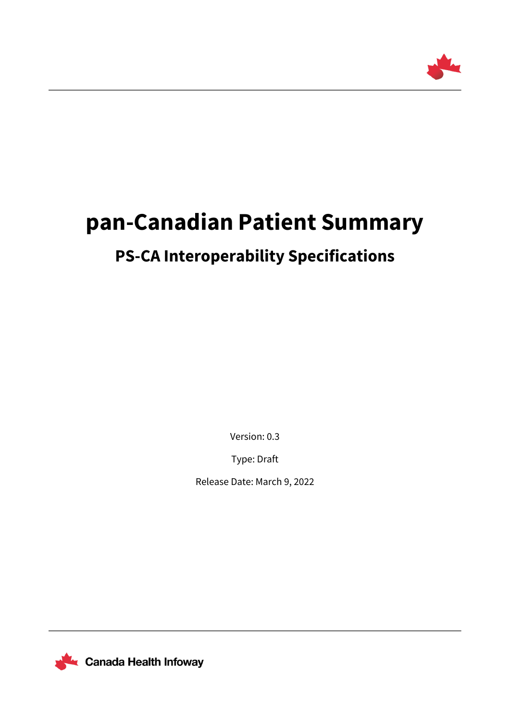

# **pan-Canadian Patient Summary**

# **PS-CA Interoperability Specifications**

Version: 0.3

Type: Draft

Release Date: March 9, 2022

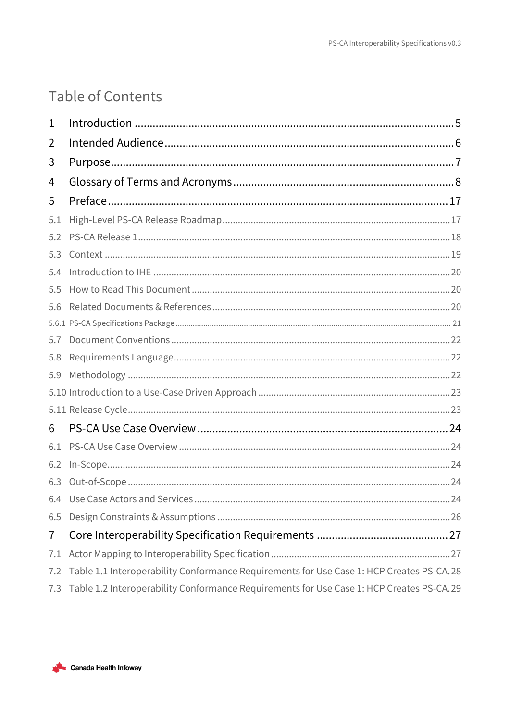# Table of Contents

| 1   |                                                                                          |
|-----|------------------------------------------------------------------------------------------|
| 2   |                                                                                          |
| 3   |                                                                                          |
| 4   |                                                                                          |
| 5   |                                                                                          |
| 5.1 |                                                                                          |
| 5.2 |                                                                                          |
| 5.3 |                                                                                          |
| 5.4 |                                                                                          |
| 5.5 |                                                                                          |
| 5.6 |                                                                                          |
|     |                                                                                          |
| 5.7 |                                                                                          |
| 5.8 |                                                                                          |
| 5.9 |                                                                                          |
|     |                                                                                          |
|     |                                                                                          |
| 6   |                                                                                          |
| 6.1 |                                                                                          |
|     |                                                                                          |
|     |                                                                                          |
|     |                                                                                          |
| 6.5 |                                                                                          |
| 7   |                                                                                          |
| 7.1 |                                                                                          |
| 7.2 | Table 1.1 Interoperability Conformance Requirements for Use Case 1: HCP Creates PS-CA.28 |
| 7.3 | Table 1.2 Interoperability Conformance Requirements for Use Case 1: HCP Creates PS-CA.29 |

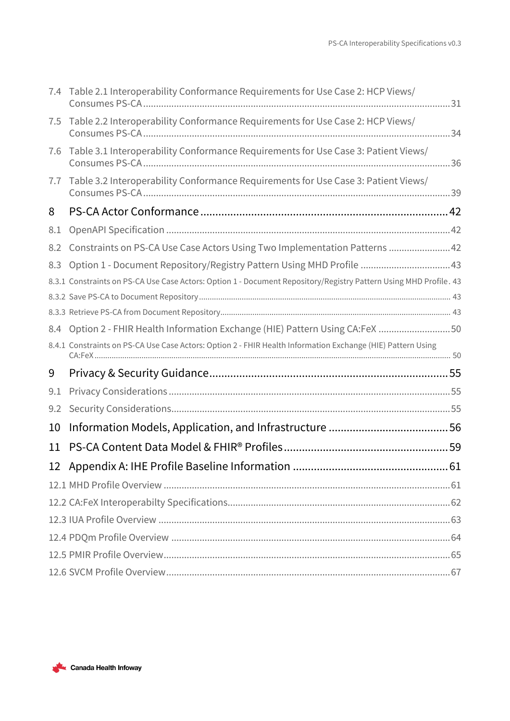|     | 7.4 Table 2.1 Interoperability Conformance Requirements for Use Case 2: HCP Views/                                |  |
|-----|-------------------------------------------------------------------------------------------------------------------|--|
| 7.5 | Table 2.2 Interoperability Conformance Requirements for Use Case 2: HCP Views/                                    |  |
| 7.6 | Table 3.1 Interoperability Conformance Requirements for Use Case 3: Patient Views/                                |  |
| 7.7 | Table 3.2 Interoperability Conformance Requirements for Use Case 3: Patient Views/                                |  |
| 8   |                                                                                                                   |  |
| 8.1 |                                                                                                                   |  |
| 8.2 | Constraints on PS-CA Use Case Actors Using Two Implementation Patterns 42                                         |  |
| 8.3 | Option 1 - Document Repository/Registry Pattern Using MHD Profile 43                                              |  |
|     | 8.3.1 Constraints on PS-CA Use Case Actors: Option 1 - Document Repository/Registry Pattern Using MHD Profile. 43 |  |
|     |                                                                                                                   |  |
|     |                                                                                                                   |  |
|     | 8.4 Option 2 - FHIR Health Information Exchange (HIE) Pattern Using CA:FeX 50                                     |  |
|     | 8.4.1 Constraints on PS-CA Use Case Actors: Option 2 - FHIR Health Information Exchange (HIE) Pattern Using       |  |
| 9   |                                                                                                                   |  |
| 9.1 |                                                                                                                   |  |
| 9.2 |                                                                                                                   |  |
| 10  |                                                                                                                   |  |
| 11  |                                                                                                                   |  |
|     |                                                                                                                   |  |
|     |                                                                                                                   |  |
|     |                                                                                                                   |  |
|     |                                                                                                                   |  |
|     |                                                                                                                   |  |
|     |                                                                                                                   |  |
|     |                                                                                                                   |  |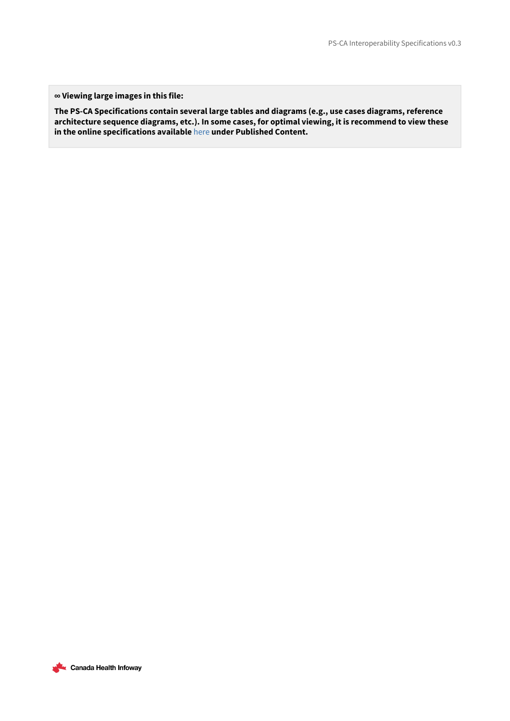**∞ Viewing large images in this file:**

**The PS-CA Specifications contain several large tables and diagrams (e.g., use cases diagrams, reference architecture sequence diagrams, etc.). In some cases, for optimal viewing, it is recommend to view these in the online specifications available** [here](https://infoscribe.infoway-inforoute.ca/display/PCI/PS-CA+Release+Information) **under Published Content.**

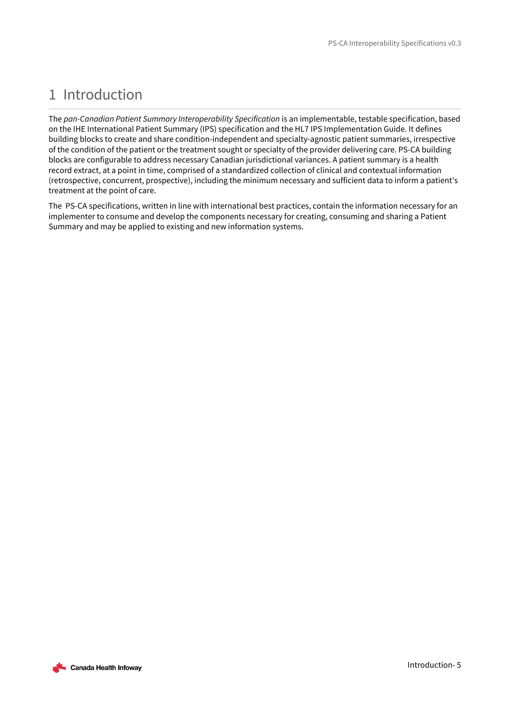# <span id="page-4-0"></span>1 Introduction

The *pan-Canadian Patient Summary Interoperability Specification* is an implementable, testable specification, based on the IHE International Patient Summary (IPS) specification and the HL7 IPS Implementation Guide. It defines building blocks to create and share condition-independent and specialty-agnostic patient summaries, irrespective of the condition of the patient or the treatment sought or specialty of the provider delivering care. PS-CA building blocks are configurable to address necessary Canadian jurisdictional variances. A patient summary is a health record extract, at a point in time, comprised of a standardized collection of clinical and contextual information (retrospective, concurrent, prospective), including the minimum necessary and sufficient data to inform a patient's treatment at the point of care.

The PS-CA specifications, written in line with international best practices, contain the information necessary for an implementer to consume and develop the components necessary for creating, consuming and sharing a Patient Summary and may be applied to existing and new information systems.

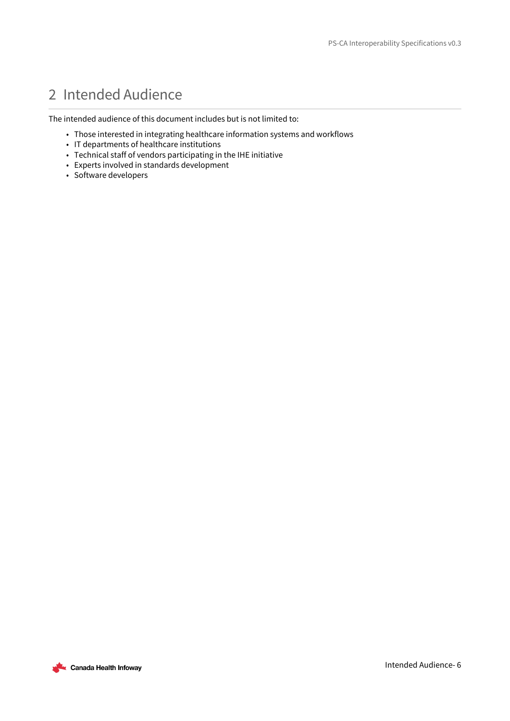# <span id="page-5-0"></span>2 Intended Audience

The intended audience of this document includes but is not limited to:

- Those interested in integrating healthcare information systems and workflows
- IT departments of healthcare institutions
- Technical staff of vendors participating in the IHE initiative
- Experts involved in standards development
- Software developers

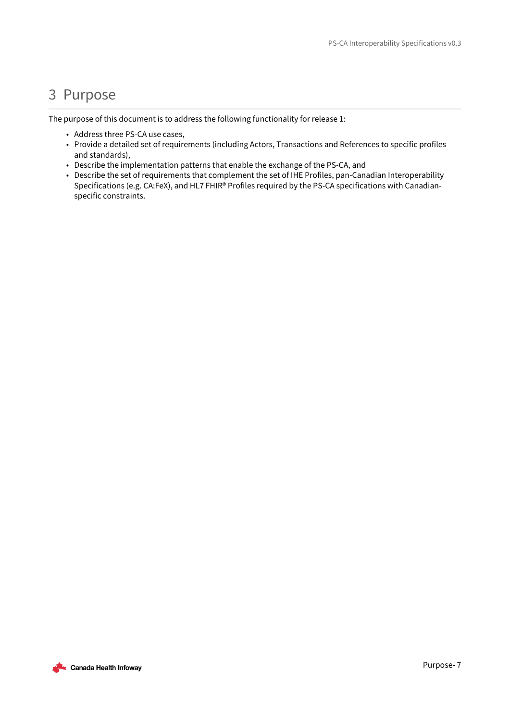## <span id="page-6-0"></span>3 Purpose

The purpose of this document is to address the following functionality for release 1:

- Address three PS-CA use cases,
- Provide a detailed set of requirements (including Actors, Transactions and References to specific profiles and standards),
- Describe the implementation patterns that enable the exchange of the PS-CA, and
- Describe the set of requirements that complement the set of IHE Profiles, pan-Canadian Interoperability Specifications (e.g. CA:FeX), and HL7 FHIR® Profiles required by the PS-CA specifications with Canadianspecific constraints.

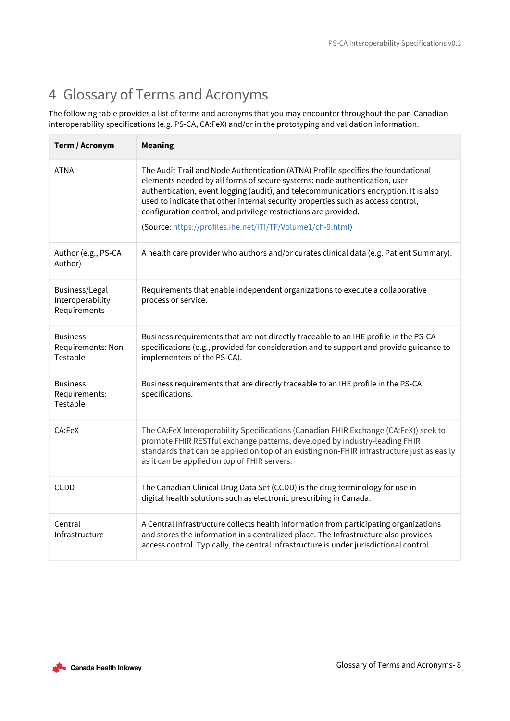# <span id="page-7-0"></span>4 Glossary of Terms and Acronyms

The following table provides a list of terms and acronyms that you may encounter throughout the pan-Canadian interoperability specifications (e.g. PS-CA, CA:FeX) and/or in the prototyping and validation information.

| Term / Acronym                                     | <b>Meaning</b>                                                                                                                                                                                                                                                                                                                                                                                                                                                               |
|----------------------------------------------------|------------------------------------------------------------------------------------------------------------------------------------------------------------------------------------------------------------------------------------------------------------------------------------------------------------------------------------------------------------------------------------------------------------------------------------------------------------------------------|
| <b>ATNA</b>                                        | The Audit Trail and Node Authentication (ATNA) Profile specifies the foundational<br>elements needed by all forms of secure systems: node authentication, user<br>authentication, event logging (audit), and telecommunications encryption. It is also<br>used to indicate that other internal security properties such as access control,<br>configuration control, and privilege restrictions are provided.<br>(Source: https://profiles.ihe.net/ITI/TF/Volume1/ch-9.html) |
| Author (e.g., PS-CA<br>Author)                     | A health care provider who authors and/or curates clinical data (e.g. Patient Summary).                                                                                                                                                                                                                                                                                                                                                                                      |
| Business/Legal<br>Interoperability<br>Requirements | Requirements that enable independent organizations to execute a collaborative<br>process or service.                                                                                                                                                                                                                                                                                                                                                                         |
| <b>Business</b><br>Requirements: Non-<br>Testable  | Business requirements that are not directly traceable to an IHE profile in the PS-CA<br>specifications (e.g., provided for consideration and to support and provide guidance to<br>implementers of the PS-CA).                                                                                                                                                                                                                                                               |
| <b>Business</b><br>Requirements:<br>Testable       | Business requirements that are directly traceable to an IHE profile in the PS-CA<br>specifications.                                                                                                                                                                                                                                                                                                                                                                          |
| CA:FeX                                             | The CA:FeX Interoperability Specifications (Canadian FHIR Exchange (CA:FeX)) seek to<br>promote FHIR RESTful exchange patterns, developed by industry-leading FHIR<br>standards that can be applied on top of an existing non-FHIR infrastructure just as easily<br>as it can be applied on top of FHIR servers.                                                                                                                                                             |
| <b>CCDD</b>                                        | The Canadian Clinical Drug Data Set (CCDD) is the drug terminology for use in<br>digital health solutions such as electronic prescribing in Canada.                                                                                                                                                                                                                                                                                                                          |
| Central<br>Infrastructure                          | A Central Infrastructure collects health information from participating organizations<br>and stores the information in a centralized place. The Infrastructure also provides<br>access control. Typically, the central infrastructure is under jurisdictional control.                                                                                                                                                                                                       |

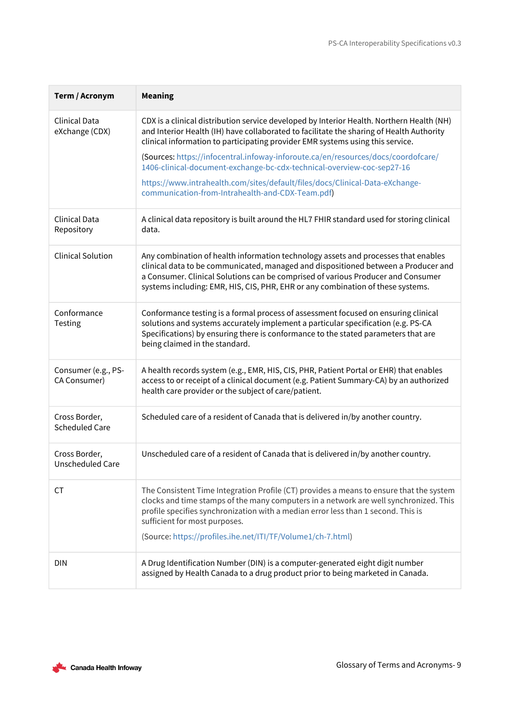| Term / Acronym                         | <b>Meaning</b>                                                                                                                                                                                                                                                                                                                                                        |
|----------------------------------------|-----------------------------------------------------------------------------------------------------------------------------------------------------------------------------------------------------------------------------------------------------------------------------------------------------------------------------------------------------------------------|
| <b>Clinical Data</b><br>eXchange (CDX) | CDX is a clinical distribution service developed by Interior Health. Northern Health (NH)<br>and Interior Health (IH) have collaborated to facilitate the sharing of Health Authority<br>clinical information to participating provider EMR systems using this service.                                                                                               |
|                                        | (Sources: https://infocentral.infoway-inforoute.ca/en/resources/docs/coordofcare/<br>1406-clinical-document-exchange-bc-cdx-technical-overview-coc-sep27-16                                                                                                                                                                                                           |
|                                        | https://www.intrahealth.com/sites/default/files/docs/Clinical-Data-eXchange-<br>communication-from-Intrahealth-and-CDX-Team.pdf)                                                                                                                                                                                                                                      |
| <b>Clinical Data</b><br>Repository     | A clinical data repository is built around the HL7 FHIR standard used for storing clinical<br>data.                                                                                                                                                                                                                                                                   |
| <b>Clinical Solution</b>               | Any combination of health information technology assets and processes that enables<br>clinical data to be communicated, managed and dispositioned between a Producer and<br>a Consumer. Clinical Solutions can be comprised of various Producer and Consumer<br>systems including: EMR, HIS, CIS, PHR, EHR or any combination of these systems.                       |
| Conformance<br>Testing                 | Conformance testing is a formal process of assessment focused on ensuring clinical<br>solutions and systems accurately implement a particular specification (e.g. PS-CA<br>Specifications) by ensuring there is conformance to the stated parameters that are<br>being claimed in the standard.                                                                       |
| Consumer (e.g., PS-<br>CA Consumer)    | A health records system (e.g., EMR, HIS, CIS, PHR, Patient Portal or EHR) that enables<br>access to or receipt of a clinical document (e.g. Patient Summary-CA) by an authorized<br>health care provider or the subject of care/patient.                                                                                                                              |
| Cross Border,<br><b>Scheduled Care</b> | Scheduled care of a resident of Canada that is delivered in/by another country.                                                                                                                                                                                                                                                                                       |
| Cross Border,<br>Unscheduled Care      | Unscheduled care of a resident of Canada that is delivered in/by another country.                                                                                                                                                                                                                                                                                     |
| <b>CT</b>                              | The Consistent Time Integration Profile (CT) provides a means to ensure that the system<br>clocks and time stamps of the many computers in a network are well synchronized. This<br>profile specifies synchronization with a median error less than 1 second. This is<br>sufficient for most purposes.<br>(Source: https://profiles.ihe.net/ITI/TF/Volume1/ch-7.html) |
| <b>DIN</b>                             | A Drug Identification Number (DIN) is a computer-generated eight digit number<br>assigned by Health Canada to a drug product prior to being marketed in Canada.                                                                                                                                                                                                       |

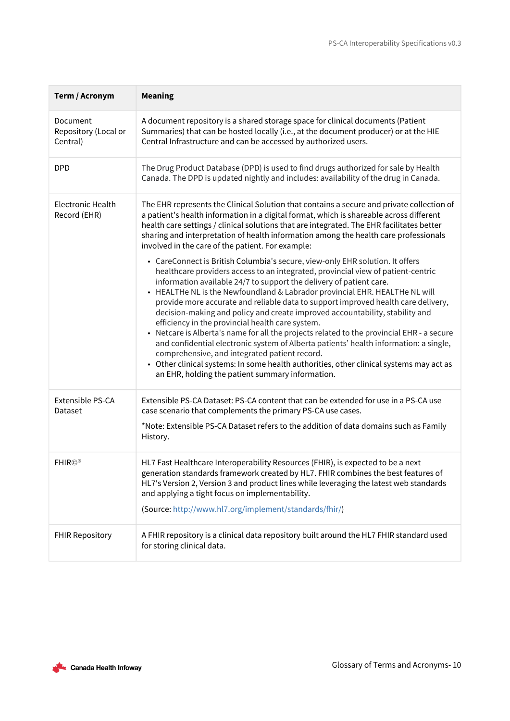| Term / Acronym                               | <b>Meaning</b>                                                                                                                                                                                                                                                                                                                                                                                                                                                                                                                                                                                                                                                                                                                                                                                                                                                   |
|----------------------------------------------|------------------------------------------------------------------------------------------------------------------------------------------------------------------------------------------------------------------------------------------------------------------------------------------------------------------------------------------------------------------------------------------------------------------------------------------------------------------------------------------------------------------------------------------------------------------------------------------------------------------------------------------------------------------------------------------------------------------------------------------------------------------------------------------------------------------------------------------------------------------|
| Document<br>Repository (Local or<br>Central) | A document repository is a shared storage space for clinical documents (Patient<br>Summaries) that can be hosted locally (i.e., at the document producer) or at the HIE<br>Central Infrastructure and can be accessed by authorized users.                                                                                                                                                                                                                                                                                                                                                                                                                                                                                                                                                                                                                       |
| <b>DPD</b>                                   | The Drug Product Database (DPD) is used to find drugs authorized for sale by Health<br>Canada. The DPD is updated nightly and includes: availability of the drug in Canada.                                                                                                                                                                                                                                                                                                                                                                                                                                                                                                                                                                                                                                                                                      |
| Electronic Health<br>Record (EHR)            | The EHR represents the Clinical Solution that contains a secure and private collection of<br>a patient's health information in a digital format, which is shareable across different<br>health care settings / clinical solutions that are integrated. The EHR facilitates better<br>sharing and interpretation of health information among the health care professionals<br>involved in the care of the patient. For example:<br>• CareConnect is British Columbia's secure, view-only EHR solution. It offers                                                                                                                                                                                                                                                                                                                                                  |
|                                              | healthcare providers access to an integrated, provincial view of patient-centric<br>information available 24/7 to support the delivery of patient care.<br>• HEALTHe NL is the Newfoundland & Labrador provincial EHR. HEALTHe NL will<br>provide more accurate and reliable data to support improved health care delivery,<br>decision-making and policy and create improved accountability, stability and<br>efficiency in the provincial health care system.<br>• Netcare is Alberta's name for all the projects related to the provincial EHR - a secure<br>and confidential electronic system of Alberta patients' health information: a single,<br>comprehensive, and integrated patient record.<br>Other clinical systems: In some health authorities, other clinical systems may act as<br>$\bullet$<br>an EHR, holding the patient summary information. |
| Extensible PS-CA<br>Dataset                  | Extensible PS-CA Dataset: PS-CA content that can be extended for use in a PS-CA use<br>case scenario that complements the primary PS-CA use cases.<br>*Note: Extensible PS-CA Dataset refers to the addition of data domains such as Family<br>History.                                                                                                                                                                                                                                                                                                                                                                                                                                                                                                                                                                                                          |
| <b>FHIR©®</b>                                | HL7 Fast Healthcare Interoperability Resources (FHIR), is expected to be a next<br>generation standards framework created by HL7. FHIR combines the best features of<br>HL7's Version 2, Version 3 and product lines while leveraging the latest web standards<br>and applying a tight focus on implementability.<br>(Source: http://www.hl7.org/implement/standards/fhir/)                                                                                                                                                                                                                                                                                                                                                                                                                                                                                      |
| <b>FHIR Repository</b>                       | A FHIR repository is a clinical data repository built around the HL7 FHIR standard used<br>for storing clinical data.                                                                                                                                                                                                                                                                                                                                                                                                                                                                                                                                                                                                                                                                                                                                            |

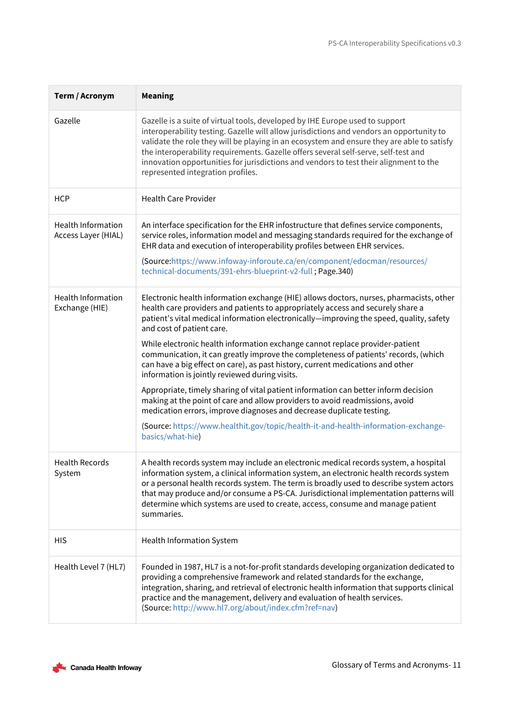| Term / Acronym                                   | <b>Meaning</b>                                                                                                                                                                                                                                                                                                                                                                                                                                                                              |  |  |
|--------------------------------------------------|---------------------------------------------------------------------------------------------------------------------------------------------------------------------------------------------------------------------------------------------------------------------------------------------------------------------------------------------------------------------------------------------------------------------------------------------------------------------------------------------|--|--|
| Gazelle                                          | Gazelle is a suite of virtual tools, developed by IHE Europe used to support<br>interoperability testing. Gazelle will allow jurisdictions and vendors an opportunity to<br>validate the role they will be playing in an ecosystem and ensure they are able to satisfy<br>the interoperability requirements. Gazelle offers several self-serve, self-test and<br>innovation opportunities for jurisdictions and vendors to test their alignment to the<br>represented integration profiles. |  |  |
| <b>HCP</b>                                       | <b>Health Care Provider</b>                                                                                                                                                                                                                                                                                                                                                                                                                                                                 |  |  |
| <b>Health Information</b><br>Access Layer (HIAL) | An interface specification for the EHR infostructure that defines service components,<br>service roles, information model and messaging standards required for the exchange of<br>EHR data and execution of interoperability profiles between EHR services.                                                                                                                                                                                                                                 |  |  |
|                                                  | (Source:https://www.infoway-inforoute.ca/en/component/edocman/resources/<br>technical-documents/391-ehrs-blueprint-v2-full; Page.340)                                                                                                                                                                                                                                                                                                                                                       |  |  |
| <b>Health Information</b><br>Exchange (HIE)      | Electronic health information exchange (HIE) allows doctors, nurses, pharmacists, other<br>health care providers and patients to appropriately access and securely share a<br>patient's vital medical information electronically—improving the speed, quality, safety<br>and cost of patient care.                                                                                                                                                                                          |  |  |
|                                                  | While electronic health information exchange cannot replace provider-patient<br>communication, it can greatly improve the completeness of patients' records, (which<br>can have a big effect on care), as past history, current medications and other<br>information is jointly reviewed during visits.                                                                                                                                                                                     |  |  |
|                                                  | Appropriate, timely sharing of vital patient information can better inform decision<br>making at the point of care and allow providers to avoid readmissions, avoid<br>medication errors, improve diagnoses and decrease duplicate testing.                                                                                                                                                                                                                                                 |  |  |
|                                                  | (Source: https://www.healthit.gov/topic/health-it-and-health-information-exchange-<br>basics/what-hie)                                                                                                                                                                                                                                                                                                                                                                                      |  |  |
| <b>Health Records</b><br>System                  | A health records system may include an electronic medical records system, a hospital<br>information system, a clinical information system, an electronic health records system<br>or a personal health records system. The term is broadly used to describe system actors<br>that may produce and/or consume a PS-CA. Jurisdictional implementation patterns will<br>determine which systems are used to create, access, consume and manage patient<br>summaries.                           |  |  |
| <b>HIS</b>                                       | Health Information System                                                                                                                                                                                                                                                                                                                                                                                                                                                                   |  |  |
| Health Level 7 (HL7)                             | Founded in 1987, HL7 is a not-for-profit standards developing organization dedicated to<br>providing a comprehensive framework and related standards for the exchange,<br>integration, sharing, and retrieval of electronic health information that supports clinical<br>practice and the management, delivery and evaluation of health services.<br>(Source: http://www.hl7.org/about/index.cfm?ref=nav)                                                                                   |  |  |

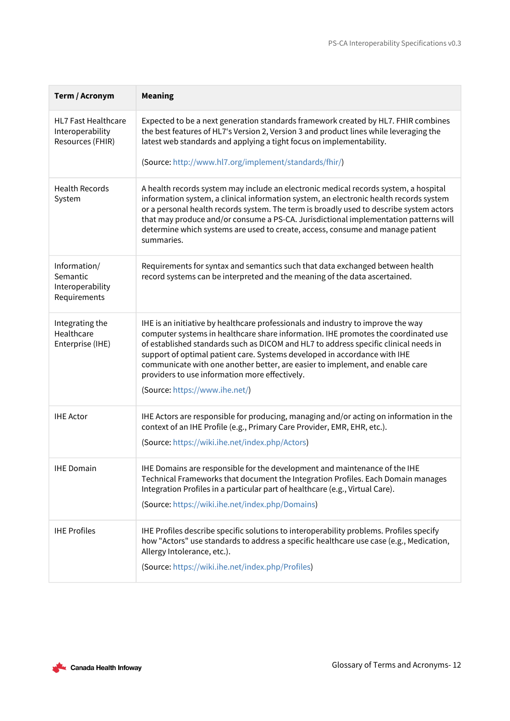| Term / Acronym                                                     | <b>Meaning</b>                                                                                                                                                                                                                                                                                                                                                                                                                                                                                                   |
|--------------------------------------------------------------------|------------------------------------------------------------------------------------------------------------------------------------------------------------------------------------------------------------------------------------------------------------------------------------------------------------------------------------------------------------------------------------------------------------------------------------------------------------------------------------------------------------------|
| <b>HL7 Fast Healthcare</b><br>Interoperability<br>Resources (FHIR) | Expected to be a next generation standards framework created by HL7. FHIR combines<br>the best features of HL7's Version 2, Version 3 and product lines while leveraging the<br>latest web standards and applying a tight focus on implementability.                                                                                                                                                                                                                                                             |
|                                                                    | (Source: http://www.hl7.org/implement/standards/fhir/)                                                                                                                                                                                                                                                                                                                                                                                                                                                           |
| <b>Health Records</b><br>System                                    | A health records system may include an electronic medical records system, a hospital<br>information system, a clinical information system, an electronic health records system<br>or a personal health records system. The term is broadly used to describe system actors<br>that may produce and/or consume a PS-CA. Jurisdictional implementation patterns will<br>determine which systems are used to create, access, consume and manage patient<br>summaries.                                                |
| Information/<br>Semantic<br>Interoperability<br>Requirements       | Requirements for syntax and semantics such that data exchanged between health<br>record systems can be interpreted and the meaning of the data ascertained.                                                                                                                                                                                                                                                                                                                                                      |
| Integrating the<br>Healthcare<br>Enterprise (IHE)                  | IHE is an initiative by healthcare professionals and industry to improve the way<br>computer systems in healthcare share information. IHE promotes the coordinated use<br>of established standards such as DICOM and HL7 to address specific clinical needs in<br>support of optimal patient care. Systems developed in accordance with IHE<br>communicate with one another better, are easier to implement, and enable care<br>providers to use information more effectively.<br>(Source: https://www.ihe.net/) |
| <b>IHE Actor</b>                                                   | IHE Actors are responsible for producing, managing and/or acting on information in the<br>context of an IHE Profile (e.g., Primary Care Provider, EMR, EHR, etc.).<br>(Source: https://wiki.ihe.net/index.php/Actors)                                                                                                                                                                                                                                                                                            |
| <b>IHE Domain</b>                                                  | IHE Domains are responsible for the development and maintenance of the IHE<br>Technical Frameworks that document the Integration Profiles. Each Domain manages<br>Integration Profiles in a particular part of healthcare (e.g., Virtual Care).<br>(Source: https://wiki.ihe.net/index.php/Domains)                                                                                                                                                                                                              |
| <b>IHE Profiles</b>                                                | IHE Profiles describe specific solutions to interoperability problems. Profiles specify<br>how "Actors" use standards to address a specific healthcare use case (e.g., Medication,<br>Allergy Intolerance, etc.).<br>(Source: https://wiki.ihe.net/index.php/Profiles)                                                                                                                                                                                                                                           |

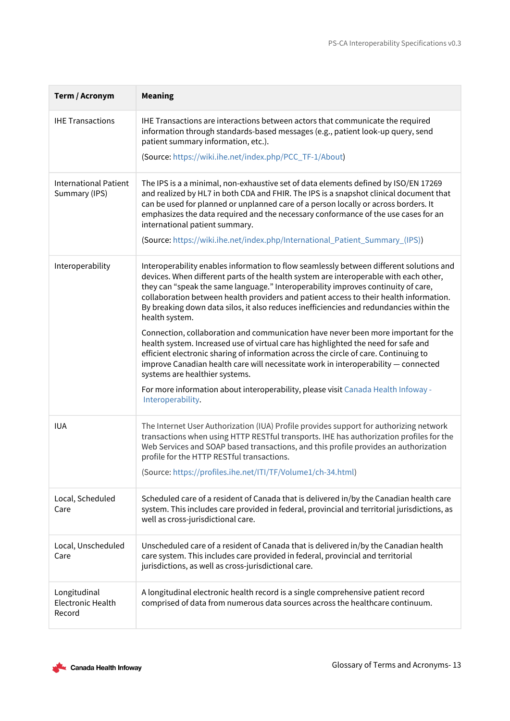| Term / Acronym                                     | <b>Meaning</b>                                                                                                                                                                                                                                                                                                                                                                                                                                                                                                                                                                                                                                                                                                                                                                                                                                                                                                                                                                     |
|----------------------------------------------------|------------------------------------------------------------------------------------------------------------------------------------------------------------------------------------------------------------------------------------------------------------------------------------------------------------------------------------------------------------------------------------------------------------------------------------------------------------------------------------------------------------------------------------------------------------------------------------------------------------------------------------------------------------------------------------------------------------------------------------------------------------------------------------------------------------------------------------------------------------------------------------------------------------------------------------------------------------------------------------|
| <b>IHE Transactions</b>                            | IHE Transactions are interactions between actors that communicate the required<br>information through standards-based messages (e.g., patient look-up query, send<br>patient summary information, etc.).<br>(Source: https://wiki.ihe.net/index.php/PCC_TF-1/About)                                                                                                                                                                                                                                                                                                                                                                                                                                                                                                                                                                                                                                                                                                                |
| <b>International Patient</b><br>Summary (IPS)      | The IPS is a a minimal, non-exhaustive set of data elements defined by ISO/EN 17269<br>and realized by HL7 in both CDA and FHIR. The IPS is a snapshot clinical document that<br>can be used for planned or unplanned care of a person locally or across borders. It<br>emphasizes the data required and the necessary conformance of the use cases for an<br>international patient summary.<br>(Source: https://wiki.ihe.net/index.php/International_Patient_Summary_(IPS))                                                                                                                                                                                                                                                                                                                                                                                                                                                                                                       |
| Interoperability                                   | Interoperability enables information to flow seamlessly between different solutions and<br>devices. When different parts of the health system are interoperable with each other,<br>they can "speak the same language." Interoperability improves continuity of care,<br>collaboration between health providers and patient access to their health information.<br>By breaking down data silos, it also reduces inefficiencies and redundancies within the<br>health system.<br>Connection, collaboration and communication have never been more important for the<br>health system. Increased use of virtual care has highlighted the need for safe and<br>efficient electronic sharing of information across the circle of care. Continuing to<br>improve Canadian health care will necessitate work in interoperability - connected<br>systems are healthier systems.<br>For more information about interoperability, please visit Canada Health Infoway -<br>Interoperability. |
| <b>IUA</b>                                         | The Internet User Authorization (IUA) Profile provides support for authorizing network<br>transactions when using HTTP RESTful transports. IHE has authorization profiles for the<br>Web Services and SOAP based transactions, and this profile provides an authorization<br>profile for the HTTP RESTful transactions.<br>(Source: https://profiles.ihe.net/ITI/TF/Volume1/ch-34.html)                                                                                                                                                                                                                                                                                                                                                                                                                                                                                                                                                                                            |
| Local, Scheduled<br>Care                           | Scheduled care of a resident of Canada that is delivered in/by the Canadian health care<br>system. This includes care provided in federal, provincial and territorial jurisdictions, as<br>well as cross-jurisdictional care.                                                                                                                                                                                                                                                                                                                                                                                                                                                                                                                                                                                                                                                                                                                                                      |
| Local, Unscheduled<br>Care                         | Unscheduled care of a resident of Canada that is delivered in/by the Canadian health<br>care system. This includes care provided in federal, provincial and territorial<br>jurisdictions, as well as cross-jurisdictional care.                                                                                                                                                                                                                                                                                                                                                                                                                                                                                                                                                                                                                                                                                                                                                    |
| Longitudinal<br><b>Electronic Health</b><br>Record | A longitudinal electronic health record is a single comprehensive patient record<br>comprised of data from numerous data sources across the healthcare continuum.                                                                                                                                                                                                                                                                                                                                                                                                                                                                                                                                                                                                                                                                                                                                                                                                                  |

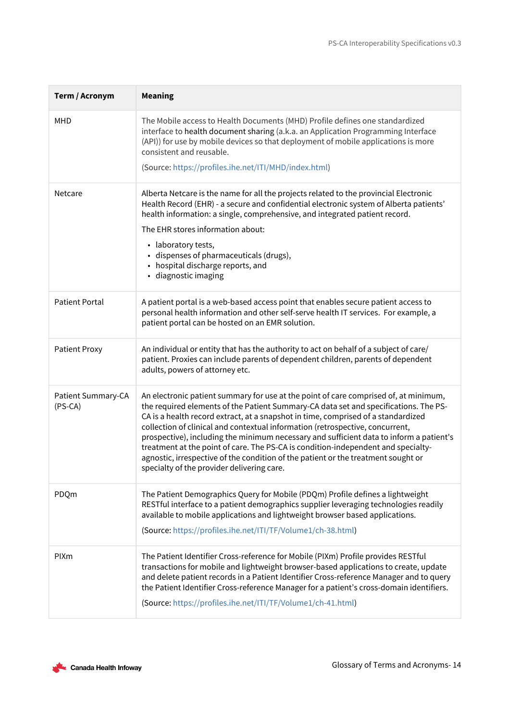| Term / Acronym                  | <b>Meaning</b>                                                                                                                                                                                                                                                                                                                                                                                                                                                                                                                                                                                                                                                        |
|---------------------------------|-----------------------------------------------------------------------------------------------------------------------------------------------------------------------------------------------------------------------------------------------------------------------------------------------------------------------------------------------------------------------------------------------------------------------------------------------------------------------------------------------------------------------------------------------------------------------------------------------------------------------------------------------------------------------|
| MHD                             | The Mobile access to Health Documents (MHD) Profile defines one standardized<br>interface to health document sharing (a.k.a. an Application Programming Interface<br>(API)) for use by mobile devices so that deployment of mobile applications is more<br>consistent and reusable.<br>(Source: https://profiles.ihe.net/ITI/MHD/index.html)                                                                                                                                                                                                                                                                                                                          |
|                                 |                                                                                                                                                                                                                                                                                                                                                                                                                                                                                                                                                                                                                                                                       |
| Netcare                         | Alberta Netcare is the name for all the projects related to the provincial Electronic<br>Health Record (EHR) - a secure and confidential electronic system of Alberta patients'<br>health information: a single, comprehensive, and integrated patient record.                                                                                                                                                                                                                                                                                                                                                                                                        |
|                                 | The EHR stores information about:<br>• laboratory tests,<br>· dispenses of pharmaceuticals (drugs),<br>• hospital discharge reports, and<br>· diagnostic imaging                                                                                                                                                                                                                                                                                                                                                                                                                                                                                                      |
| <b>Patient Portal</b>           | A patient portal is a web-based access point that enables secure patient access to<br>personal health information and other self-serve health IT services. For example, a<br>patient portal can be hosted on an EMR solution.                                                                                                                                                                                                                                                                                                                                                                                                                                         |
| <b>Patient Proxy</b>            | An individual or entity that has the authority to act on behalf of a subject of care/<br>patient. Proxies can include parents of dependent children, parents of dependent<br>adults, powers of attorney etc.                                                                                                                                                                                                                                                                                                                                                                                                                                                          |
| Patient Summary-CA<br>$(PS-CA)$ | An electronic patient summary for use at the point of care comprised of, at minimum,<br>the required elements of the Patient Summary-CA data set and specifications. The PS-<br>CA is a health record extract, at a snapshot in time, comprised of a standardized<br>collection of clinical and contextual information (retrospective, concurrent,<br>prospective), including the minimum necessary and sufficient data to inform a patient's<br>treatment at the point of care. The PS-CA is condition-independent and specialty-<br>agnostic, irrespective of the condition of the patient or the treatment sought or<br>specialty of the provider delivering care. |
| PDQm                            | The Patient Demographics Query for Mobile (PDQm) Profile defines a lightweight<br>RESTful interface to a patient demographics supplier leveraging technologies readily<br>available to mobile applications and lightweight browser based applications.                                                                                                                                                                                                                                                                                                                                                                                                                |
|                                 | (Source: https://profiles.ihe.net/ITI/TF/Volume1/ch-38.html)                                                                                                                                                                                                                                                                                                                                                                                                                                                                                                                                                                                                          |
| PIXm                            | The Patient Identifier Cross-reference for Mobile (PIXm) Profile provides RESTful<br>transactions for mobile and lightweight browser-based applications to create, update<br>and delete patient records in a Patient Identifier Cross-reference Manager and to query<br>the Patient Identifier Cross-reference Manager for a patient's cross-domain identifiers.<br>(Source: https://profiles.ihe.net/ITI/TF/Volume1/ch-41.html)                                                                                                                                                                                                                                      |

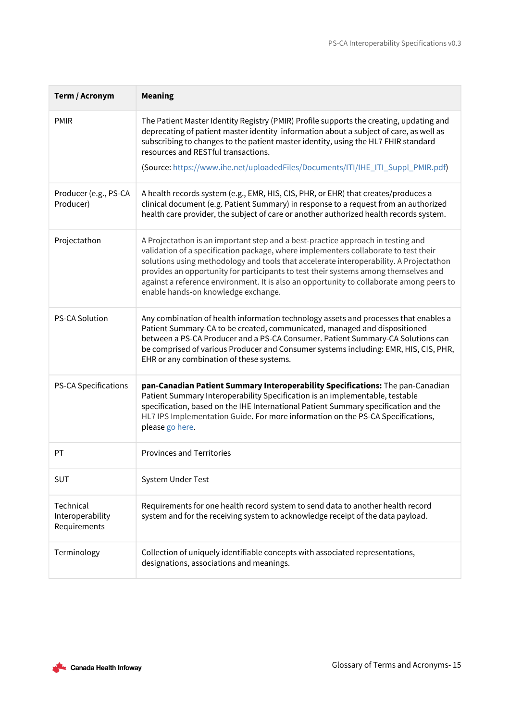| Term / Acronym                                | <b>Meaning</b>                                                                                                                                                                                                                                                                                                                                                                                                                                                                             |
|-----------------------------------------------|--------------------------------------------------------------------------------------------------------------------------------------------------------------------------------------------------------------------------------------------------------------------------------------------------------------------------------------------------------------------------------------------------------------------------------------------------------------------------------------------|
| <b>PMIR</b>                                   | The Patient Master Identity Registry (PMIR) Profile supports the creating, updating and<br>deprecating of patient master identity information about a subject of care, as well as<br>subscribing to changes to the patient master identity, using the HL7 FHIR standard<br>resources and RESTful transactions.<br>(Source: https://www.ihe.net/uploadedFiles/Documents/ITI/IHE_ITI_Suppl_PMIR.pdf)                                                                                         |
|                                               |                                                                                                                                                                                                                                                                                                                                                                                                                                                                                            |
| Producer (e.g., PS-CA<br>Producer)            | A health records system (e.g., EMR, HIS, CIS, PHR, or EHR) that creates/produces a<br>clinical document (e.g. Patient Summary) in response to a request from an authorized<br>health care provider, the subject of care or another authorized health records system.                                                                                                                                                                                                                       |
| Projectathon                                  | A Projectathon is an important step and a best-practice approach in testing and<br>validation of a specification package, where implementers collaborate to test their<br>solutions using methodology and tools that accelerate interoperability. A Projectathon<br>provides an opportunity for participants to test their systems among themselves and<br>against a reference environment. It is also an opportunity to collaborate among peers to<br>enable hands-on knowledge exchange. |
| <b>PS-CA Solution</b>                         | Any combination of health information technology assets and processes that enables a<br>Patient Summary-CA to be created, communicated, managed and dispositioned<br>between a PS-CA Producer and a PS-CA Consumer. Patient Summary-CA Solutions can<br>be comprised of various Producer and Consumer systems including: EMR, HIS, CIS, PHR,<br>EHR or any combination of these systems.                                                                                                   |
| <b>PS-CA Specifications</b>                   | pan-Canadian Patient Summary Interoperability Specifications: The pan-Canadian<br>Patient Summary Interoperability Specification is an implementable, testable<br>specification, based on the IHE International Patient Summary specification and the<br>HL7 IPS Implementation Guide. For more information on the PS-CA Specifications,<br>please go here.                                                                                                                                |
| PT                                            | <b>Provinces and Territories</b>                                                                                                                                                                                                                                                                                                                                                                                                                                                           |
| <b>SUT</b>                                    | System Under Test                                                                                                                                                                                                                                                                                                                                                                                                                                                                          |
| Technical<br>Interoperability<br>Requirements | Requirements for one health record system to send data to another health record<br>system and for the receiving system to acknowledge receipt of the data payload.                                                                                                                                                                                                                                                                                                                         |
| Terminology                                   | Collection of uniquely identifiable concepts with associated representations,<br>designations, associations and meanings.                                                                                                                                                                                                                                                                                                                                                                  |

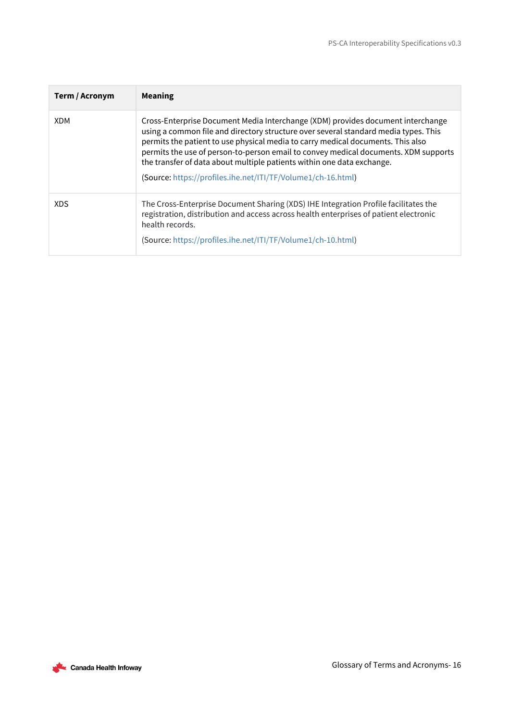| Term / Acronym | <b>Meaning</b>                                                                                                                                                                                                                                                                                                                                                                                                                                                                             |
|----------------|--------------------------------------------------------------------------------------------------------------------------------------------------------------------------------------------------------------------------------------------------------------------------------------------------------------------------------------------------------------------------------------------------------------------------------------------------------------------------------------------|
| <b>XDM</b>     | Cross-Enterprise Document Media Interchange (XDM) provides document interchange<br>using a common file and directory structure over several standard media types. This<br>permits the patient to use physical media to carry medical documents. This also<br>permits the use of person-to-person email to convey medical documents. XDM supports<br>the transfer of data about multiple patients within one data exchange.<br>(Source: https://profiles.ihe.net/ITI/TF/Volume1/ch-16.html) |
| <b>XDS</b>     | The Cross-Enterprise Document Sharing (XDS) IHE Integration Profile facilitates the<br>registration, distribution and access across health enterprises of patient electronic<br>health records.<br>(Source: https://profiles.ihe.net/ITI/TF/Volume1/ch-10.html)                                                                                                                                                                                                                            |

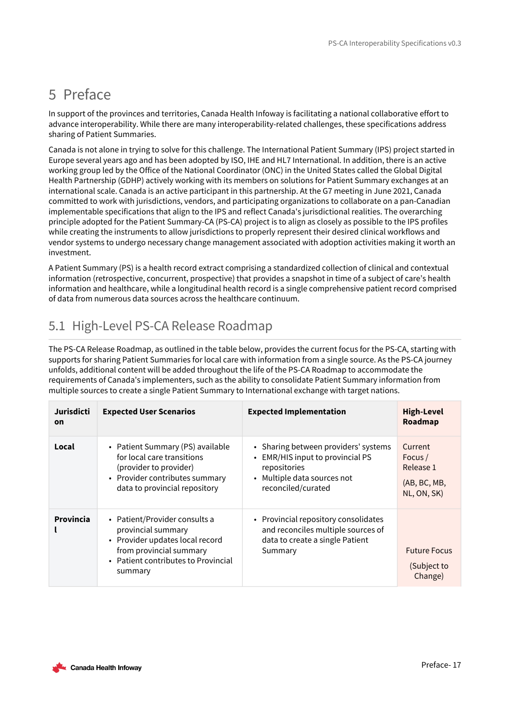# <span id="page-16-0"></span>5 Preface

In support of the provinces and territories, Canada Health Infoway is facilitating a national collaborative effort to advance interoperability. While there are many interoperability-related challenges, these specifications address sharing of Patient Summaries.

Canada is not alone in trying to solve for this challenge. The International Patient Summary (IPS) project started in Europe several years ago and has been adopted by ISO, IHE and HL7 International. In addition, there is an active working group led by the Office of the National Coordinator (ONC) in the United States called the Global Digital Health Partnership (GDHP) actively working with its members on solutions for Patient Summary exchanges at an international scale. Canada is an active participant in this partnership. At the G7 meeting in June 2021, Canada committed to work with jurisdictions, vendors, and participating organizations to collaborate on a pan-Canadian implementable specifications that align to the IPS and reflect Canada's jurisdictional realities. The overarching principle adopted for the Patient Summary-CA (PS-CA) project is to align as closely as possible to the IPS profiles while creating the instruments to allow jurisdictions to properly represent their desired clinical workflows and vendor systems to undergo necessary change management associated with adoption activities making it worth an investment.

A Patient Summary (PS) is a health record extract comprising a standardized collection of clinical and contextual information (retrospective, concurrent, prospective) that provides a snapshot in time of a subject of care's health information and healthcare, while a longitudinal health record is a single comprehensive patient record comprised of data from numerous data sources across the healthcare continuum.

## <span id="page-16-1"></span>5.1 High-Level PS-CA Release Roadmap

The PS-CA Release Roadmap, as outlined in the table below, provides the current focus for the PS-CA, starting with supports for sharing Patient Summaries for local care with information from a single source. As the PS-CA journey unfolds, additional content will be added throughout the life of the PS-CA Roadmap to accommodate the requirements of Canada's implementers, such as the ability to consolidate Patient Summary information from multiple sources to create a single Patient Summary to International exchange with target nations.

| Jurisdicti<br>on | <b>Expected User Scenarios</b>                                                                                                                                      | <b>Expected Implementation</b>                                                                                                                | <b>High-Level</b><br>Roadmap                                   |
|------------------|---------------------------------------------------------------------------------------------------------------------------------------------------------------------|-----------------------------------------------------------------------------------------------------------------------------------------------|----------------------------------------------------------------|
| Local            | • Patient Summary (PS) available<br>for local care transitions<br>(provider to provider)<br>• Provider contributes summary<br>data to provincial repository         | • Sharing between providers' systems<br>• EMR/HIS input to provincial PS<br>repositories<br>• Multiple data sources not<br>reconciled/curated | Current<br>Focus /<br>Release 1<br>(AB, BC, MB,<br>NL, ON, SK) |
| Provincia        | • Patient/Provider consults a<br>provincial summary<br>• Provider updates local record<br>from provincial summary<br>• Patient contributes to Provincial<br>summary | • Provincial repository consolidates<br>and reconciles multiple sources of<br>data to create a single Patient<br>Summary                      | <b>Future Focus</b><br>(Subject to<br>Change)                  |

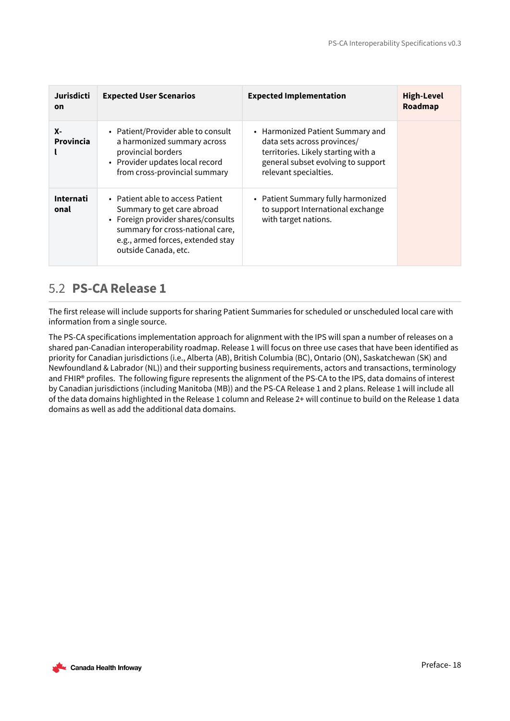| Jurisdicti<br>on         | <b>Expected User Scenarios</b>                                                                                                                                                                        | <b>Expected Implementation</b>                                                                                                                                        | <b>High-Level</b><br>Roadmap |
|--------------------------|-------------------------------------------------------------------------------------------------------------------------------------------------------------------------------------------------------|-----------------------------------------------------------------------------------------------------------------------------------------------------------------------|------------------------------|
| <b>X-</b><br>Provincia   | • Patient/Provider able to consult<br>a harmonized summary across<br>provincial borders<br>• Provider updates local record<br>from cross-provincial summary                                           | • Harmonized Patient Summary and<br>data sets across provinces/<br>territories. Likely starting with a<br>general subset evolving to support<br>relevant specialties. |                              |
| <b>Internati</b><br>onal | • Patient able to access Patient<br>Summary to get care abroad<br>• Foreign provider shares/consults<br>summary for cross-national care,<br>e.g., armed forces, extended stay<br>outside Canada, etc. | • Patient Summary fully harmonized<br>to support International exchange<br>with target nations.                                                                       |                              |

## <span id="page-17-0"></span>5.2 **PS-CA Release 1**

The first release will include supports for sharing Patient Summaries for scheduled or unscheduled local care with information from a single source.

The PS-CA specifications implementation approach for alignment with the IPS will span a number of releases on a shared pan-Canadian interoperability roadmap. Release 1 will focus on three use cases that have been identified as priority for Canadian jurisdictions (i.e., Alberta (AB), British Columbia (BC), Ontario (ON), Saskatchewan (SK) and Newfoundland & Labrador (NL)) and their supporting business requirements, actors and transactions, terminology and FHIR® profiles. The following figure represents the alignment of the PS-CA to the IPS, data domains of interest by Canadian jurisdictions (including Manitoba (MB)) and the PS-CA Release 1 and 2 plans. Release 1 will include all of the data domains highlighted in the Release 1 column and Release 2+ will continue to build on the Release 1 data domains as well as add the additional data domains.

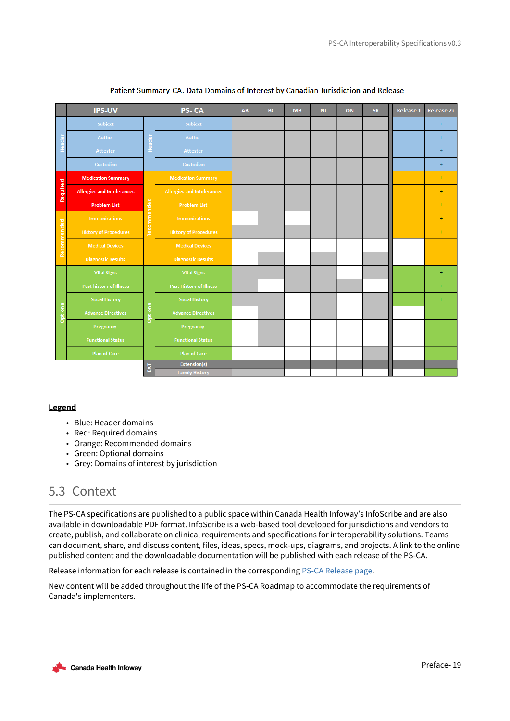|             | <b>IPS-UV</b>                     |             | PS-CA                             | AB | <b>BC</b> | <b>MB</b> | <b>NL</b> | ON | <b>SK</b> | <b>Release 1</b> | Release 2+ |
|-------------|-----------------------------------|-------------|-----------------------------------|----|-----------|-----------|-----------|----|-----------|------------------|------------|
|             | Subject                           |             | Subject                           |    |           |           |           |    |           |                  | $\ddot{}$  |
|             | Author                            |             | Author                            |    |           |           |           |    |           |                  | $+$        |
|             | Attester                          |             | Attester                          |    |           |           |           |    |           |                  | $+$        |
|             | Custodian                         |             | Custodian                         |    |           |           |           |    |           |                  | $+$        |
|             | <b>Medication Summary</b>         |             | <b>Medication Summary</b>         |    |           |           |           |    |           |                  | $\ddot{}$  |
| Required    | <b>Allergies and Intolerances</b> |             | <b>Allergies and Intolerances</b> |    |           |           |           |    |           |                  | $+$        |
|             | <b>Problem List</b>               |             | <b>Problem List</b>               |    |           |           |           |    |           |                  | $+$        |
|             | <b>Immunizations</b>              | Recommended | <b>Immunizations</b>              |    |           |           |           |    |           |                  | $\ddot{}$  |
|             | <b>History of Procedures</b>      |             | <b>History of Procedures</b>      |    |           |           |           |    |           |                  | $+$        |
| Recommended | <b>Medical Devices</b>            |             | <b>Medical Devices</b>            |    |           |           |           |    |           |                  |            |
|             | <b>Diagnostic Results</b>         |             | <b>Diagnostic Results</b>         |    |           |           |           |    |           |                  |            |
|             | <b>Vital Signs</b>                |             | <b>Vital Signs</b>                |    |           |           |           |    |           |                  | $+$        |
|             | <b>Past history of Illness</b>    |             | <b>Past History of Illness</b>    |    |           |           |           |    |           |                  | $+$        |
|             | <b>Social History</b>             |             | <b>Social History</b>             |    |           |           |           |    |           |                  | $\ddot{}$  |
| Optional    | <b>Advance Directives</b>         | Optional    | <b>Advance Directives</b>         |    |           |           |           |    |           |                  |            |
|             | Pregnancy                         |             | Pregnancy                         |    |           |           |           |    |           |                  |            |
|             | <b>Functional Status</b>          |             | <b>Functional Status</b>          |    |           |           |           |    |           |                  |            |
|             | <b>Plan of Care</b>               |             | <b>Plan of Care</b>               |    |           |           |           |    |           |                  |            |
|             |                                   | 볾           | Extension(s)                      |    |           |           |           |    |           |                  |            |
|             |                                   |             | <b>Family History</b>             |    |           |           |           |    |           |                  |            |

### Patient Summary-CA: Data Domains of Interest by Canadian Jurisdiction and Release

## **Legend**

- Blue: Header domains
- Red: Required domains
- Orange: Recommended domains
- Green: Optional domains
- Grey: Domains of interest by jurisdiction

## <span id="page-18-0"></span>5.3 Context

The PS-CA specifications are published to a public space within Canada Health Infoway's InfoScribe and are also available in downloadable PDF format. InfoScribe is a web-based tool developed for jurisdictions and vendors to create, publish, and collaborate on clinical requirements and specifications for interoperability solutions. Teams can document, share, and discuss content, files, ideas, specs, mock-ups, diagrams, and projects. A link to the online published content and the downloadable documentation will be published with each release of the PS-CA.

Release information for each release is contained in the corresponding [PS-CA Release page.](https://infoscribe.infoway-inforoute.ca/x/cQHkC)

New content will be added throughout the life of the PS-CA Roadmap to accommodate the requirements of Canada's implementers.

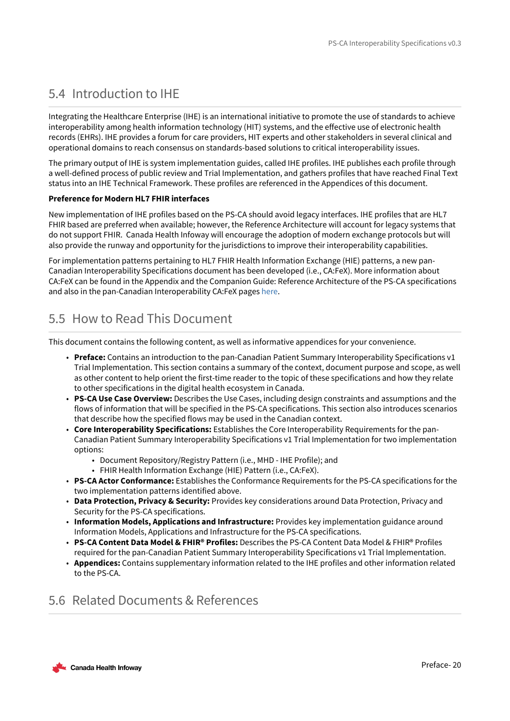## <span id="page-19-0"></span>5.4 Introduction to IHE

Integrating the Healthcare Enterprise (IHE) is an international initiative to promote the use of standards to achieve interoperability among health information technology (HIT) systems, and the effective use of electronic health records (EHRs). IHE provides a forum for care providers, HIT experts and other stakeholders in several clinical and operational domains to reach consensus on standards-based solutions to critical interoperability issues.

The primary output of IHE is system implementation guides, called IHE profiles. IHE publishes each profile through a well-defined process of public review and Trial Implementation, and gathers profiles that have reached Final Text status into an IHE Technical Framework. These profiles are referenced in the Appendices of this document.

## **Preference for Modern HL7 FHIR interfaces**

New implementation of IHE profiles based on the PS-CA should avoid legacy interfaces. IHE profiles that are HL7 FHIR based are preferred when available; however, the Reference Architecture will account for legacy systems that do not support FHIR. Canada Health Infoway will encourage the adoption of modern exchange protocols but will also provide the runway and opportunity for the jurisdictions to improve their interoperability capabilities.

For implementation patterns pertaining to HL7 FHIR Health Information Exchange (HIE) patterns, a new pan-Canadian Interoperability Specifications document has been developed (i.e., CA:FeX). More information about CA:FeX can be found in the Appendix and the Companion Guide: Reference Architecture of the PS-CA specifications and also in the pan-Canadian Interoperability CA:FeX pages [here](https://infoscribe.infoway-inforoute.ca/pages/viewpage.action?pageId=160432336).

## <span id="page-19-1"></span>5.5 How to Read This Document

This document contains the following content, as well as informative appendices for your convenience.

- **Preface:** Contains an introduction to the pan-Canadian Patient Summary Interoperability Specifications v1 Trial Implementation. This section contains a summary of the context, document purpose and scope, as well as other content to help orient the first-time reader to the topic of these specifications and how they relate to other specifications in the digital health ecosystem in Canada.
- **PS-CA Use Case Overview:** Describes the Use Cases, including design constraints and assumptions and the flows of information that will be specified in the PS-CA specifications. This section also introduces scenarios that describe how the specified flows may be used in the Canadian context.
- **Core Interoperability Specifications:** Establishes the Core Interoperability Requirements for the pan-Canadian Patient Summary Interoperability Specifications v1 Trial Implementation for two implementation options:
	- Document Repository/Registry Pattern (i.e., MHD IHE Profile); and
	- FHIR Health Information Exchange (HIE) Pattern (i.e., CA:FeX).
- **PS-CA Actor Conformance:** Establishes the Conformance Requirements for the PS-CA specifications for the two implementation patterns identified above.
- **Data Protection, Privacy & Security:** Provides key considerations around Data Protection, Privacy and Security for the PS-CA specifications.
- **Information Models, Applications and Infrastructure:** Provides key implementation guidance around Information Models, Applications and Infrastructure for the PS-CA specifications.
- **PS-CA Content Data Model & FHIR® Profiles:** Describes the PS-CA Content Data Model & FHIR® Profiles required for the pan-Canadian Patient Summary Interoperability Specifications v1 Trial Implementation.
- **Appendices:** Contains supplementary information related to the IHE profiles and other information related to the PS-CA.

## <span id="page-19-2"></span>5.6 Related Documents & References

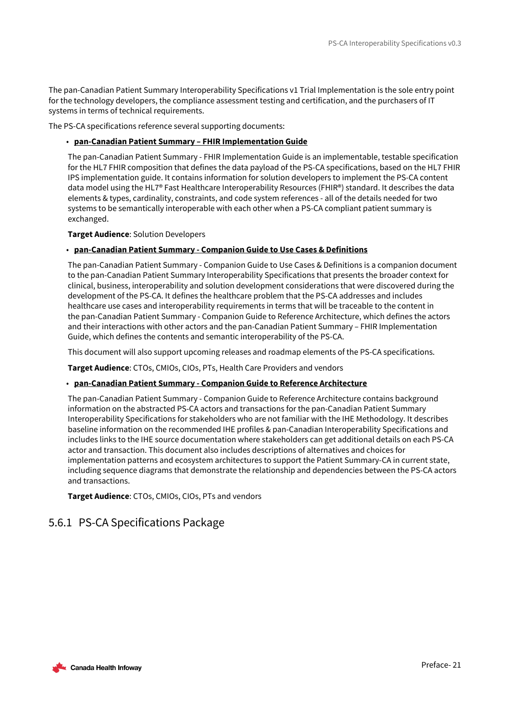The pan-Canadian Patient Summary Interoperability Specifications v1 Trial Implementation is the sole entry point for the technology developers, the compliance assessment testing and certification, and the purchasers of IT systems in terms of technical requirements.

The PS-CA specifications reference several supporting documents:

## • **pan-Canadian Patient Summary – FHIR Implementation Guide**

The pan-Canadian Patient Summary - FHIR Implementation Guide is an implementable, testable specification for the HL7 FHIR composition that defines the data payload of the PS-CA specifications, based on the HL7 FHIR IPS implementation guide. It contains information for solution developers to implement the PS-CA content data model using the HL7® Fast Healthcare Interoperability Resources (FHIR®) standard. It describes the data elements & types, cardinality, constraints, and code system references - all of the details needed for two systems to be semantically interoperable with each other when a PS-CA compliant patient summary is exchanged.

**Target Audience**: Solution Developers

## • **pan-Canadian Patient Summary - Companion Guide to Use Cases & Definitions**

The pan-Canadian Patient Summary - Companion Guide to Use Cases & Definitions is a companion document to the pan-Canadian Patient Summary Interoperability Specifications that presents the broader context for clinical, business, interoperability and solution development considerations that were discovered during the development of the PS-CA. It defines the healthcare problem that the PS-CA addresses and includes healthcare use cases and interoperability requirements in terms that will be traceable to the content in the pan-Canadian Patient Summary - Companion Guide to Reference Architecture, which defines the actors and their interactions with other actors and the pan-Canadian Patient Summary – FHIR Implementation Guide, which defines the contents and semantic interoperability of the PS-CA.

This document will also support upcoming releases and roadmap elements of the PS-CA specifications.

**Target Audience**: CTOs, CMIOs, CIOs, PTs, Health Care Providers and vendors

## • **pan-Canadian Patient Summary - Companion Guide to Reference Architecture**

The pan-Canadian Patient Summary - Companion Guide to Reference Architecture contains background information on the abstracted PS-CA actors and transactions for the pan-Canadian Patient Summary Interoperability Specifications for stakeholders who are not familiar with the IHE Methodology. It describes baseline information on the recommended IHE profiles & pan-Canadian Interoperability Specifications and includes links to the IHE source documentation where stakeholders can get additional details on each PS-CA actor and transaction. This document also includes descriptions of alternatives and choices for implementation patterns and ecosystem architectures to support the Patient Summary-CA in current state, including sequence diagrams that demonstrate the relationship and dependencies between the PS-CA actors and transactions.

**Target Audience**: CTOs, CMIOs, CIOs, PTs and vendors

## <span id="page-20-0"></span>5.6.1 PS-CA Specifications Package

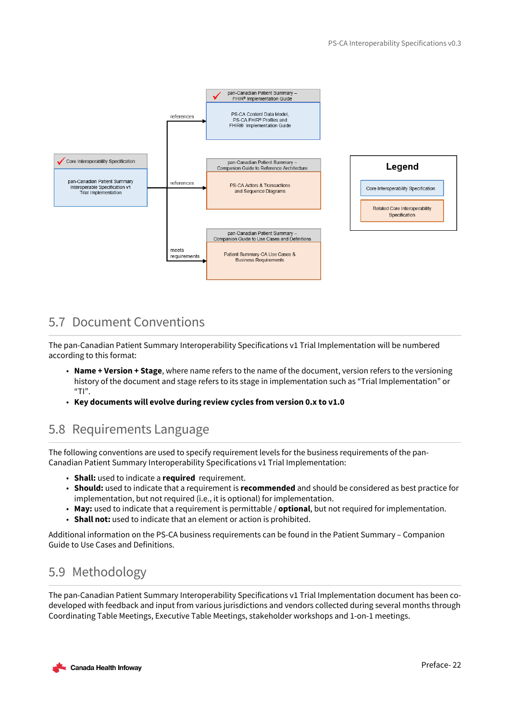

## <span id="page-21-0"></span>5.7 Document Conventions

The pan-Canadian Patient Summary Interoperability Specifications v1 Trial Implementation will be numbered according to this format:

- **Name + Version + Stage**, where name refers to the name of the document, version refers to the versioning history of the document and stage refers to its stage in implementation such as "Trial Implementation" or "T $"$ .
- **Key documents will evolve during review cycles from version 0.x to v1.0**

## <span id="page-21-1"></span>5.8 Requirements Language

The following conventions are used to specify requirement levels for the business requirements of the pan-Canadian Patient Summary Interoperability Specifications v1 Trial Implementation:

- **Shall:** used to indicate a **required**  requirement.
- **Should:** used to indicate that a requirement is **recommended** and should be considered as best practice for implementation, but not required (i.e., it is optional) for implementation.
- **May:** used to indicate that a requirement is permittable / **optional**, but not required for implementation.
- **Shall not:** used to indicate that an element or action is prohibited.

Additional information on the PS-CA business requirements can be found in the Patient Summary – Companion Guide to Use Cases and Definitions.

## <span id="page-21-2"></span>5.9 Methodology

The pan-Canadian Patient Summary Interoperability Specifications v1 Trial Implementation document has been codeveloped with feedback and input from various jurisdictions and vendors collected during several months through Coordinating Table Meetings, Executive Table Meetings, stakeholder workshops and 1-on-1 meetings.

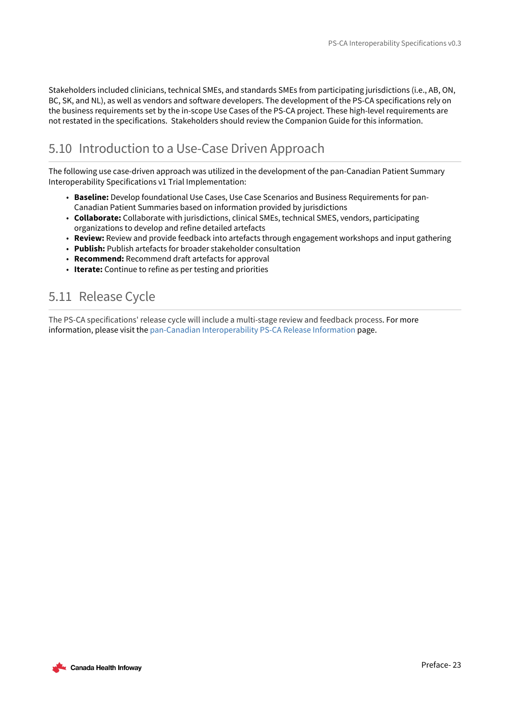Stakeholders included clinicians, technical SMEs, and standards SMEs from participating jurisdictions (i.e., AB, ON, BC, SK, and NL), as well as vendors and software developers. The development of the PS-CA specifications rely on the business requirements set by the in-scope Use Cases of the PS-CA project. These high-level requirements are not restated in the specifications. Stakeholders should review the Companion Guide for this information.

## <span id="page-22-0"></span>5.10 Introduction to a Use-Case Driven Approach

The following use case-driven approach was utilized in the development of the pan-Canadian Patient Summary Interoperability Specifications v1 Trial Implementation:

- **Baseline:** Develop foundational Use Cases, Use Case Scenarios and Business Requirements for pan-Canadian Patient Summaries based on information provided by jurisdictions
- **Collaborate:** Collaborate with jurisdictions, clinical SMEs, technical SMES, vendors, participating organizations to develop and refine detailed artefacts
- **Review:** Review and provide feedback into artefacts through engagement workshops and input gathering
- **Publish:** Publish artefacts for broader stakeholder consultation
- **Recommend:** Recommend draft artefacts for approval
- **Iterate:** Continue to refine as per testing and priorities

## <span id="page-22-1"></span>5.11 Release Cycle

The PS-CA specifications' release cycle will include a multi-stage review and feedback process. For more information, please visit the [pan-Canadian Interoperability PS-CA Release Information](https://infoscribe.infoway-inforoute.ca/display/PCI/PS-CA+Release+Information) page.

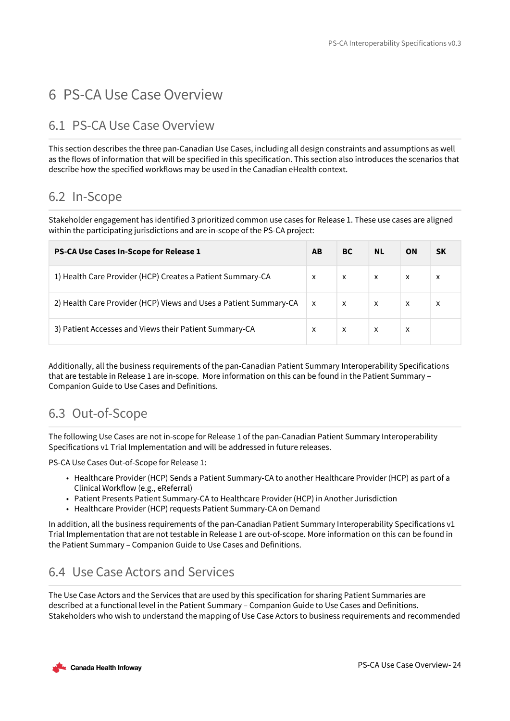# <span id="page-23-0"></span>6 PS-CA Use Case Overview

## <span id="page-23-1"></span>6.1 PS-CA Use Case Overview

This section describes the three pan-Canadian Use Cases, including all design constraints and assumptions as well as the flows of information that will be specified in this specification. This section also introduces the scenarios that describe how the specified workflows may be used in the Canadian eHealth context.

## <span id="page-23-2"></span>6.2 In-Scope

Stakeholder engagement has identified 3 prioritized common use cases for Release 1. These use cases are aligned within the participating jurisdictions and are in-scope of the PS-CA project:

| PS-CA Use Cases In-Scope for Release 1                            | AB                        | BC.                       | <b>NL</b>                 | <b>ON</b>    | <b>SK</b> |
|-------------------------------------------------------------------|---------------------------|---------------------------|---------------------------|--------------|-----------|
| 1) Health Care Provider (HCP) Creates a Patient Summary-CA        | $\boldsymbol{\mathsf{x}}$ | X                         | X                         | $\mathsf{x}$ | X         |
| 2) Health Care Provider (HCP) Views and Uses a Patient Summary-CA | $\mathsf{X}$              | $\boldsymbol{\mathsf{x}}$ | $\boldsymbol{\mathsf{x}}$ | $\mathsf{x}$ | X         |
| 3) Patient Accesses and Views their Patient Summary-CA            | X                         | X                         | X                         | X            |           |

Additionally, all the business requirements of the pan-Canadian Patient Summary Interoperability Specifications that are testable in Release 1 are in-scope. More information on this can be found in the Patient Summary – Companion Guide to Use Cases and Definitions.

## <span id="page-23-3"></span>6.3 Out-of-Scope

The following Use Cases are not in-scope for Release 1 of the pan-Canadian Patient Summary Interoperability Specifications v1 Trial Implementation and will be addressed in future releases.

PS-CA Use Cases Out-of-Scope for Release 1:

- Healthcare Provider (HCP) Sends a Patient Summary-CA to another Healthcare Provider (HCP) as part of a Clinical Workflow (e.g., eReferral)
- Patient Presents Patient Summary-CA to Healthcare Provider (HCP) in Another Jurisdiction
- Healthcare Provider (HCP) requests Patient Summary-CA on Demand

In addition, all the business requirements of the pan-Canadian Patient Summary Interoperability Specifications v1 Trial Implementation that are not testable in Release 1 are out-of-scope. More information on this can be found in the Patient Summary – Companion Guide to Use Cases and Definitions.

## <span id="page-23-4"></span>6.4 Use Case Actors and Services

The Use Case Actors and the Services that are used by this specification for sharing Patient Summaries are described at a functional level in the Patient Summary – Companion Guide to Use Cases and Definitions. Stakeholders who wish to understand the mapping of Use Case Actors to business requirements and recommended

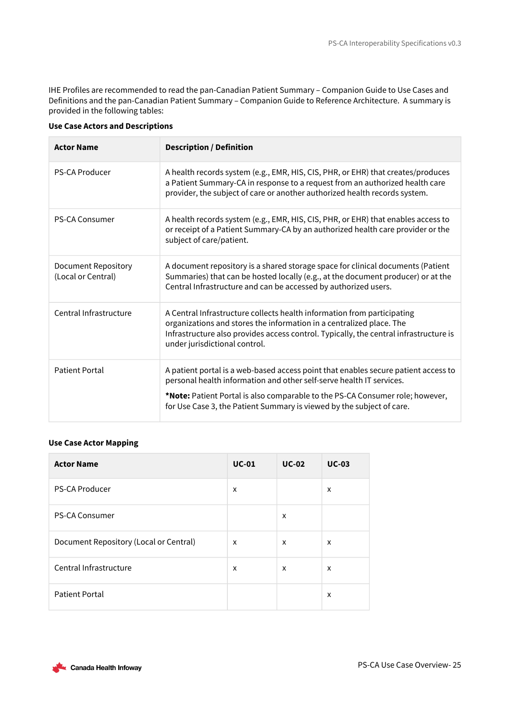IHE Profiles are recommended to read the pan-Canadian Patient Summary – Companion Guide to Use Cases and Definitions and the pan-Canadian Patient Summary – Companion Guide to Reference Architecture. A summary is provided in the following tables:

| <b>Actor Name</b>                                | <b>Description / Definition</b>                                                                                                                                                                                                                                           |
|--------------------------------------------------|---------------------------------------------------------------------------------------------------------------------------------------------------------------------------------------------------------------------------------------------------------------------------|
| <b>PS-CA Producer</b>                            | A health records system (e.g., EMR, HIS, CIS, PHR, or EHR) that creates/produces<br>a Patient Summary-CA in response to a request from an authorized health care<br>provider, the subject of care or another authorized health records system.                            |
| <b>PS-CA Consumer</b>                            | A health records system (e.g., EMR, HIS, CIS, PHR, or EHR) that enables access to<br>or receipt of a Patient Summary-CA by an authorized health care provider or the<br>subject of care/patient.                                                                          |
| <b>Document Repository</b><br>(Local or Central) | A document repository is a shared storage space for clinical documents (Patient<br>Summaries) that can be hosted locally (e.g., at the document producer) or at the<br>Central Infrastructure and can be accessed by authorized users.                                    |
| Central Infrastructure                           | A Central Infrastructure collects health information from participating<br>organizations and stores the information in a centralized place. The<br>Infrastructure also provides access control. Typically, the central infrastructure is<br>under jurisdictional control. |
| <b>Patient Portal</b>                            | A patient portal is a web-based access point that enables secure patient access to<br>personal health information and other self-serve health IT services.                                                                                                                |
|                                                  | *Note: Patient Portal is also comparable to the PS-CA Consumer role; however,<br>for Use Case 3, the Patient Summary is viewed by the subject of care.                                                                                                                    |

## **Use Case Actors and Descriptions**

## **Use Case Actor Mapping**

| <b>Actor Name</b>                      | <b>UC-01</b> | $UC-02$ | <b>UC-03</b> |
|----------------------------------------|--------------|---------|--------------|
| <b>PS-CA Producer</b>                  | X            |         | X            |
| <b>PS-CA Consumer</b>                  |              | x       |              |
| Document Repository (Local or Central) | X            | X       | X            |
| Central Infrastructure                 | X            | X       | X            |
| <b>Patient Portal</b>                  |              |         | X            |

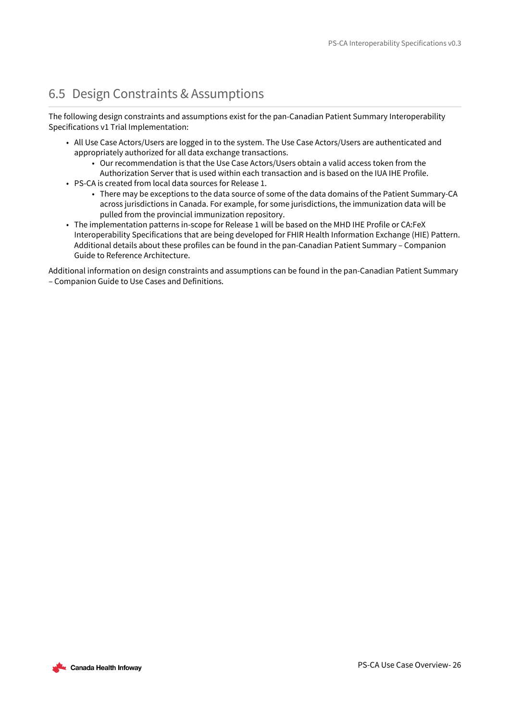## <span id="page-25-0"></span>6.5 Design Constraints & Assumptions

The following design constraints and assumptions exist for the pan-Canadian Patient Summary Interoperability Specifications v1 Trial Implementation:

- All Use Case Actors/Users are logged in to the system. The Use Case Actors/Users are authenticated and appropriately authorized for all data exchange transactions.
	- Our recommendation is that the Use Case Actors/Users obtain a valid access token from the Authorization Server that is used within each transaction and is based on the IUA IHE Profile.
- PS-CA is created from local data sources for Release 1.
	- There may be exceptions to the data source of some of the data domains of the Patient Summary-CA across jurisdictions in Canada. For example, for some jurisdictions, the immunization data will be pulled from the provincial immunization repository.
- The implementation patterns in-scope for Release 1 will be based on the MHD IHE Profile or CA:FeX Interoperability Specifications that are being developed for FHIR Health Information Exchange (HIE) Pattern. Additional details about these profiles can be found in the pan-Canadian Patient Summary – Companion Guide to Reference Architecture.

Additional information on design constraints and assumptions can be found in the pan-Canadian Patient Summary – Companion Guide to Use Cases and Definitions.

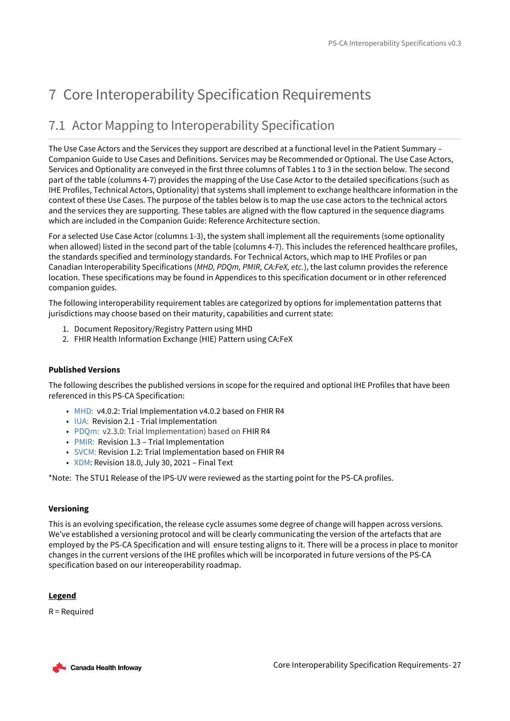# <span id="page-26-0"></span>7 Core Interoperability Specification Requirements

## <span id="page-26-1"></span>7.1 Actor Mapping to Interoperability Specification

The Use Case Actors and the Services they support are described at a functional level in the Patient Summary – Companion Guide to Use Cases and Definitions. Services may be Recommended or Optional. The Use Case Actors, Services and Optionality are conveyed in the first three columns of Tables 1 to 3 in the section below. The second part of the table (columns 4-7) provides the mapping of the Use Case Actor to the detailed specifications (such as IHE Profiles, Technical Actors, Optionality) that systems shall implement to exchange healthcare information in the context of these Use Cases. The purpose of the tables below is to map the use case actors to the technical actors and the services they are supporting. These tables are aligned with the flow captured in the sequence diagrams which are included in the Companion Guide: Reference Architecture section.

For a selected Use Case Actor (columns 1-3), the system shall implement all the requirements (some optionality when allowed) listed in the second part of the table (columns 4-7). This includes the referenced healthcare profiles, the standards specified and terminology standards. For Technical Actors, which map to IHE Profiles or pan Canadian Interoperability Specifications (*MHD, PDQm, PMIR, CA:FeX, etc.*), the last column provides the reference location. These specifications may be found in Appendices to this specification document or in other referenced companion guides.

The following interoperability requirement tables are categorized by options for implementation patterns that jurisdictions may choose based on their maturity, capabilities and current state:

- 1. Document Repository/Registry Pattern using MHD
- 2. FHIR Health Information Exchange (HIE) Pattern using CA:FeX

### **Published Versions**

The following describes the published versions in scope for the required and optional IHE Profiles that have been referenced in this PS-CA Specification:

- [MHD:](https://profiles.ihe.net/ITI/MHD/index.html) v4.0.2: Trial Implementation v4.0.2 based on FHIR R4
- [IUA:](https://profiles.ihe.net/ITI/IUA/index.html) Revision 2.1 Trial Implementation
- [PDQm:](https://profiles.ihe.net/ITI/PDQm/index.html) v2.3.0: Trial Implementation) based on FHIR R4
- [PMIR:](https://www.ihe.net/uploadedFiles/Documents/ITI/IHE_ITI_Suppl_PMIR.pdf) Revision 1.3 Trial Implementation
- [SVCM:](https://www.ihe.net/uploadedFiles/Documents/ITI/IHE_ITI_Suppl_SVCM.pdf) Revision 1.2: Trial Implementation based on FHIR R4
- [XDM](https://profiles.ihe.net/ITI/TF/Volume1/ch-16.html#16): Revision 18.0, July 30, 2021 Final Text

\*Note: The STU1 Release of the IPS-UV were reviewed as the starting point for the PS-CA profiles.

### **Versioning**

This is an evolving specification, the release cycle assumes some degree of change will happen across versions. We've established a versioning protocol and will be clearly communicating the version of the artefacts that are employed by the PS-CA Specification and will ensure testing aligns to it. There will be a process in place to monitor changes in the current versions of the IHE profiles which will be incorporated in future versions of the PS-CA specification based on our intereoperability roadmap.

### **Legend**

R = Required

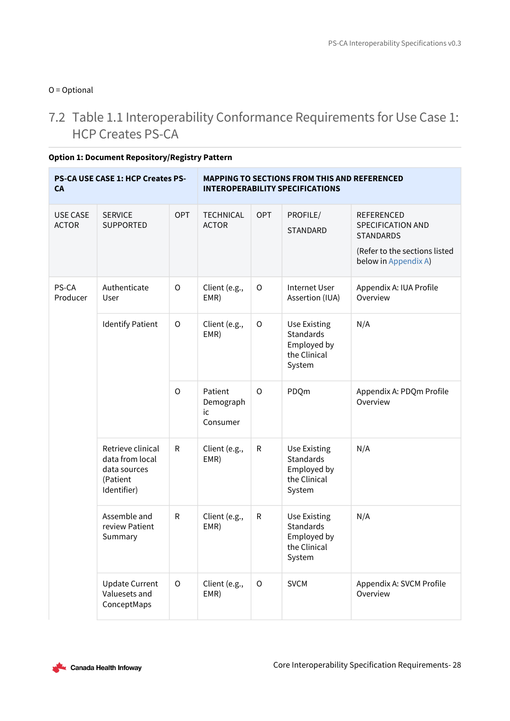## O = Optional

## <span id="page-27-0"></span>7.2 Table 1.1 Interoperability Conformance Requirements for Use Case 1: HCP Creates PS-CA

| <b>CA</b>                       | <b>PS-CA USE CASE 1: HCP Creates PS-</b>                                        |              |                                        | <b>MAPPING TO SECTIONS FROM THIS AND REFERENCED</b><br><b>INTEROPERABILITY SPECIFICATIONS</b> |                                                                                  |                                                                                                                     |  |  |  |
|---------------------------------|---------------------------------------------------------------------------------|--------------|----------------------------------------|-----------------------------------------------------------------------------------------------|----------------------------------------------------------------------------------|---------------------------------------------------------------------------------------------------------------------|--|--|--|
| <b>USE CASE</b><br><b>ACTOR</b> | <b>SERVICE</b><br>SUPPORTED                                                     | <b>OPT</b>   | <b>TECHNICAL</b><br><b>ACTOR</b>       | <b>OPT</b>                                                                                    | PROFILE/<br>STANDARD                                                             | REFERENCED<br><b>SPECIFICATION AND</b><br><b>STANDARDS</b><br>(Refer to the sections listed<br>below in Appendix A) |  |  |  |
| PS-CA<br>Producer               | Authenticate<br>User                                                            | $\mathsf{O}$ | Client (e.g.,<br>EMR)                  | $\mathsf O$                                                                                   | <b>Internet User</b><br>Assertion (IUA)                                          | Appendix A: IUA Profile<br>Overview                                                                                 |  |  |  |
|                                 | <b>Identify Patient</b>                                                         | $\mathsf O$  | Client (e.g.,<br>EMR)                  | $\mathsf O$                                                                                   | <b>Use Existing</b><br>Standards<br>Employed by<br>the Clinical<br>System        | N/A                                                                                                                 |  |  |  |
|                                 |                                                                                 | $\mathsf{O}$ | Patient<br>Demograph<br>ic<br>Consumer | O                                                                                             | PDQm                                                                             | Appendix A: PDQm Profile<br>Overview                                                                                |  |  |  |
|                                 | Retrieve clinical<br>data from local<br>data sources<br>(Patient<br>Identifier) | ${\sf R}$    | Client (e.g.,<br>EMR)                  | ${\sf R}$                                                                                     | <b>Use Existing</b><br><b>Standards</b><br>Employed by<br>the Clinical<br>System | N/A                                                                                                                 |  |  |  |
|                                 | Assemble and<br>review Patient<br>Summary                                       | ${\sf R}$    | Client (e.g.,<br>EMR)                  | ${\sf R}$                                                                                     | <b>Use Existing</b><br>Standards<br>Employed by<br>the Clinical<br>System        | N/A                                                                                                                 |  |  |  |
|                                 | <b>Update Current</b><br>Valuesets and<br>ConceptMaps                           | O            | Client (e.g.,<br>EMR)                  | $\circ$                                                                                       | <b>SVCM</b>                                                                      | Appendix A: SVCM Profile<br>Overview                                                                                |  |  |  |

**Option 1: Document Repository/Registry Pattern**

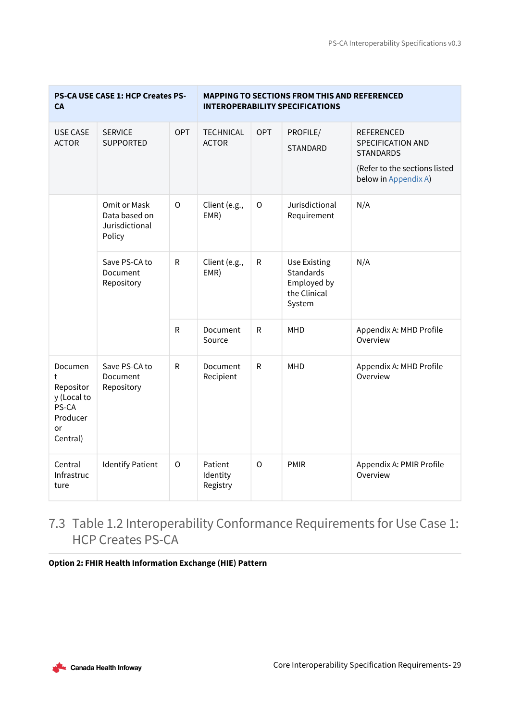| <b>CA</b>                                                                       | PS-CA USE CASE 1: HCP Creates PS-                         |              |                                  |              | <b>MAPPING TO SECTIONS FROM THIS AND REFERENCED</b><br><b>INTEROPERABILITY SPECIFICATIONS</b> |                                                                                                              |
|---------------------------------------------------------------------------------|-----------------------------------------------------------|--------------|----------------------------------|--------------|-----------------------------------------------------------------------------------------------|--------------------------------------------------------------------------------------------------------------|
| USE CASE<br><b>ACTOR</b>                                                        | <b>SERVICE</b><br><b>SUPPORTED</b>                        | OPT          | <b>TECHNICAL</b><br><b>ACTOR</b> | OPT          | PROFILE/<br>STANDARD                                                                          | REFERENCED<br>SPECIFICATION AND<br><b>STANDARDS</b><br>(Refer to the sections listed<br>below in Appendix A) |
|                                                                                 | Omit or Mask<br>Data based on<br>Jurisdictional<br>Policy | $\circ$      | Client (e.g.,<br>EMR)            | O            | Jurisdictional<br>Requirement                                                                 | N/A                                                                                                          |
|                                                                                 | Save PS-CA to<br>Document<br>Repository                   | $\mathsf R$  | Client (e.g.,<br>EMR)            | $\mathsf{R}$ | <b>Use Existing</b><br><b>Standards</b><br>Employed by<br>the Clinical<br>System              | N/A                                                                                                          |
|                                                                                 |                                                           | $\mathsf R$  | Document<br>Source               | ${\sf R}$    | MHD                                                                                           | Appendix A: MHD Profile<br>Overview                                                                          |
| Documen<br>t<br>Repositor<br>y (Local to<br>PS-CA<br>Producer<br>or<br>Central) | Save PS-CA to<br>Document<br>Repository                   | $\mathsf R$  | Document<br>Recipient            | $\mathsf{R}$ | <b>MHD</b>                                                                                    | Appendix A: MHD Profile<br>Overview                                                                          |
| Central<br>Infrastruc<br>ture                                                   | <b>Identify Patient</b>                                   | $\mathsf{O}$ | Patient<br>Identity<br>Registry  | $\circ$      | PMIR                                                                                          | Appendix A: PMIR Profile<br>Overview                                                                         |

## <span id="page-28-0"></span>7.3 Table 1.2 Interoperability Conformance Requirements for Use Case 1: HCP Creates PS-CA

**Option 2: FHIR Health Information Exchange (HIE) Pattern**

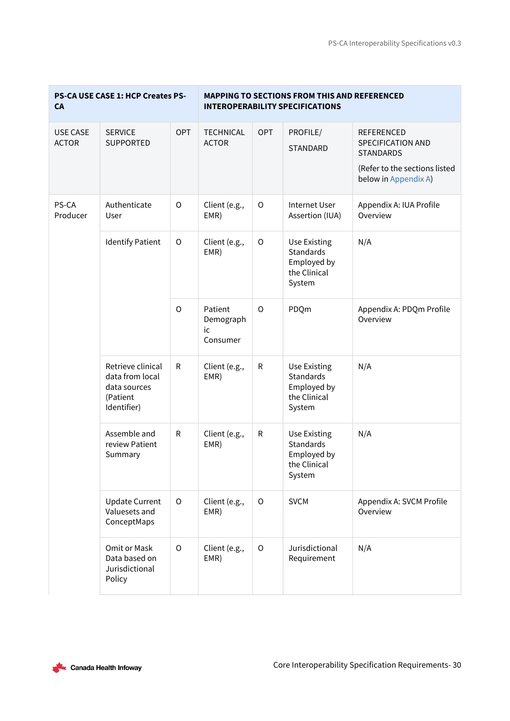| <b>CA</b>                       | PS-CA USE CASE 1: HCP Creates PS-                                               |             |                                        |             | <b>MAPPING TO SECTIONS FROM THIS AND REFERENCED</b><br><b>INTEROPERABILITY SPECIFICATIONS</b> |                                                                                                                            |
|---------------------------------|---------------------------------------------------------------------------------|-------------|----------------------------------------|-------------|-----------------------------------------------------------------------------------------------|----------------------------------------------------------------------------------------------------------------------------|
| <b>USE CASE</b><br><b>ACTOR</b> | <b>SERVICE</b><br><b>SUPPORTED</b>                                              | <b>OPT</b>  | <b>TECHNICAL</b><br><b>ACTOR</b>       | <b>OPT</b>  | PROFILE/<br><b>STANDARD</b>                                                                   | <b>REFERENCED</b><br><b>SPECIFICATION AND</b><br><b>STANDARDS</b><br>(Refer to the sections listed<br>below in Appendix A) |
| PS-CA<br>Producer               | Authenticate<br>User                                                            | O           | Client (e.g.,<br>EMR)                  | $\mathsf O$ | <b>Internet User</b><br>Assertion (IUA)                                                       | Appendix A: IUA Profile<br>Overview                                                                                        |
|                                 | <b>Identify Patient</b>                                                         | O           | Client (e.g.,<br>EMR)                  | $\circ$     | <b>Use Existing</b><br><b>Standards</b><br>Employed by<br>the Clinical<br>System              | N/A                                                                                                                        |
|                                 |                                                                                 | $\circ$     | Patient<br>Demograph<br>ic<br>Consumer | $\Omega$    | PDQm                                                                                          | Appendix A: PDQm Profile<br>Overview                                                                                       |
|                                 | Retrieve clinical<br>data from local<br>data sources<br>(Patient<br>Identifier) | ${\sf R}$   | Client (e.g.,<br>EMR)                  | ${\sf R}$   | <b>Use Existing</b><br><b>Standards</b><br>Employed by<br>the Clinical<br>System              | N/A                                                                                                                        |
|                                 | Assemble and<br>review Patient<br>Summary                                       | ${\sf R}$   | Client (e.g.,<br>EMR)                  | ${\sf R}$   | <b>Use Existing</b><br><b>Standards</b><br>Employed by<br>the Clinical<br>System              | N/A                                                                                                                        |
|                                 | <b>Update Current</b><br>Valuesets and<br>ConceptMaps                           | O           | Client (e.g.,<br>EMR)                  | $\circ$     | <b>SVCM</b>                                                                                   | Appendix A: SVCM Profile<br>Overview                                                                                       |
|                                 | Omit or Mask<br>Data based on<br>Jurisdictional<br>Policy                       | $\mathsf O$ | Client (e.g.,<br>EMR)                  | $\mathsf O$ | Jurisdictional<br>Requirement                                                                 | N/A                                                                                                                        |

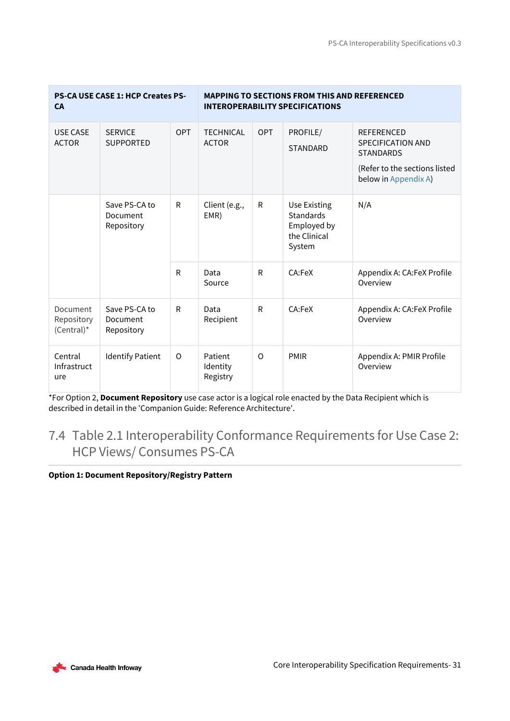| <b>CA</b>                            | <b>PS-CA USE CASE 1: HCP Creates PS-</b> |          |                                  |            | <b>MAPPING TO SECTIONS FROM THIS AND REFERENCED</b><br><b>INTEROPERABILITY SPECIFICATIONS</b> |                                                                                                                     |
|--------------------------------------|------------------------------------------|----------|----------------------------------|------------|-----------------------------------------------------------------------------------------------|---------------------------------------------------------------------------------------------------------------------|
| <b>USE CASE</b><br><b>ACTOR</b>      | <b>SERVICE</b><br><b>SUPPORTED</b>       | OPT      | <b>TECHNICAL</b><br><b>ACTOR</b> | <b>OPT</b> | PROFILE/<br><b>STANDARD</b>                                                                   | <b>REFERENCED</b><br>SPECIFICATION AND<br><b>STANDARDS</b><br>(Refer to the sections listed<br>below in Appendix A) |
|                                      | Save PS-CA to<br>Document<br>Repository  | R        | Client (e.g.,<br>EMR)            | R          | Use Existing<br><b>Standards</b><br>Employed by<br>the Clinical<br>System                     | N/A                                                                                                                 |
|                                      |                                          | R        | Data<br>Source                   | R          | CA:FeX                                                                                        | Appendix A: CA:FeX Profile<br>Overview                                                                              |
| Document<br>Repository<br>(Central)* | Save PS-CA to<br>Document<br>Repository  | R        | Data<br>Recipient                | R          | CA:FeX                                                                                        | Appendix A: CA:FeX Profile<br>Overview                                                                              |
| Central<br>Infrastruct<br>ure        | <b>Identify Patient</b>                  | $\Omega$ | Patient<br>Identity<br>Registry  | O          | <b>PMIR</b>                                                                                   | Appendix A: PMIR Profile<br>Overview                                                                                |

\*For Option 2, **Document Repository** use case actor is a logical role enacted by the Data Recipient which is described in detail in the 'Companion Guide: Reference Architecture'.

## <span id="page-30-0"></span>7.4 Table 2.1 Interoperability Conformance Requirements for Use Case 2: HCP Views/ Consumes PS-CA

## **Option 1: Document Repository/Registry Pattern**

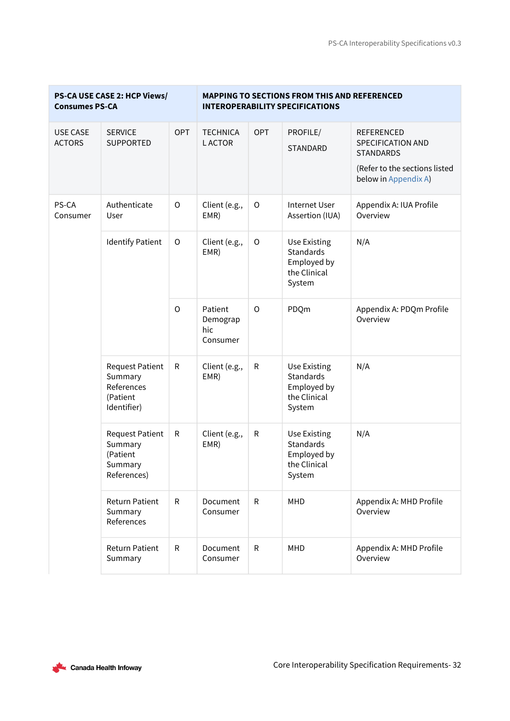| <b>Consumes PS-CA</b>            | PS-CA USE CASE 2: HCP Views/                                               |              |                                        |              | <b>MAPPING TO SECTIONS FROM THIS AND REFERENCED</b><br><b>INTEROPERABILITY SPECIFICATIONS</b> |                                                                                                                            |
|----------------------------------|----------------------------------------------------------------------------|--------------|----------------------------------------|--------------|-----------------------------------------------------------------------------------------------|----------------------------------------------------------------------------------------------------------------------------|
| <b>USE CASE</b><br><b>ACTORS</b> | <b>SERVICE</b><br><b>SUPPORTED</b>                                         | <b>OPT</b>   | <b>TECHNICA</b><br><b>LACTOR</b>       | <b>OPT</b>   | PROFILE/<br><b>STANDARD</b>                                                                   | <b>REFERENCED</b><br><b>SPECIFICATION AND</b><br><b>STANDARDS</b><br>(Refer to the sections listed<br>below in Appendix A) |
| PS-CA<br>Consumer                | Authenticate<br>User                                                       | $\circ$      | Client (e.g.,<br>EMR)                  | $\mathsf O$  | Internet User<br>Assertion (IUA)                                                              | Appendix A: IUA Profile<br>Overview                                                                                        |
|                                  | <b>Identify Patient</b>                                                    | $\circ$      | Client (e.g.,<br>EMR)                  | $\circ$      | Use Existing<br><b>Standards</b><br>Employed by<br>the Clinical<br>System                     | N/A                                                                                                                        |
|                                  |                                                                            | $\circ$      | Patient<br>Demograp<br>hic<br>Consumer | $\circ$      | PDQm                                                                                          | Appendix A: PDQm Profile<br>Overview                                                                                       |
|                                  | <b>Request Patient</b><br>Summary<br>References<br>(Patient<br>Identifier) | $\mathsf{R}$ | Client (e.g.,<br>EMR)                  | ${\sf R}$    | Use Existing<br>Standards<br>Employed by<br>the Clinical<br>System                            | N/A                                                                                                                        |
|                                  | <b>Request Patient</b><br>Summary<br>(Patient<br>Summary<br>References)    | $\mathsf{R}$ | Client (e.g.,<br>EMR)                  | ${\sf R}$    | Use Existing<br>Standards<br>Employed by<br>the Clinical<br>System                            | N/A                                                                                                                        |
|                                  | <b>Return Patient</b><br>Summary<br>References                             | R            | Document<br>Consumer                   | ${\sf R}$    | MHD                                                                                           | Appendix A: MHD Profile<br>Overview                                                                                        |
|                                  | <b>Return Patient</b><br>Summary                                           | R            | Document<br>Consumer                   | $\mathsf{R}$ | MHD                                                                                           | Appendix A: MHD Profile<br>Overview                                                                                        |

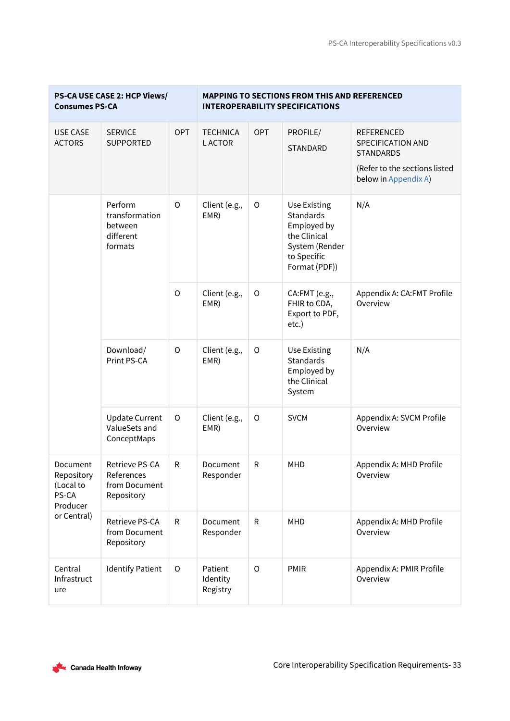| <b>Consumes PS-CA</b>                                    | PS-CA USE CASE 2: HCP Views/                                 |             |                                  |             | <b>MAPPING TO SECTIONS FROM THIS AND REFERENCED</b><br><b>INTEROPERABILITY SPECIFICATIONS</b>              |                                                                                                                            |
|----------------------------------------------------------|--------------------------------------------------------------|-------------|----------------------------------|-------------|------------------------------------------------------------------------------------------------------------|----------------------------------------------------------------------------------------------------------------------------|
| <b>USE CASE</b><br><b>ACTORS</b>                         | <b>SERVICE</b><br><b>SUPPORTED</b>                           | <b>OPT</b>  | <b>TECHNICA</b><br><b>LACTOR</b> | <b>OPT</b>  | PROFILE/<br><b>STANDARD</b>                                                                                | <b>REFERENCED</b><br><b>SPECIFICATION AND</b><br><b>STANDARDS</b><br>(Refer to the sections listed<br>below in Appendix A) |
|                                                          | Perform<br>transformation<br>between<br>different<br>formats | $\circ$     | Client (e.g.,<br>EMR)            | $\mathsf O$ | Use Existing<br>Standards<br>Employed by<br>the Clinical<br>System (Render<br>to Specific<br>Format (PDF)) | N/A                                                                                                                        |
|                                                          |                                                              | $\circ$     | Client (e.g.,<br>EMR)            | $\circ$     | CA:FMT (e.g.,<br>FHIR to CDA,<br>Export to PDF,<br>etc.)                                                   | Appendix A: CA:FMT Profile<br>Overview                                                                                     |
|                                                          | Download/<br>Print PS-CA                                     | $\mathsf O$ | Client (e.g.,<br>EMR)            | $\circ$     | Use Existing<br>Standards<br>Employed by<br>the Clinical<br>System                                         | N/A                                                                                                                        |
|                                                          | <b>Update Current</b><br>ValueSets and<br>ConceptMaps        | O           | Client (e.g.,<br>EMR)            | O           | <b>SVCM</b>                                                                                                | Appendix A: SVCM Profile<br>Overview                                                                                       |
| Document<br>Repository<br>(Local to<br>PS-CA<br>Producer | Retrieve PS-CA<br>References<br>from Document<br>Repository  | ${\sf R}$   | Document<br>Responder            | R           | <b>MHD</b>                                                                                                 | Appendix A: MHD Profile<br>Overview                                                                                        |
| or Central)                                              | Retrieve PS-CA<br>from Document<br>Repository                | R           | Document<br>Responder            | R           | MHD                                                                                                        | Appendix A: MHD Profile<br>Overview                                                                                        |
| Central<br>Infrastruct<br>ure                            | <b>Identify Patient</b>                                      | $\mathsf O$ | Patient<br>Identity<br>Registry  | $\circ$     | <b>PMIR</b>                                                                                                | Appendix A: PMIR Profile<br>Overview                                                                                       |

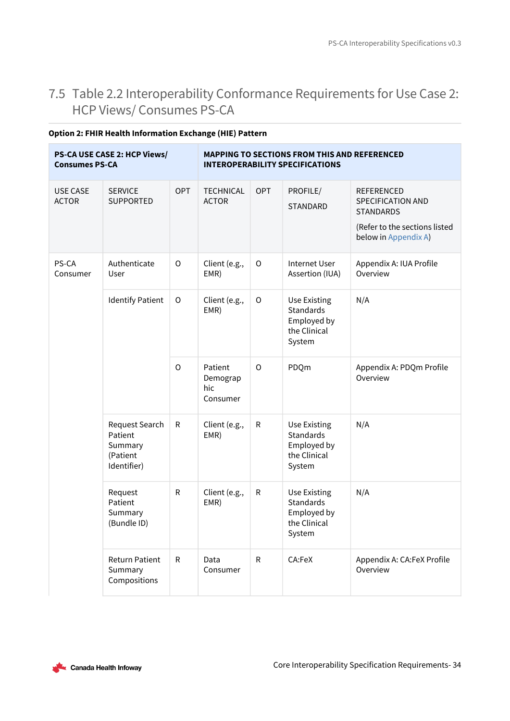## <span id="page-33-0"></span>7.5 Table 2.2 Interoperability Conformance Requirements for Use Case 2: HCP Views/ Consumes PS-CA

| <b>Consumes PS-CA</b>           | PS-CA USE CASE 2: HCP Views/                                    |             |                                        |              | <b>MAPPING TO SECTIONS FROM THIS AND REFERENCED</b><br><b>INTEROPERABILITY SPECIFICATIONS</b> |                                                                                                                     |
|---------------------------------|-----------------------------------------------------------------|-------------|----------------------------------------|--------------|-----------------------------------------------------------------------------------------------|---------------------------------------------------------------------------------------------------------------------|
| <b>USE CASE</b><br><b>ACTOR</b> | <b>SERVICE</b><br><b>SUPPORTED</b>                              | <b>OPT</b>  | <b>TECHNICAL</b><br><b>ACTOR</b>       | <b>OPT</b>   | PROFILE/<br><b>STANDARD</b>                                                                   | <b>REFERENCED</b><br>SPECIFICATION AND<br><b>STANDARDS</b><br>(Refer to the sections listed<br>below in Appendix A) |
| PS-CA<br>Consumer               | Authenticate<br>User                                            | $\circ$     | Client (e.g.,<br>EMR)                  | $\mathsf O$  | <b>Internet User</b><br>Assertion (IUA)                                                       | Appendix A: IUA Profile<br>Overview                                                                                 |
|                                 | <b>Identify Patient</b>                                         | $\mathsf O$ | Client (e.g.,<br>EMR)                  | $\circ$      | <b>Use Existing</b><br><b>Standards</b><br>Employed by<br>the Clinical<br>System              | N/A                                                                                                                 |
|                                 |                                                                 | $\circ$     | Patient<br>Demograp<br>hic<br>Consumer | $\mathsf O$  | PDQm                                                                                          | Appendix A: PDQm Profile<br>Overview                                                                                |
|                                 | Request Search<br>Patient<br>Summary<br>(Patient<br>Identifier) | ${\sf R}$   | Client (e.g.,<br>EMR)                  | $\mathsf{R}$ | <b>Use Existing</b><br><b>Standards</b><br>Employed by<br>the Clinical<br>System              | N/A                                                                                                                 |
|                                 | Request<br>Patient<br>Summary<br>(Bundle ID)                    | ${\sf R}$   | Client (e.g.,<br>EMR)                  | ${\sf R}$    | Use Existing<br>Standards<br>Employed by<br>the Clinical<br>System                            | N/A                                                                                                                 |
|                                 | <b>Return Patient</b><br>Summary<br>Compositions                | R           | Data<br>Consumer                       | R            | CA:FeX                                                                                        | Appendix A: CA:FeX Profile<br>Overview                                                                              |

## **Option 2: FHIR Health Information Exchange (HIE) Pattern**

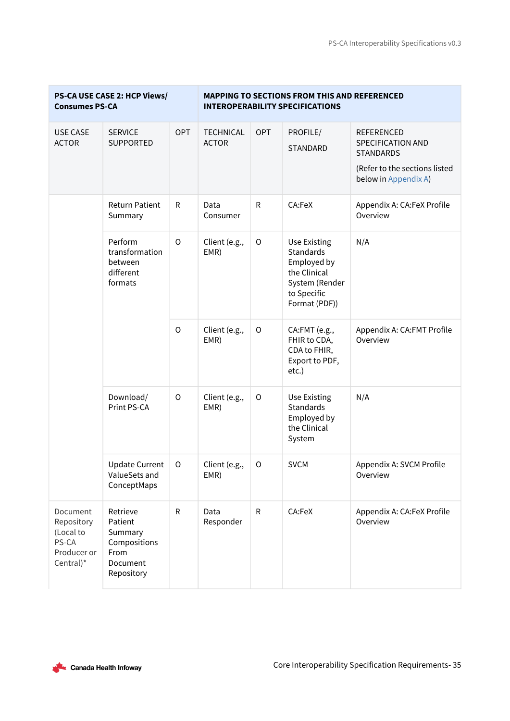| <b>PS-CA USE CASE 2: HCP Views/</b><br><b>Consumes PS-CA</b>                             |                                                                                  | <b>MAPPING TO SECTIONS FROM THIS AND REFERENCED</b><br><b>INTEROPERABILITY SPECIFICATIONS</b> |                                  |                                                                                                                          |                                                                                  |                                                                                                    |
|------------------------------------------------------------------------------------------|----------------------------------------------------------------------------------|-----------------------------------------------------------------------------------------------|----------------------------------|--------------------------------------------------------------------------------------------------------------------------|----------------------------------------------------------------------------------|----------------------------------------------------------------------------------------------------|
| <b>USE CASE</b><br><b>ACTOR</b>                                                          | <b>SERVICE</b><br><b>SUPPORTED</b>                                               | <b>OPT</b>                                                                                    | <b>TECHNICAL</b><br><b>ACTOR</b> | <b>OPT</b>                                                                                                               | PROFILE/<br>STANDARD                                                             | <b>REFERENCED</b><br><b>SPECIFICATION AND</b><br><b>STANDARDS</b><br>(Refer to the sections listed |
|                                                                                          |                                                                                  |                                                                                               |                                  |                                                                                                                          |                                                                                  | below in Appendix A)                                                                               |
|                                                                                          | <b>Return Patient</b><br>Summary                                                 | R                                                                                             | Data<br>Consumer                 | R                                                                                                                        | CA:FeX                                                                           | Appendix A: CA:FeX Profile<br>Overview                                                             |
| Perform<br>transformation<br>between<br>different<br>formats<br>Download/<br>Print PS-CA | $\mathsf{O}$                                                                     | Client (e.g.,<br>EMR)                                                                         | $\circ$                          | <b>Use Existing</b><br><b>Standards</b><br>Employed by<br>the Clinical<br>System (Render<br>to Specific<br>Format (PDF)) | N/A                                                                              |                                                                                                    |
|                                                                                          |                                                                                  | $\mathsf O$                                                                                   | Client (e.g.,<br>EMR)            | $\circ$                                                                                                                  | CA:FMT (e.g.,<br>FHIR to CDA,<br>CDA to FHIR,<br>Export to PDF,<br>$etc.$ )      | Appendix A: CA:FMT Profile<br>Overview                                                             |
|                                                                                          |                                                                                  | $\mathsf O$                                                                                   | Client (e.g.,<br>EMR)            | $\circ$                                                                                                                  | <b>Use Existing</b><br><b>Standards</b><br>Employed by<br>the Clinical<br>System | N/A                                                                                                |
|                                                                                          | <b>Update Current</b><br>ValueSets and<br>ConceptMaps                            | O                                                                                             | Client (e.g.,<br>EMR)            | O                                                                                                                        | <b>SVCM</b>                                                                      | Appendix A: SVCM Profile<br>Overview                                                               |
| Document<br>Repository<br>(Local to<br>PS-CA<br>Producer or<br>Central)*                 | Retrieve<br>Patient<br>Summary<br>Compositions<br>From<br>Document<br>Repository | $\mathsf{R}$                                                                                  | Data<br>Responder                | $\mathsf{R}$                                                                                                             | CA:FeX                                                                           | Appendix A: CA:FeX Profile<br>Overview                                                             |

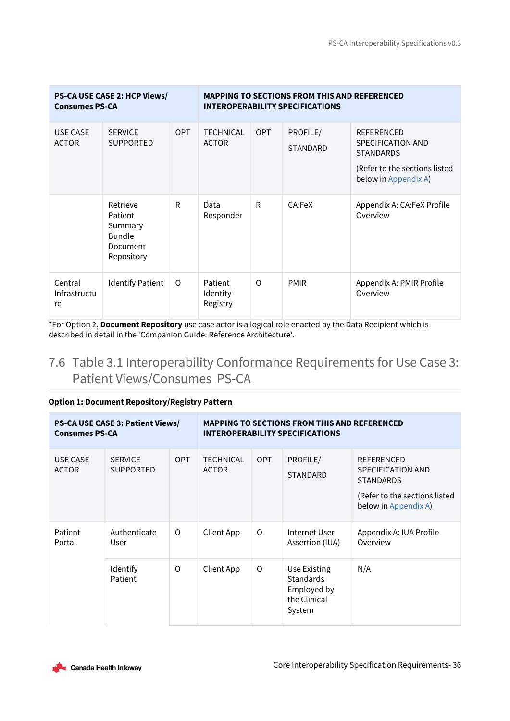| <b>PS-CA USE CASE 2: HCP Views/</b><br><b>Consumes PS-CA</b> |                                                                           |            | <b>MAPPING TO SECTIONS FROM THIS AND REFERENCED</b><br><b>INTEROPERABILITY SPECIFICATIONS</b> |            |                             |                                                                                                                     |  |
|--------------------------------------------------------------|---------------------------------------------------------------------------|------------|-----------------------------------------------------------------------------------------------|------------|-----------------------------|---------------------------------------------------------------------------------------------------------------------|--|
| <b>USE CASE</b><br><b>ACTOR</b>                              | <b>SERVICE</b><br><b>SUPPORTED</b>                                        | <b>OPT</b> | <b>TECHNICAL</b><br><b>ACTOR</b>                                                              | <b>OPT</b> | PROFILE/<br><b>STANDARD</b> | <b>REFERENCED</b><br>SPECIFICATION AND<br><b>STANDARDS</b><br>(Refer to the sections listed<br>below in Appendix A) |  |
|                                                              | Retrieve<br>Patient<br>Summary<br><b>Bundle</b><br>Document<br>Repository | R          | Data<br>Responder                                                                             | R          | CA:FeX                      | Appendix A: CA:FeX Profile<br>Overview                                                                              |  |
| Central<br>Infrastructu<br>re                                | <b>Identify Patient</b>                                                   | $\Omega$   | Patient<br>Identity<br>Registry                                                               | $\Omega$   | <b>PMIR</b>                 | Appendix A: PMIR Profile<br>Overview                                                                                |  |

\*For Option 2, **Document Repository** use case actor is a logical role enacted by the Data Recipient which is described in detail in the 'Companion Guide: Reference Architecture'.

## <span id="page-35-0"></span>7.6 Table 3.1 Interoperability Conformance Requirements for Use Case 3: Patient Views/Consumes PS-CA

## **Option 1: Document Repository/Registry Pattern**

| <b>PS-CA USE CASE 3: Patient Views/</b><br><b>Consumes PS-CA</b> |                                    | <b>MAPPING TO SECTIONS FROM THIS AND REFERENCED</b><br><b>INTEROPERABILITY SPECIFICATIONS</b> |                                  |            |                                                                           |                                                                                                                     |
|------------------------------------------------------------------|------------------------------------|-----------------------------------------------------------------------------------------------|----------------------------------|------------|---------------------------------------------------------------------------|---------------------------------------------------------------------------------------------------------------------|
| USE CASE<br><b>ACTOR</b>                                         | <b>SERVICE</b><br><b>SUPPORTED</b> | <b>OPT</b>                                                                                    | <b>TECHNICAL</b><br><b>ACTOR</b> | <b>OPT</b> | PROFILE/<br><b>STANDARD</b>                                               | <b>REFERENCED</b><br>SPECIFICATION AND<br><b>STANDARDS</b><br>(Refer to the sections listed<br>below in Appendix A) |
| Patient<br>Portal                                                | Authenticate<br>User               | $\Omega$                                                                                      | Client App                       | O          | Internet User<br>Assertion (IUA)                                          | Appendix A: IUA Profile<br>Overview                                                                                 |
|                                                                  | Identify<br>Patient                | $\Omega$                                                                                      | Client App                       | 0          | Use Existing<br><b>Standards</b><br>Employed by<br>the Clinical<br>System | N/A                                                                                                                 |

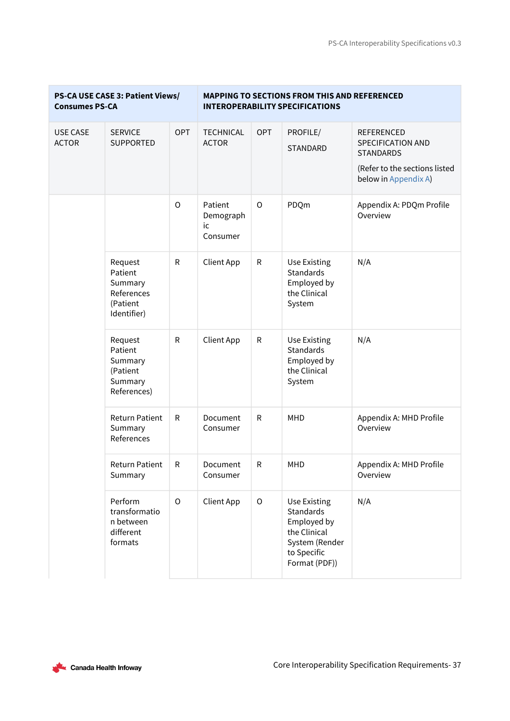÷,

| PS-CA USE CASE 3: Patient Views/<br><b>Consumes PS-CA</b> |                                                                        | <b>MAPPING TO SECTIONS FROM THIS AND REFERENCED</b><br><b>INTEROPERABILITY SPECIFICATIONS</b> |                                        |              |                                                                                                            |                                                                                                                     |
|-----------------------------------------------------------|------------------------------------------------------------------------|-----------------------------------------------------------------------------------------------|----------------------------------------|--------------|------------------------------------------------------------------------------------------------------------|---------------------------------------------------------------------------------------------------------------------|
| <b>USE CASE</b><br><b>ACTOR</b>                           | <b>SERVICE</b><br><b>SUPPORTED</b>                                     | <b>OPT</b>                                                                                    | <b>TECHNICAL</b><br><b>ACTOR</b>       | <b>OPT</b>   | PROFILE/<br><b>STANDARD</b>                                                                                | <b>REFERENCED</b><br>SPECIFICATION AND<br><b>STANDARDS</b><br>(Refer to the sections listed<br>below in Appendix A) |
|                                                           |                                                                        | $\circ$                                                                                       | Patient<br>Demograph<br>ic<br>Consumer | $\circ$      | PDQm                                                                                                       | Appendix A: PDQm Profile<br>Overview                                                                                |
|                                                           | Request<br>Patient<br>Summary<br>References<br>(Patient<br>Identifier) | R                                                                                             | Client App                             | ${\sf R}$    | <b>Use Existing</b><br><b>Standards</b><br>Employed by<br>the Clinical<br>System                           | N/A                                                                                                                 |
|                                                           | Request<br>Patient<br>Summary<br>(Patient<br>Summary<br>References)    | ${\sf R}$                                                                                     | <b>Client App</b>                      | ${\sf R}$    | Use Existing<br><b>Standards</b><br>Employed by<br>the Clinical<br>System                                  | N/A                                                                                                                 |
|                                                           | <b>Return Patient</b><br>Summary<br>References                         | R                                                                                             | Document<br>Consumer                   | $\mathsf{R}$ | <b>MHD</b>                                                                                                 | Appendix A: MHD Profile<br>Overview                                                                                 |
|                                                           | <b>Return Patient</b><br>Summary                                       | R                                                                                             | Document<br>Consumer                   | ${\sf R}$    | MHD                                                                                                        | Appendix A: MHD Profile<br>Overview                                                                                 |
|                                                           | Perform<br>transformatio<br>n between<br>different<br>formats          | $\circ$                                                                                       | Client App                             | $\mathsf O$  | Use Existing<br>Standards<br>Employed by<br>the Clinical<br>System (Render<br>to Specific<br>Format (PDF)) | N/A                                                                                                                 |



×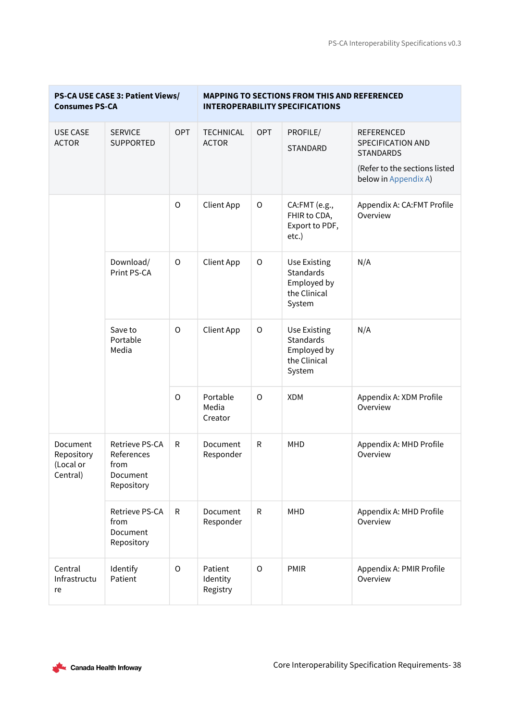| <b>Consumes PS-CA</b>                           | PS-CA USE CASE 3: Patient Views/                               |             | <b>MAPPING TO SECTIONS FROM THIS AND REFERENCED</b><br><b>INTEROPERABILITY SPECIFICATIONS</b> |             |                                                                                  |                                                                                                                            |
|-------------------------------------------------|----------------------------------------------------------------|-------------|-----------------------------------------------------------------------------------------------|-------------|----------------------------------------------------------------------------------|----------------------------------------------------------------------------------------------------------------------------|
| <b>USE CASE</b><br><b>ACTOR</b>                 | <b>SERVICE</b><br>SUPPORTED                                    | OPT         | <b>TECHNICAL</b><br><b>ACTOR</b>                                                              | <b>OPT</b>  | PROFILE/<br><b>STANDARD</b>                                                      | <b>REFERENCED</b><br><b>SPECIFICATION AND</b><br><b>STANDARDS</b><br>(Refer to the sections listed<br>below in Appendix A) |
|                                                 |                                                                | $\circ$     | <b>Client App</b>                                                                             | $\circ$     | CA:FMT (e.g.,<br>FHIR to CDA,<br>Export to PDF,<br>$etc.$ )                      | Appendix A: CA:FMT Profile<br>Overview                                                                                     |
|                                                 | Download/<br>Print PS-CA                                       | $\mathsf O$ | <b>Client App</b>                                                                             | $\mathsf O$ | <b>Use Existing</b><br><b>Standards</b><br>Employed by<br>the Clinical<br>System | N/A                                                                                                                        |
|                                                 | Save to<br>Portable<br>Media                                   | $\mathsf O$ | <b>Client App</b>                                                                             | $\circ$     | <b>Use Existing</b><br><b>Standards</b><br>Employed by<br>the Clinical<br>System | N/A                                                                                                                        |
|                                                 |                                                                | $\circ$     | Portable<br>Media<br>Creator                                                                  | O           | <b>XDM</b>                                                                       | Appendix A: XDM Profile<br>Overview                                                                                        |
| Document<br>Repository<br>(Local or<br>Central) | Retrieve PS-CA<br>References<br>from<br>Document<br>Repository | ${\sf R}$   | Document<br>Responder                                                                         | ${\sf R}$   | <b>MHD</b>                                                                       | Appendix A: MHD Profile<br>Overview                                                                                        |
|                                                 | Retrieve PS-CA<br>from<br>Document<br>Repository               | R           | Document<br>Responder                                                                         | ${\sf R}$   | <b>MHD</b>                                                                       | Appendix A: MHD Profile<br>Overview                                                                                        |
| Central<br>Infrastructu<br>re                   | Identify<br>Patient                                            | O           | Patient<br>Identity<br>Registry                                                               | $\circ$     | <b>PMIR</b>                                                                      | Appendix A: PMIR Profile<br>Overview                                                                                       |

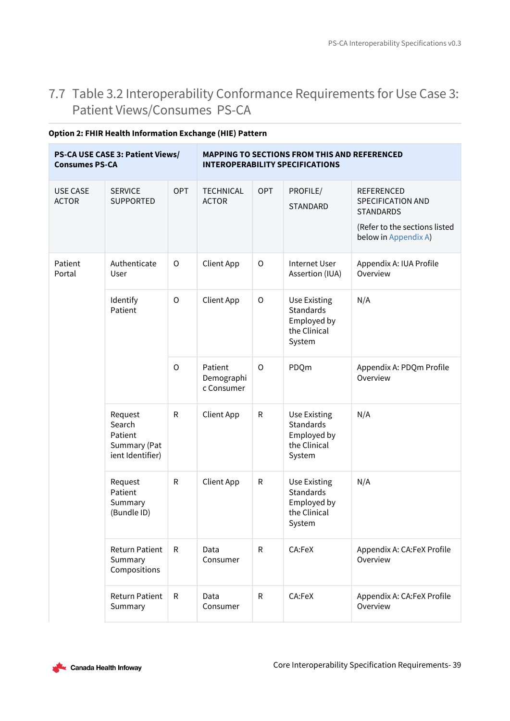## <span id="page-38-0"></span>7.7 Table 3.2 Interoperability Conformance Requirements for Use Case 3: Patient Views/Consumes PS-CA

| <b>Consumes PS-CA</b>           | <b>PS-CA USE CASE 3: Patient Views/</b>                          |              | <b>MAPPING TO SECTIONS FROM THIS AND REFERENCED</b><br><b>INTEROPERABILITY SPECIFICATIONS</b> |              |                                                                                  |                                                                                                                     |  |
|---------------------------------|------------------------------------------------------------------|--------------|-----------------------------------------------------------------------------------------------|--------------|----------------------------------------------------------------------------------|---------------------------------------------------------------------------------------------------------------------|--|
| <b>USE CASE</b><br><b>ACTOR</b> | <b>SERVICE</b><br><b>SUPPORTED</b>                               | <b>OPT</b>   | <b>TECHNICAL</b><br><b>ACTOR</b>                                                              | OPT          | PROFILE/<br>STANDARD                                                             | <b>REFERENCED</b><br>SPECIFICATION AND<br><b>STANDARDS</b><br>(Refer to the sections listed<br>below in Appendix A) |  |
| Patient<br>Portal               | Authenticate<br>User                                             | $\mathsf O$  | <b>Client App</b>                                                                             | $\mathsf O$  | <b>Internet User</b><br>Assertion (IUA)                                          | Appendix A: IUA Profile<br>Overview                                                                                 |  |
|                                 | Identify<br>Patient                                              | $\mathsf O$  | <b>Client App</b>                                                                             | $\mathsf O$  | <b>Use Existing</b><br><b>Standards</b><br>Employed by<br>the Clinical<br>System | N/A                                                                                                                 |  |
|                                 |                                                                  | $\mathsf{O}$ | Patient<br>Demographi<br>c Consumer                                                           | $\circ$      | PDQm                                                                             | Appendix A: PDQm Profile<br>Overview                                                                                |  |
|                                 | Request<br>Search<br>Patient<br>Summary (Pat<br>ient Identifier) | ${\sf R}$    | <b>Client App</b>                                                                             | ${\sf R}$    | <b>Use Existing</b><br><b>Standards</b><br>Employed by<br>the Clinical<br>System | N/A                                                                                                                 |  |
|                                 | Request<br>Patient<br>Summary<br>(Bundle ID)                     | R            | Client App                                                                                    | ${\sf R}$    | <b>Use Existing</b><br>Standards<br>Employed by<br>the Clinical<br>System        | N/A                                                                                                                 |  |
|                                 | <b>Return Patient</b><br>Summary<br>Compositions                 | R            | Data<br>Consumer                                                                              | $\mathsf{R}$ | CA:FeX                                                                           | Appendix A: CA:FeX Profile<br>Overview                                                                              |  |
|                                 | <b>Return Patient</b><br>Summary                                 | R            | Data<br>Consumer                                                                              | ${\sf R}$    | CA:FeX                                                                           | Appendix A: CA:FeX Profile<br>Overview                                                                              |  |

## **Option 2: FHIR Health Information Exchange (HIE) Pattern**

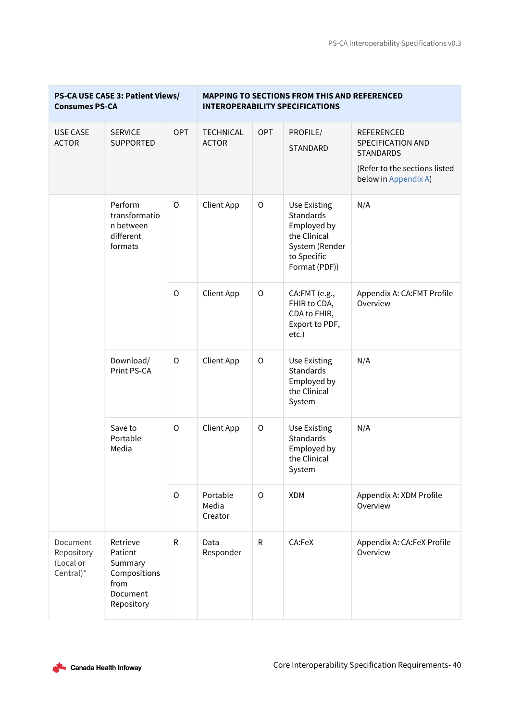T,

| <b>Consumes PS-CA</b>                            | PS-CA USE CASE 3: Patient Views/                                                 |                   | <b>MAPPING TO SECTIONS FROM THIS AND REFERENCED</b><br><b>INTEROPERABILITY SPECIFICATIONS</b> |                                                                          |                                                                                                                   |                                                                                                                            |
|--------------------------------------------------|----------------------------------------------------------------------------------|-------------------|-----------------------------------------------------------------------------------------------|--------------------------------------------------------------------------|-------------------------------------------------------------------------------------------------------------------|----------------------------------------------------------------------------------------------------------------------------|
| <b>USE CASE</b><br><b>ACTOR</b>                  | <b>SERVICE</b><br><b>SUPPORTED</b>                                               | <b>OPT</b>        | <b>TECHNICAL</b><br><b>ACTOR</b>                                                              | OPT                                                                      | PROFILE/<br><b>STANDARD</b>                                                                                       | <b>REFERENCED</b><br><b>SPECIFICATION AND</b><br><b>STANDARDS</b><br>(Refer to the sections listed<br>below in Appendix A) |
|                                                  | Perform<br>transformatio<br>n between<br>different<br>formats                    | $\circ$           | <b>Client App</b>                                                                             | $\mathsf O$                                                              | <b>Use Existing</b><br>Standards<br>Employed by<br>the Clinical<br>System (Render<br>to Specific<br>Format (PDF)) | N/A                                                                                                                        |
|                                                  | $\circ$                                                                          | <b>Client App</b> | $\mathsf O$                                                                                   | CA:FMT (e.g.,<br>FHIR to CDA,<br>CDA to FHIR,<br>Export to PDF,<br>etc.) | Appendix A: CA:FMT Profile<br>Overview                                                                            |                                                                                                                            |
|                                                  | Download/<br>Print PS-CA                                                         | $\circ$           | <b>Client App</b>                                                                             | $\circ$                                                                  | <b>Use Existing</b><br>Standards<br>Employed by<br>the Clinical<br>System                                         | N/A                                                                                                                        |
|                                                  | Save to<br>Portable<br>Media                                                     | $\circ$           | <b>Client App</b>                                                                             | $\mathsf O$                                                              | <b>Use Existing</b><br>Standards<br>Employed by<br>the Clinical<br>System                                         | N/A                                                                                                                        |
|                                                  |                                                                                  | $\circ$           | Portable<br>Media<br>Creator                                                                  | $\circ$                                                                  | <b>XDM</b>                                                                                                        | Appendix A: XDM Profile<br>Overview                                                                                        |
| Document<br>Repository<br>(Local or<br>Central)* | Retrieve<br>Patient<br>Summary<br>Compositions<br>from<br>Document<br>Repository | ${\sf R}$         | Data<br>Responder                                                                             | $\mathsf{R}$                                                             | CA:FeX                                                                                                            | Appendix A: CA:FeX Profile<br>Overview                                                                                     |

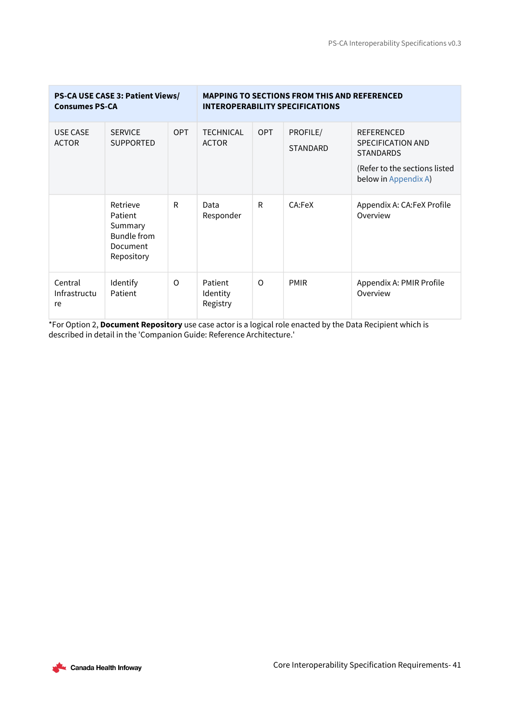| PS-CA USE CASE 3: Patient Views/<br><b>Consumes PS-CA</b> |                                                                         |            | <b>MAPPING TO SECTIONS FROM THIS AND REFERENCED</b><br><b>INTEROPERABILITY SPECIFICATIONS</b> |            |                             |                                                                                                                     |
|-----------------------------------------------------------|-------------------------------------------------------------------------|------------|-----------------------------------------------------------------------------------------------|------------|-----------------------------|---------------------------------------------------------------------------------------------------------------------|
| <b>USE CASE</b><br><b>ACTOR</b>                           | <b>SERVICE</b><br><b>SUPPORTED</b>                                      | <b>OPT</b> | <b>TECHNICAL</b><br><b>ACTOR</b>                                                              | <b>OPT</b> | PROFILE/<br><b>STANDARD</b> | <b>REFERENCED</b><br>SPECIFICATION AND<br><b>STANDARDS</b><br>(Refer to the sections listed<br>below in Appendix A) |
|                                                           | Retrieve<br>Patient<br>Summary<br>Bundle from<br>Document<br>Repository | R          | Data<br>Responder                                                                             | R          | CA:FeX                      | Appendix A: CA:FeX Profile<br>Overview                                                                              |
| Central<br>Infrastructu<br>re                             | Identify<br>Patient                                                     | O          | Patient<br>Identity<br>Registry                                                               | $\Omega$   | <b>PMIR</b>                 | Appendix A: PMIR Profile<br>Overview                                                                                |

\*For Option 2, **Document Repository** use case actor is a logical role enacted by the Data Recipient which is described in detail in the 'Companion Guide: Reference Architecture.'

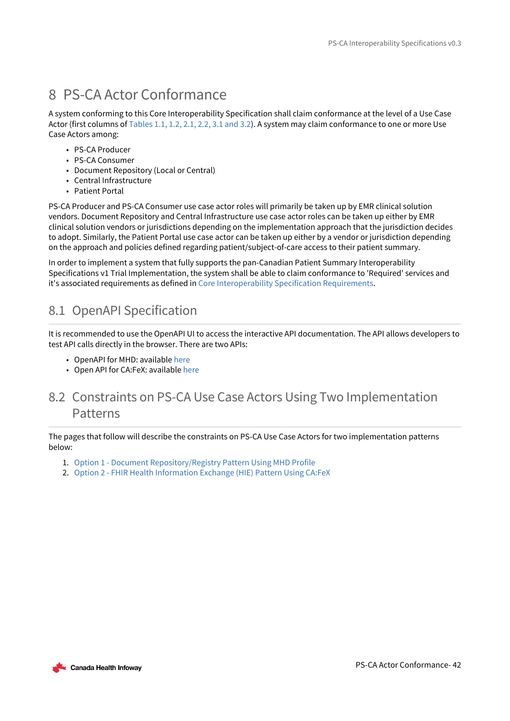# <span id="page-41-0"></span>8 PS-CA Actor Conformance

A system conforming to this Core Interoperability Specification shall claim conformance at the level of a Use Case Actor (first columns of [Tables 1.1, 1.2, 2.1, 2.2, 3.1 and 3.2\)](#page-26-0). A system may claim conformance to one or more Use Case Actors among:

- PS-CA Producer
- PS-CA Consumer
- Document Repository (Local or Central)
- Central Infrastructure
- Patient Portal

PS-CA Producer and PS-CA Consumer use case actor roles will primarily be taken up by EMR clinical solution vendors. Document Repository and Central Infrastructure use case actor roles can be taken up either by EMR clinical solution vendors or jurisdictions depending on the implementation approach that the jurisdiction decides to adopt. Similarly, the Patient Portal use case actor can be taken up either by a vendor or jurisdiction depending on the approach and policies defined regarding patient/subject-of-care access to their patient summary.

In order to implement a system that fully supports the pan-Canadian Patient Summary Interoperability Specifications v1 Trial Implementation, the system shall be able to claim conformance to 'Required' services and it's associated requirements as defined in [Core Interoperability Specification Requirements.](#page-26-0)

## <span id="page-41-1"></span>8.1 OpenAPI Specification

It is recommended to use the OpenAPI UI to access the interactive API documentation. The API allows developers to test API calls directly in the browser. There are two APIs:

- OpenAPI for MHD: available [here](https://ps-swagger.apibox.ca/)
- Open API for CA:FeX: available [here](https://ps-swagger.apibox.ca?spec=PS-CA_(CA-FeX))

## <span id="page-41-2"></span>8.2 Constraints on PS-CA Use Case Actors Using Two Implementation Patterns

The pages that follow will describe the constraints on PS-CA Use Case Actors for two implementation patterns below:

- 1. [Option 1 Document Repository/Registry Pattern Using MHD Profile](#page-42-0)
- 2. [Option 2 FHIR Health Information Exchange \(HIE\) Pattern Using CA:FeX](#page-49-0)

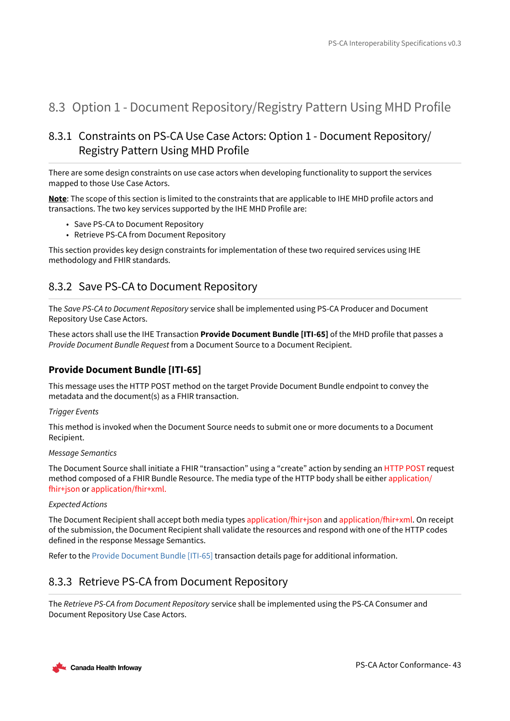## <span id="page-42-0"></span>8.3 Option 1 - Document Repository/Registry Pattern Using MHD Profile

## <span id="page-42-1"></span>8.3.1 Constraints on PS-CA Use Case Actors: Option 1 - Document Repository/ Registry Pattern Using MHD Profile

There are some design constraints on use case actors when developing functionality to support the services mapped to those Use Case Actors.

**Note**: The scope of this section is limited to the constraints that are applicable to IHE MHD profile actors and transactions. The two key services supported by the IHE MHD Profile are:

- Save PS-CA to Document Repository
- Retrieve PS-CA from Document Repository

This section provides key design constraints for implementation of these two required services using IHE methodology and FHIR standards.

## <span id="page-42-2"></span>8.3.2 Save PS-CA to Document Repository

The *Save PS-CA to Document Repository* service shall be implemented using PS-CA Producer and Document Repository Use Case Actors.

These actors shall use the IHE Transaction **Provide Document Bundle [ITI-65]** of the MHD profile that passes a *Provide Document Bundle Request* from a Document Source to a Document Recipient.

## **Provide Document Bundle [ITI-65]**

This message uses the HTTP POST method on the target Provide Document Bundle endpoint to convey the metadata and the document(s) as a FHIR transaction.

### *Trigger Events*

This method is invoked when the Document Source needs to submit one or more documents to a Document Recipient.

### *Message Semantics*

The Document Source shall initiate a FHIR "transaction" using a "create" action by sending an HTTP POST request method composed of a FHIR Bundle Resource. The media type of the HTTP body shall be either application/ fhir+json or application/fhir+xml.

### *Expected Actions*

The Document Recipient shall accept both media types application/fhir+json and application/fhir+xml. On receipt of the submission, the Document Recipient shall validate the resources and respond with one of the HTTP codes defined in the response Message Semantics.

Refer to the [Provide Document Bundle \[ITI-65\]](https://profiles.ihe.net/ITI/MHD/ITI-65.html) transaction details page for additional information.

## <span id="page-42-3"></span>8.3.3 Retrieve PS-CA from Document Repository

The *Retrieve PS-CA from Document Repository* service shall be implemented using the PS-CA Consumer and Document Repository Use Case Actors.

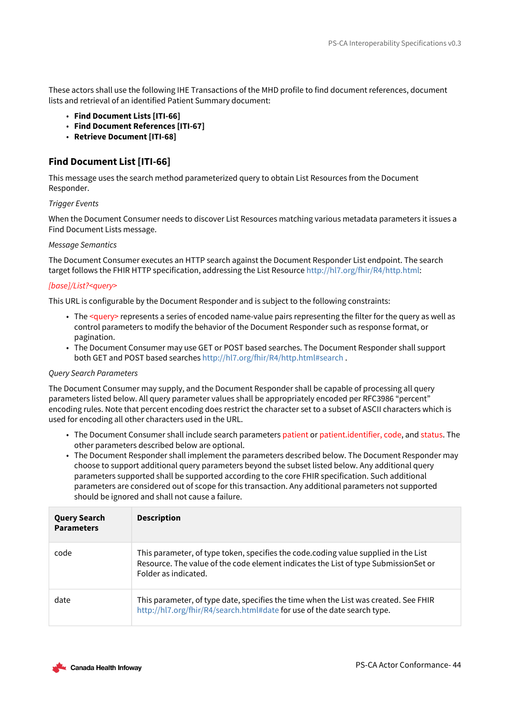These actors shall use the following IHE Transactions of the MHD profile to find document references, document lists and retrieval of an identified Patient Summary document:

- **Find Document Lists [ITI-66]**
- **Find Document References [ITI-67]**
- **Retrieve Document [ITI-68]**

## **Find Document List [ITI-66]**

This message uses the search method parameterized query to obtain List Resources from the Document Responder.

## *Trigger Events*

When the Document Consumer needs to discover List Resources matching various metadata parameters it issues a Find Document Lists message.

### *Message Semantics*

The Document Consumer executes an HTTP search against the Document Responder List endpoint. The search target follows the FHIR HTTP specification, addressing the List Resource [http://hl7.org/fhir/R4/http.html:](http://hl7.org/fhir/R4/http.html)

## *[base]/List?<query>*

This URL is configurable by the Document Responder and is subject to the following constraints:

- The <query> represents a series of encoded name-value pairs representing the filter for the query as well as control parameters to modify the behavior of the Document Responder such as response format, or pagination.
- The Document Consumer may use GET or POST based searches. The Document Responder shall support both GET and POST based searches<http://hl7.org/fhir/R4/http.html#search> .

## *Query Search Parameters*

The Document Consumer may supply, and the Document Responder shall be capable of processing all query parameters listed below. All query parameter values shall be appropriately encoded per RFC3986 "percent" encoding rules. Note that percent encoding does restrict the character set to a subset of ASCII characters which is used for encoding all other characters used in the URL.

- The Document Consumer shall include search parameters patient or patient.identifier, code, and status. The other parameters described below are optional.
- The Document Responder shall implement the parameters described below. The Document Responder may choose to support additional query parameters beyond the subset listed below. Any additional query parameters supported shall be supported according to the core FHIR specification. Such additional parameters are considered out of scope for this transaction. Any additional parameters not supported should be ignored and shall not cause a failure.

| <b>Query Search</b><br><b>Parameters</b> | <b>Description</b>                                                                                                                                                                                 |
|------------------------------------------|----------------------------------------------------------------------------------------------------------------------------------------------------------------------------------------------------|
| code                                     | This parameter, of type token, specifies the code.coding value supplied in the List<br>Resource. The value of the code element indicates the List of type SubmissionSet or<br>Folder as indicated. |
| date                                     | This parameter, of type date, specifies the time when the List was created. See FHIR<br>http://hl7.org/fhir/R4/search.html#date for use of the date search type.                                   |

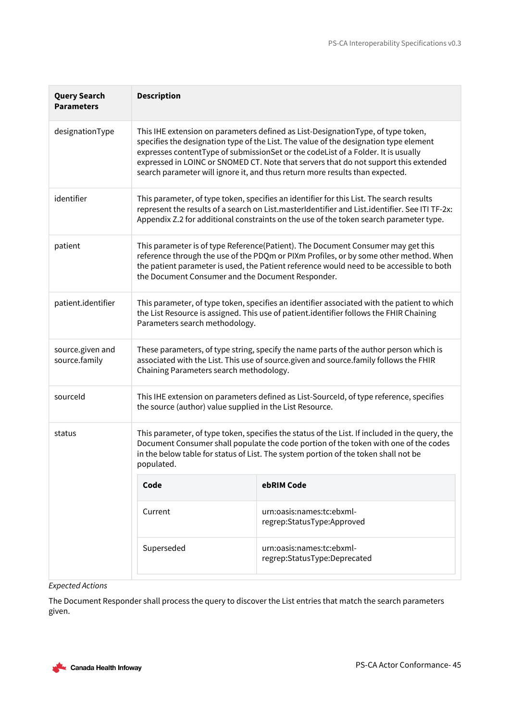| <b>Query Search</b><br><b>Parameters</b> | <b>Description</b>                                                                                                                                                                                                                                                                                                                                                                                                                     |                                                           |  |  |  |  |
|------------------------------------------|----------------------------------------------------------------------------------------------------------------------------------------------------------------------------------------------------------------------------------------------------------------------------------------------------------------------------------------------------------------------------------------------------------------------------------------|-----------------------------------------------------------|--|--|--|--|
| designationType                          | This IHE extension on parameters defined as List-DesignationType, of type token,<br>specifies the designation type of the List. The value of the designation type element<br>expresses contentType of submissionSet or the codeList of a Folder. It is usually<br>expressed in LOINC or SNOMED CT. Note that servers that do not support this extended<br>search parameter will ignore it, and thus return more results than expected. |                                                           |  |  |  |  |
| identifier                               | This parameter, of type token, specifies an identifier for this List. The search results<br>represent the results of a search on List.masterIdentifier and List.identifier. See ITI TF-2x:<br>Appendix Z.2 for additional constraints on the use of the token search parameter type.                                                                                                                                                   |                                                           |  |  |  |  |
| patient                                  | This parameter is of type Reference(Patient). The Document Consumer may get this<br>reference through the use of the PDQm or PIXm Profiles, or by some other method. When<br>the patient parameter is used, the Patient reference would need to be accessible to both<br>the Document Consumer and the Document Responder.                                                                                                             |                                                           |  |  |  |  |
| patient.identifier                       | This parameter, of type token, specifies an identifier associated with the patient to which<br>the List Resource is assigned. This use of patient.identifier follows the FHIR Chaining<br>Parameters search methodology.                                                                                                                                                                                                               |                                                           |  |  |  |  |
| source.given and<br>source.family        | These parameters, of type string, specify the name parts of the author person which is<br>associated with the List. This use of source.given and source.family follows the FHIR<br>Chaining Parameters search methodology.                                                                                                                                                                                                             |                                                           |  |  |  |  |
| sourceld                                 | This IHE extension on parameters defined as List-Sourceld, of type reference, specifies<br>the source (author) value supplied in the List Resource.                                                                                                                                                                                                                                                                                    |                                                           |  |  |  |  |
| status                                   | This parameter, of type token, specifies the status of the List. If included in the query, the<br>Document Consumer shall populate the code portion of the token with one of the codes<br>in the below table for status of List. The system portion of the token shall not be<br>populated.                                                                                                                                            |                                                           |  |  |  |  |
|                                          | Code                                                                                                                                                                                                                                                                                                                                                                                                                                   | ebRIM Code                                                |  |  |  |  |
|                                          | Current                                                                                                                                                                                                                                                                                                                                                                                                                                | urn:oasis:names:tc:ebxml-<br>regrep:StatusType:Approved   |  |  |  |  |
|                                          | Superseded                                                                                                                                                                                                                                                                                                                                                                                                                             | urn:oasis:names:tc:ebxml-<br>regrep:StatusType:Deprecated |  |  |  |  |

## *Expected Actions*

The Document Responder shall process the query to discover the List entries that match the search parameters given.

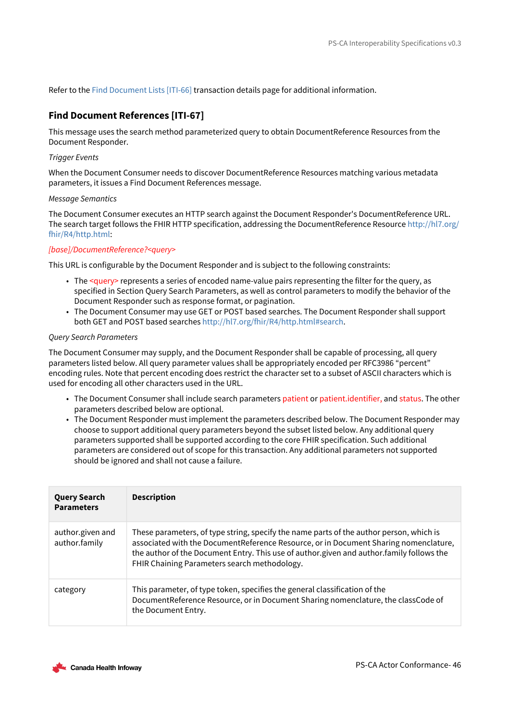Refer to the [Find Document Lists \[ITI-66\]](https://profiles.ihe.net/ITI/MHD/ITI-66.html) transaction details page for additional information.

## **Find Document References [ITI-67]**

This message uses the search method parameterized query to obtain DocumentReference Resources from the Document Responder.

### *Trigger Events*

When the Document Consumer needs to discover DocumentReference Resources matching various metadata parameters, it issues a Find Document References message.

#### *Message Semantics*

The Document Consumer executes an HTTP search against the Document Responder's DocumentReference URL. [The search target follows the FHIR HTTP specification, addressing the DocumentReference Resource http://hl7.org/](http://hl7.org/fhir/R4/http.html) fhir/R4/http.html:

### *[base]/DocumentReference?<query>*

This URL is configurable by the Document Responder and is subject to the following constraints:

- The <query> represents a series of encoded name-value pairs representing the filter for the query, as specified in Section Query Search Parameters, as well as control parameters to modify the behavior of the Document Responder such as response format, or pagination.
- The Document Consumer may use GET or POST based searches. The Document Responder shall support both GET and POST based searches<http://hl7.org/fhir/R4/http.html#search>.

### *Query Search Parameters*

The Document Consumer may supply, and the Document Responder shall be capable of processing, all query parameters listed below. All query parameter values shall be appropriately encoded per RFC3986 "percent" encoding rules. Note that percent encoding does restrict the character set to a subset of ASCII characters which is used for encoding all other characters used in the URL.

- The Document Consumer shall include search parameters patient or patient.identifier, and status. The other parameters described below are optional.
- The Document Responder must implement the parameters described below. The Document Responder may choose to support additional query parameters beyond the subset listed below. Any additional query parameters supported shall be supported according to the core FHIR specification. Such additional parameters are considered out of scope for this transaction. Any additional parameters not supported should be ignored and shall not cause a failure.

| <b>Query Search</b><br><b>Parameters</b> | <b>Description</b>                                                                                                                                                                                                                                                                                                          |
|------------------------------------------|-----------------------------------------------------------------------------------------------------------------------------------------------------------------------------------------------------------------------------------------------------------------------------------------------------------------------------|
| author.given and<br>author.family        | These parameters, of type string, specify the name parts of the author person, which is<br>associated with the DocumentReference Resource, or in Document Sharing nomenclature,<br>the author of the Document Entry. This use of author.given and author.family follows the<br>FHIR Chaining Parameters search methodology. |
| category                                 | This parameter, of type token, specifies the general classification of the<br>DocumentReference Resource, or in Document Sharing nomenclature, the classCode of<br>the Document Entry.                                                                                                                                      |

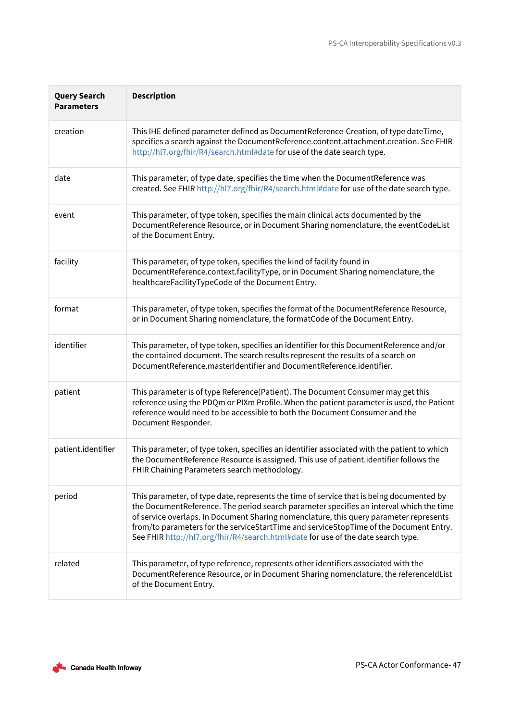| <b>Query Search</b><br><b>Parameters</b> | <b>Description</b>                                                                                                                                                                                                                                                                                                                                                                                                                                           |
|------------------------------------------|--------------------------------------------------------------------------------------------------------------------------------------------------------------------------------------------------------------------------------------------------------------------------------------------------------------------------------------------------------------------------------------------------------------------------------------------------------------|
| creation                                 | This IHE defined parameter defined as DocumentReference-Creation, of type dateTime,<br>specifies a search against the DocumentReference.content.attachment.creation. See FHIR<br>http://hl7.org/fhir/R4/search.html#date for use of the date search type.                                                                                                                                                                                                    |
| date                                     | This parameter, of type date, specifies the time when the DocumentReference was<br>created. See FHIR http://hl7.org/fhir/R4/search.html#date for use of the date search type.                                                                                                                                                                                                                                                                                |
| event                                    | This parameter, of type token, specifies the main clinical acts documented by the<br>DocumentReference Resource, or in Document Sharing nomenclature, the eventCodeList<br>of the Document Entry.                                                                                                                                                                                                                                                            |
| facility                                 | This parameter, of type token, specifies the kind of facility found in<br>DocumentReference.context.facilityType, or in Document Sharing nomenclature, the<br>healthcareFacilityTypeCode of the Document Entry.                                                                                                                                                                                                                                              |
| format                                   | This parameter, of type token, specifies the format of the DocumentReference Resource,<br>or in Document Sharing nomenclature, the formatCode of the Document Entry.                                                                                                                                                                                                                                                                                         |
| identifier                               | This parameter, of type token, specifies an identifier for this DocumentReference and/or<br>the contained document. The search results represent the results of a search on<br>DocumentReference.masterIdentifier and DocumentReference.identifier.                                                                                                                                                                                                          |
| patient                                  | This parameter is of type Reference(Patient). The Document Consumer may get this<br>reference using the PDQm or PIXm Profile. When the patient parameter is used, the Patient<br>reference would need to be accessible to both the Document Consumer and the<br>Document Responder.                                                                                                                                                                          |
| patient.identifier                       | This parameter, of type token, specifies an identifier associated with the patient to which<br>the DocumentReference Resource is assigned. This use of patient.identifier follows the<br>FHIR Chaining Parameters search methodology.                                                                                                                                                                                                                        |
| period                                   | This parameter, of type date, represents the time of service that is being documented by<br>the DocumentReference. The period search parameter specifies an interval which the time<br>of service overlaps. In Document Sharing nomenclature, this query parameter represents<br>from/to parameters for the serviceStartTime and serviceStopTime of the Document Entry.<br>See FHIR http://hl7.org/fhir/R4/search.html#date for use of the date search type. |
| related                                  | This parameter, of type reference, represents other identifiers associated with the<br>DocumentReference Resource, or in Document Sharing nomenclature, the referenceIdList<br>of the Document Entry.                                                                                                                                                                                                                                                        |

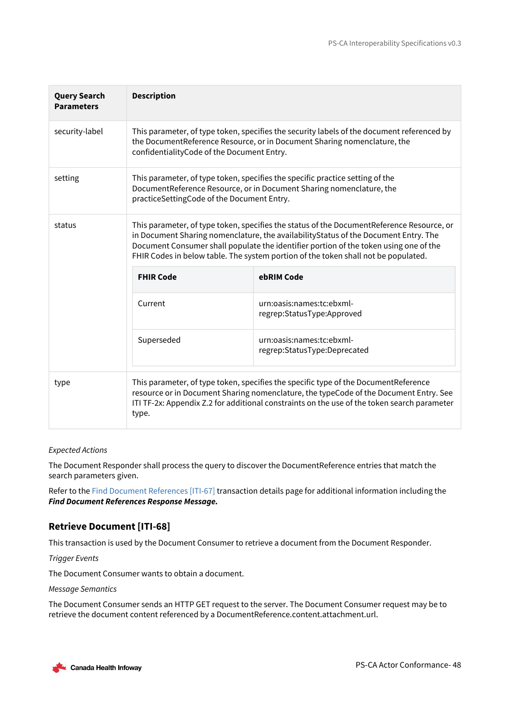| <b>Query Search</b><br><b>Parameters</b> | <b>Description</b>                                                                                                                                                                                                                                                                                                                                              |                                                           |
|------------------------------------------|-----------------------------------------------------------------------------------------------------------------------------------------------------------------------------------------------------------------------------------------------------------------------------------------------------------------------------------------------------------------|-----------------------------------------------------------|
| security-label                           | This parameter, of type token, specifies the security labels of the document referenced by<br>the DocumentReference Resource, or in Document Sharing nomenclature, the<br>confidentialityCode of the Document Entry.                                                                                                                                            |                                                           |
| setting                                  | This parameter, of type token, specifies the specific practice setting of the<br>DocumentReference Resource, or in Document Sharing nomenclature, the<br>practiceSettingCode of the Document Entry.                                                                                                                                                             |                                                           |
| status                                   | This parameter, of type token, specifies the status of the DocumentReference Resource, or<br>in Document Sharing nomenclature, the availabilityStatus of the Document Entry. The<br>Document Consumer shall populate the identifier portion of the token using one of the<br>FHIR Codes in below table. The system portion of the token shall not be populated. |                                                           |
|                                          | <b>FHIR Code</b>                                                                                                                                                                                                                                                                                                                                                | ebRIM Code                                                |
|                                          | Current                                                                                                                                                                                                                                                                                                                                                         | urn:oasis:names:tc:ebxml-<br>regrep:StatusType:Approved   |
|                                          | Superseded                                                                                                                                                                                                                                                                                                                                                      | urn:oasis:names:tc:ebxml-<br>regrep:StatusType:Deprecated |
| type                                     | This parameter, of type token, specifies the specific type of the DocumentReference<br>resource or in Document Sharing nomenclature, the typeCode of the Document Entry. See<br>ITI TF-2x: Appendix Z.2 for additional constraints on the use of the token search parameter<br>type.                                                                            |                                                           |

### *Expected Actions*

The Document Responder shall process the query to discover the DocumentReference entries that match the search parameters given.

Refer to the [Find Document References \[ITI-67\]](https://profiles.ihe.net/ITI/MHD/ITI-67.html) transaction details page for additional information including the *Find Document References Response Message.*

## **Retrieve Document [ITI-68]**

This transaction is used by the Document Consumer to retrieve a document from the Document Responder.

*Trigger Events*

The Document Consumer wants to obtain a document.

*Message Semantics*

The Document Consumer sends an HTTP GET request to the server. The Document Consumer request may be to retrieve the document content referenced by a DocumentReference.content.attachment.url.

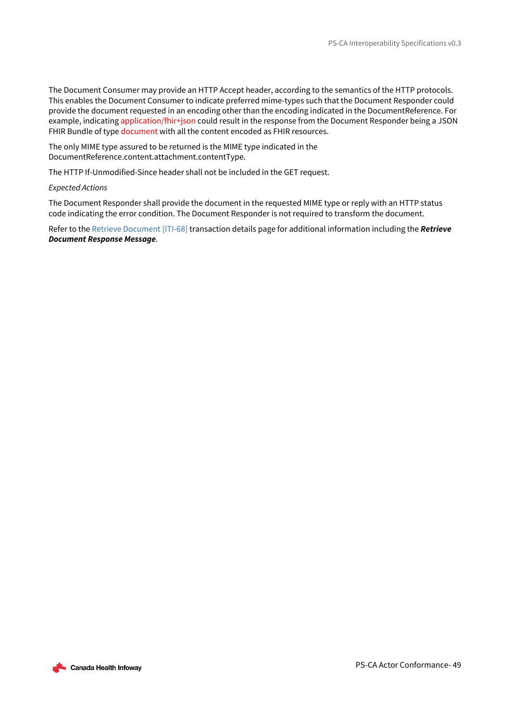The Document Consumer may provide an HTTP Accept header, according to the semantics of the HTTP protocols. This enables the Document Consumer to indicate preferred mime-types such that the Document Responder could provide the document requested in an encoding other than the encoding indicated in the DocumentReference. For example, indicating application/fhir+json could result in the response from the Document Responder being a JSON FHIR Bundle of type document with all the content encoded as FHIR resources.

The only MIME type assured to be returned is the MIME type indicated in the DocumentReference.content.attachment.contentType.

The HTTP If-Unmodified-Since header shall not be included in the GET request.

### *Expected Actions*

The Document Responder shall provide the document in the requested MIME type or reply with an HTTP status code indicating the error condition. The Document Responder is not required to transform the document.

Refer to the [Retrieve Document \[ITI-68\]](https://profiles.ihe.net/ITI/MHD/ITI-68.html) transaction details page for additional information including the *Retrieve Document Response Message*.

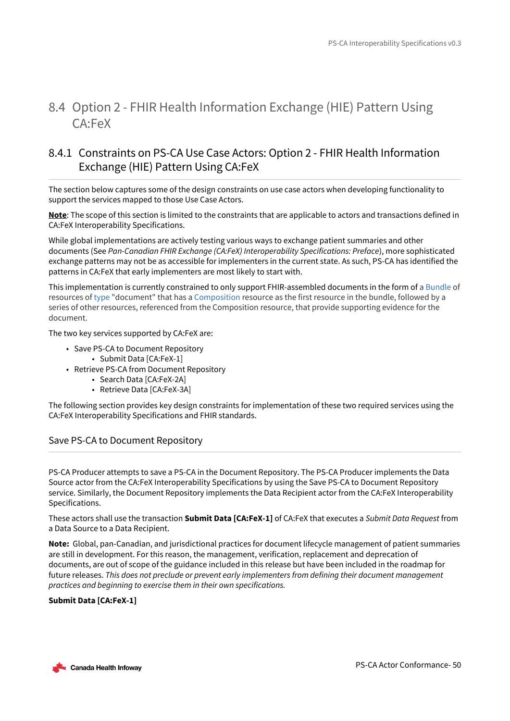## <span id="page-49-0"></span>8.4 Option 2 - FHIR Health Information Exchange (HIE) Pattern Using CA:FeX

## <span id="page-49-1"></span>8.4.1 Constraints on PS-CA Use Case Actors: Option 2 - FHIR Health Information Exchange (HIE) Pattern Using CA:FeX

The section below captures some of the design constraints on use case actors when developing functionality to support the services mapped to those Use Case Actors.

**Note**: The scope of this section is limited to the constraints that are applicable to actors and transactions defined in CA:FeX Interoperability Specifications.

While global implementations are actively testing various ways to exchange patient summaries and other documents (See *Pan-Canadian FHIR Exchange (CA:FeX) Interoperability Specifications: Preface*), more sophisticated exchange patterns may not be as accessible for implementers in the current state. As such, PS-CA has identified the patterns in CA:FeX that early implementers are most likely to start with.

This implementation is currently constrained to only support FHIR-assembled documents in the form of a [Bundle](https://www.hl7.org/fhir/bundle.html) of resources of [type](https://www.hl7.org/fhir/bundle-definitions.html#Bundle.type) "document" that has a [Composition](https://www.hl7.org/fhir/composition.html) resource as the first resource in the bundle, followed by a series of other resources, referenced from the Composition resource, that provide supporting evidence for the document.

The two key services supported by CA:FeX are:

- Save PS-CA to Document Repository • Submit Data [CA:FeX-1]
- Retrieve PS-CA from Document Repository
	- Search Data [CA:FeX-2A]
	- Retrieve Data [CA:FeX-3A]

The following section provides key design constraints for implementation of these two required services using the CA:FeX Interoperability Specifications and FHIR standards.

## Save PS-CA to Document Repository

PS-CA Producer attempts to save a PS-CA in the Document Repository. The PS-CA Producer implements the Data Source actor from the CA:FeX Interoperability Specifications by using the Save PS-CA to Document Repository service. Similarly, the Document Repository implements the Data Recipient actor from the CA:FeX Interoperability Specifications.

These actors shall use the transaction **Submit Data [CA:FeX-1]** of CA:FeX that executes a *Submit Data Request* from a Data Source to a Data Recipient.

**Note:** Global, pan-Canadian, and jurisdictional practices for document lifecycle management of patient summaries are still in development. For this reason, the management, verification, replacement and deprecation of documents, are out of scope of the guidance included in this release but have been included in the roadmap for future releases. *This does not preclude or prevent early implementers from defining their document management practices and beginning to exercise them in their own specifications.*

## **Submit Data [CA:FeX-1]**

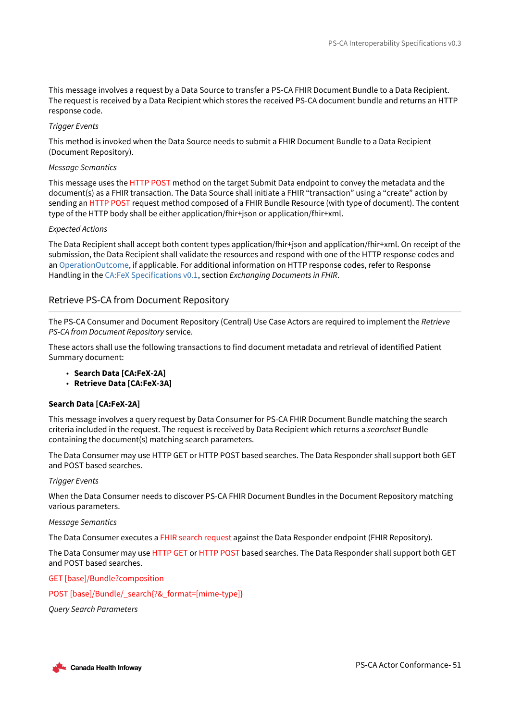This message involves a request by a Data Source to transfer a PS-CA FHIR Document Bundle to a Data Recipient. The request is received by a Data Recipient which stores the received PS-CA document bundle and returns an HTTP response code.

### *Trigger Events*

This method is invoked when the Data Source needs to submit a FHIR Document Bundle to a Data Recipient (Document Repository).

### *Message Semantics*

This message uses the HTTP POST method on the target Submit Data endpoint to convey the metadata and the document(s) as a FHIR transaction. The Data Source shall initiate a FHIR "transaction" using a "create" action by sending an HTTP POST request method composed of a FHIR Bundle Resource (with type of document). The content type of the HTTP body shall be either application/fhir+json or application/fhir+xml.

### *Expected Actions*

The Data Recipient shall accept both content types application/fhir+json and application/fhir+xml. On receipt of the submission, the Data Recipient shall validate the resources and respond with one of the HTTP response codes and an [OperationOutcome](http://www.hl7.org/fhir/operationoutcome.html), if applicable. For additional information on HTTP response codes, refer to Response Handling in the [CA:FeX Specifications v0.1](https://infoscribe.infoway-inforoute.ca/display/PCI/CA%3AFeX+Release+Information), section *Exchanging Documents in FHIR*.

## Retrieve PS-CA from Document Repository

The PS-CA Consumer and Document Repository (Central) Use Case Actors are required to implement the *Retrieve PS-CA from Document Repository* service.

These actors shall use the following transactions to find document metadata and retrieval of identified Patient Summary document:

- **Search Data [CA:FeX-2A]**
- **Retrieve Data [CA:FeX-3A]**

### **Search Data [CA:FeX-2A]**

This message involves a query request by Data Consumer for PS-CA FHIR Document Bundle matching the search criteria included in the request. The request is received by Data Recipient which returns a *searchset* Bundle containing the document(s) matching search parameters.

The Data Consumer may use HTTP GET or HTTP POST based searches. The Data Responder shall support both GET and POST based searches.

### *Trigger Events*

When the Data Consumer needs to discover PS-CA FHIR Document Bundles in the Document Repository matching various parameters.

#### *Message Semantics*

The Data Consumer executes a FHIR search request against the Data Responder endpoint (FHIR Repository).

The Data Consumer may use HTTP GET or HTTP POST based searches. The Data Responder shall support both GET and POST based searches.

### GET [base]/Bundle?composition

POST [base]/Bundle/\_search{?&\_format=[mime-type]}

*Query Search Parameters*

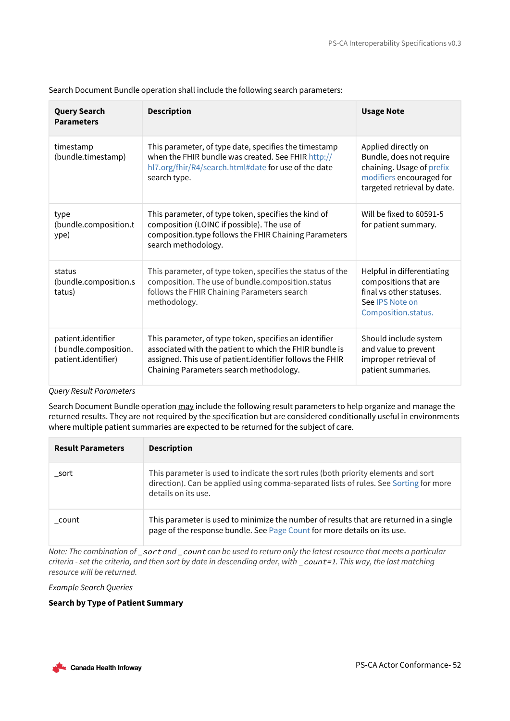| <b>Query Search</b><br><b>Parameters</b>                          | <b>Description</b>                                                                                                                                                                                                        | <b>Usage Note</b>                                                                                                                       |
|-------------------------------------------------------------------|---------------------------------------------------------------------------------------------------------------------------------------------------------------------------------------------------------------------------|-----------------------------------------------------------------------------------------------------------------------------------------|
| timestamp<br>(bundle.timestamp)                                   | This parameter, of type date, specifies the timestamp<br>when the FHIR bundle was created. See FHIR http://<br>hl7.org/fhir/R4/search.html#date for use of the date<br>search type.                                       | Applied directly on<br>Bundle, does not require<br>chaining. Usage of prefix<br>modifiers encouraged for<br>targeted retrieval by date. |
| type<br>(bundle.composition.t<br>ype)                             | This parameter, of type token, specifies the kind of<br>composition (LOINC if possible). The use of<br>composition.type follows the FHIR Chaining Parameters<br>search methodology.                                       | Will be fixed to 60591-5<br>for patient summary.                                                                                        |
| status<br>(bundle.composition.s<br>tatus)                         | This parameter, of type token, specifies the status of the<br>composition. The use of bundle.composition.status<br>follows the FHIR Chaining Parameters search<br>methodology.                                            | Helpful in differentiating<br>compositions that are<br>final vs other statuses.<br>See IPS Note on<br>Composition.status.               |
| patient.identifier<br>(bundle.composition.<br>patient.identifier) | This parameter, of type token, specifies an identifier<br>associated with the patient to which the FHIR bundle is<br>assigned. This use of patient.identifier follows the FHIR<br>Chaining Parameters search methodology. | Should include system<br>and value to prevent<br>improper retrieval of<br>patient summaries.                                            |

Search Document Bundle operation shall include the following search parameters:

## *Query Result Parameters*

Search Document Bundle operation may include the following result parameters to help organize and manage the returned results. They are not required by the specification but are considered conditionally useful in environments where multiple patient summaries are expected to be returned for the subject of care.

| <b>Result Parameters</b> | <b>Description</b>                                                                                                                                                                                 |
|--------------------------|----------------------------------------------------------------------------------------------------------------------------------------------------------------------------------------------------|
| sort                     | This parameter is used to indicate the sort rules (both priority elements and sort<br>direction). Can be applied using comma-separated lists of rules. See Sorting for more<br>details on its use. |
| count                    | This parameter is used to minimize the number of results that are returned in a single<br>page of the response bundle. See Page Count for more details on its use.                                 |

*Note: The combination of* \_sort *and* \_count *can be used to return only the latest resource that meets a particular criteria - set the criteria, and then sort by date in descending order, with \_count=1. This way, the last matching resource will be returned.*

*Example Search Queries*

## **Search by Type of Patient Summary**

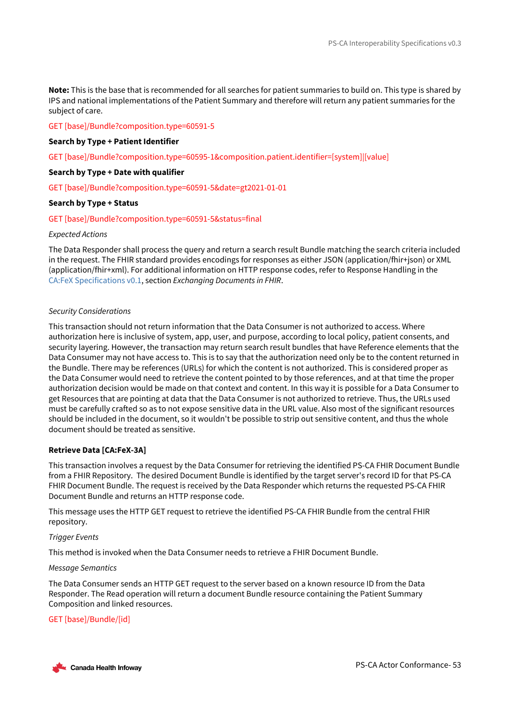**Note:** This is the base that is recommended for all searches for patient summaries to build on. This type is shared by IPS and national implementations of the Patient Summary and therefore will return any patient summaries for the subject of care.

### GET [base]/Bundle?composition.type=60591-5

### **Search by Type + Patient Identifier**

GET [base]/Bundle?composition.type=60595-1&composition.patient.identifier=[system]|[value]

### **Search by Type + Date with qualifier**

GET [base]/Bundle?composition.type=60591-5&date=gt2021-01-01

### **Search by Type + Status**

GET [base]/Bundle?composition.type=60591-5&status=final

#### *Expected Actions*

The Data Responder shall process the query and return a search result Bundle matching the search criteria included in the request. The FHIR standard provides encodings for responses as either JSON (application/fhir+json) or XML (application/fhir+xml). For additional information on HTTP response codes, refer to Response Handling in the [CA:FeX Specifications v0.1](https://infoscribe.infoway-inforoute.ca/display/PCI/CA%3AFeX+Release+Information), section *Exchanging Documents in FHIR*.

### *Security Considerations*

This transaction should not return information that the Data Consumer is not authorized to access. Where authorization here is inclusive of system, app, user, and purpose, according to local policy, patient consents, and security layering. However, the transaction may return search result bundles that have Reference elements that the Data Consumer may not have access to. This is to say that the authorization need only be to the content returned in the Bundle. There may be references (URLs) for which the content is not authorized. This is considered proper as the Data Consumer would need to retrieve the content pointed to by those references, and at that time the proper authorization decision would be made on that context and content. In this way it is possible for a Data Consumer to get Resources that are pointing at data that the Data Consumer is not authorized to retrieve. Thus, the URLs used must be carefully crafted so as to not expose sensitive data in the URL value. Also most of the significant resources should be included in the document, so it wouldn't be possible to strip out sensitive content, and thus the whole document should be treated as sensitive.

### **Retrieve Data [CA:FeX-3A]**

This transaction involves a request by the Data Consumer for retrieving the identified PS-CA FHIR Document Bundle from a FHIR Repository. The desired Document Bundle is identified by the target server's record ID for that PS-CA FHIR Document Bundle. The request is received by the Data Responder which returns the requested PS-CA FHIR Document Bundle and returns an HTTP response code.

This message uses the HTTP GET request to retrieve the identified PS-CA FHIR Bundle from the central FHIR repository.

### *Trigger Events*

This method is invoked when the Data Consumer needs to retrieve a FHIR Document Bundle.

#### *Message Semantics*

The Data Consumer sends an HTTP GET request to the server based on a known resource ID from the Data Responder. The Read operation will return a document Bundle resource containing the Patient Summary Composition and linked resources.

### GET [base]/Bundle/[id]

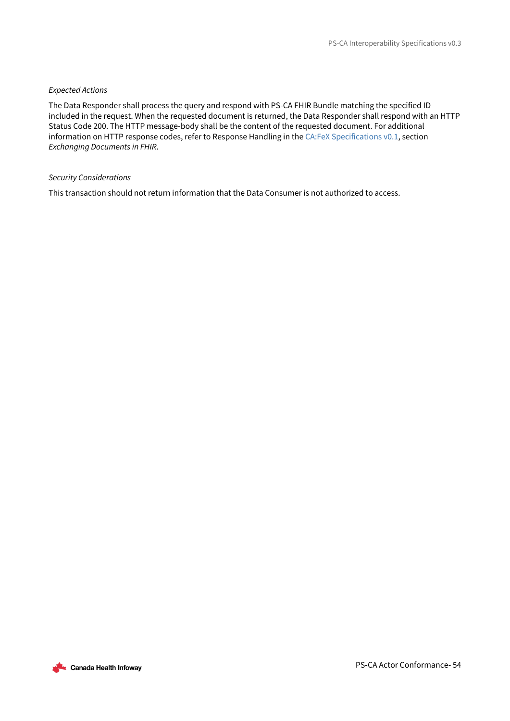## *Expected Actions*

The Data Responder shall process the query and respond with PS-CA FHIR Bundle matching the specified ID included in the request. When the requested document is returned, the Data Responder shall respond with an HTTP Status Code 200. The HTTP message-body shall be the content of the requested document. For additional information on HTTP response codes, refer to Response Handling in the [CA:FeX Specifications v0.1](https://infoscribe.infoway-inforoute.ca/display/PCI/CA%3AFeX+Release+Information), section *Exchanging Documents in FHIR*.

#### *Security Considerations*

This transaction should not return information that the Data Consumer is not authorized to access.

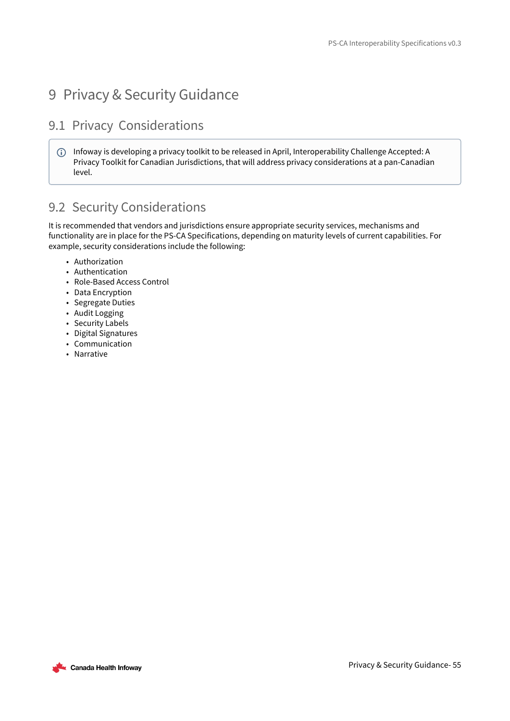# <span id="page-54-0"></span>9 Privacy & Security Guidance

## <span id="page-54-1"></span>9.1 Privacy Considerations

Infoway is developing a privacy toolkit to be released in April, Interoperability Challenge Accepted: A Privacy Toolkit for Canadian Jurisdictions, that will address privacy considerations at a pan-Canadian level.

## <span id="page-54-2"></span>9.2 Security Considerations

It is recommended that vendors and jurisdictions ensure appropriate security services, mechanisms and functionality are in place for the PS-CA Specifications, depending on maturity levels of current capabilities. For example, security considerations include the following:

- Authorization
- Authentication
- Role-Based Access Control
- Data Encryption
- Segregate Duties
- Audit Logging
- Security Labels
- Digital Signatures
- Communication
- Narrative

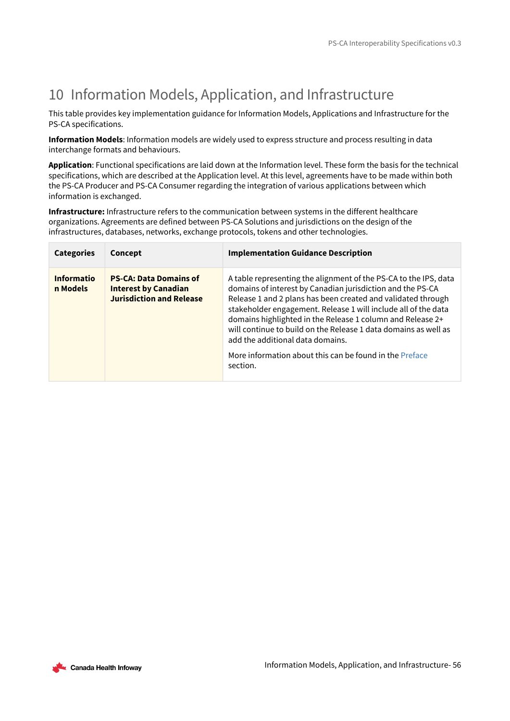# <span id="page-55-0"></span>10 Information Models, Application, and Infrastructure

This table provides key implementation guidance for Information Models, Applications and Infrastructure for the PS-CA specifications.

**Information Models**: Information models are widely used to express structure and process resulting in data interchange formats and behaviours.

**Application**: Functional specifications are laid down at the Information level. These form the basis for the technical specifications, which are described at the Application level. At this level, agreements have to be made within both the PS-CA Producer and PS-CA Consumer regarding the integration of various applications between which information is exchanged.

**Infrastructure:** Infrastructure refers to the communication between systems in the different healthcare organizations. Agreements are defined between PS-CA Solutions and jurisdictions on the design of the infrastructures, databases, networks, exchange protocols, tokens and other technologies.

| <b>Categories</b>             | Concept                                                                                         | <b>Implementation Guidance Description</b>                                                                                                                                                                                                                                                                                                                                                                                                                                                       |
|-------------------------------|-------------------------------------------------------------------------------------------------|--------------------------------------------------------------------------------------------------------------------------------------------------------------------------------------------------------------------------------------------------------------------------------------------------------------------------------------------------------------------------------------------------------------------------------------------------------------------------------------------------|
| <b>Informatio</b><br>n Models | <b>PS-CA: Data Domains of</b><br><b>Interest by Canadian</b><br><b>Jurisdiction and Release</b> | A table representing the alignment of the PS-CA to the IPS, data<br>domains of interest by Canadian jurisdiction and the PS-CA<br>Release 1 and 2 plans has been created and validated through<br>stakeholder engagement. Release 1 will include all of the data<br>domains highlighted in the Release 1 column and Release 2+<br>will continue to build on the Release 1 data domains as well as<br>add the additional data domains.<br>More information about this can be found in the Preface |
|                               |                                                                                                 | section.                                                                                                                                                                                                                                                                                                                                                                                                                                                                                         |

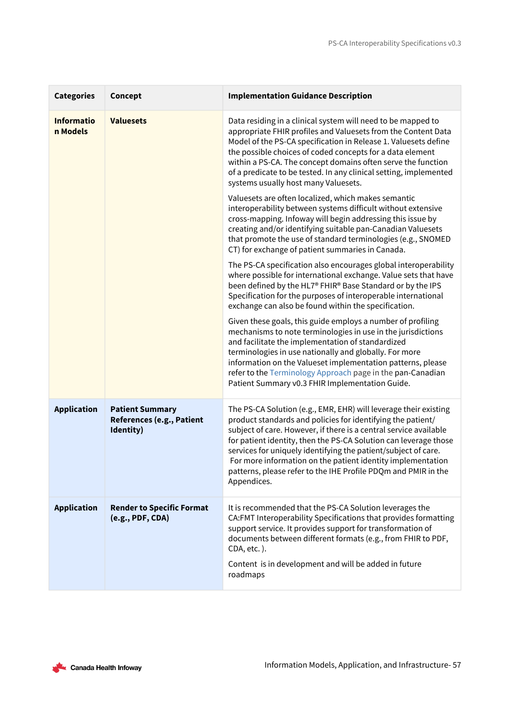| <b>Categories</b>             | Concept                                                          | <b>Implementation Guidance Description</b>                                                                                                                                                                                                                                                                                                                                                                                                                                                 |
|-------------------------------|------------------------------------------------------------------|--------------------------------------------------------------------------------------------------------------------------------------------------------------------------------------------------------------------------------------------------------------------------------------------------------------------------------------------------------------------------------------------------------------------------------------------------------------------------------------------|
| <b>Informatio</b><br>n Models | <b>Valuesets</b>                                                 | Data residing in a clinical system will need to be mapped to<br>appropriate FHIR profiles and Valuesets from the Content Data<br>Model of the PS-CA specification in Release 1. Valuesets define<br>the possible choices of coded concepts for a data element<br>within a PS-CA. The concept domains often serve the function<br>of a predicate to be tested. In any clinical setting, implemented<br>systems usually host many Valuesets.                                                 |
|                               |                                                                  | Valuesets are often localized, which makes semantic<br>interoperability between systems difficult without extensive<br>cross-mapping. Infoway will begin addressing this issue by<br>creating and/or identifying suitable pan-Canadian Valuesets<br>that promote the use of standard terminologies (e.g., SNOMED<br>CT) for exchange of patient summaries in Canada.                                                                                                                       |
|                               |                                                                  | The PS-CA specification also encourages global interoperability<br>where possible for international exchange. Value sets that have<br>been defined by the HL7® FHIR® Base Standard or by the IPS<br>Specification for the purposes of interoperable international<br>exchange can also be found within the specification.                                                                                                                                                                  |
|                               |                                                                  | Given these goals, this guide employs a number of profiling<br>mechanisms to note terminologies in use in the jurisdictions<br>and facilitate the implementation of standardized<br>terminologies in use nationally and globally. For more<br>information on the Valueset implementation patterns, please<br>refer to the Terminology Approach page in the pan-Canadian<br>Patient Summary v0.3 FHIR Implementation Guide.                                                                 |
| <b>Application</b>            | <b>Patient Summary</b><br>References (e.g., Patient<br>Identity) | The PS-CA Solution (e.g., EMR, EHR) will leverage their existing<br>product standards and policies for identifying the patient/<br>subject of care. However, if there is a central service available<br>for patient identity, then the PS-CA Solution can leverage those<br>services for uniquely identifying the patient/subject of care.<br>For more information on the patient identity implementation<br>patterns, please refer to the IHE Profile PDQm and PMIR in the<br>Appendices. |
| <b>Application</b>            | <b>Render to Specific Format</b><br>(e.g., PDF, CDA)             | It is recommended that the PS-CA Solution leverages the<br>CA:FMT Interoperability Specifications that provides formatting<br>support service. It provides support for transformation of<br>documents between different formats (e.g., from FHIR to PDF,<br>CDA, etc.).<br>Content is in development and will be added in future<br>roadmaps                                                                                                                                               |

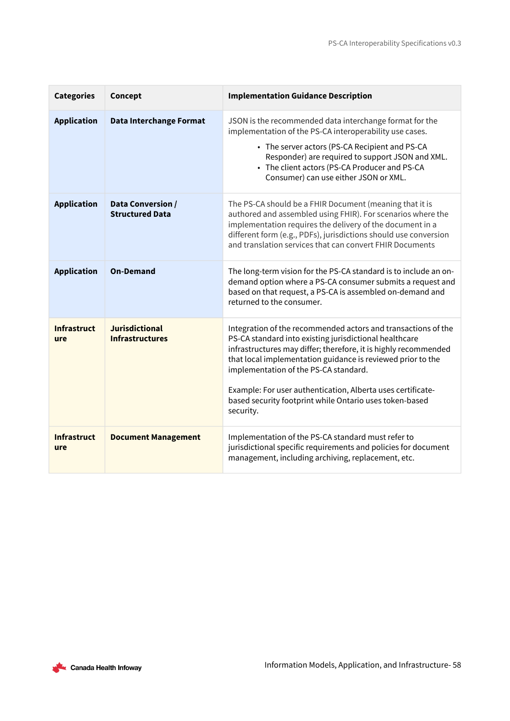| <b>Categories</b>         | Concept                                         | <b>Implementation Guidance Description</b>                                                                                                                                                                                                                                                                                                                                                                                                |
|---------------------------|-------------------------------------------------|-------------------------------------------------------------------------------------------------------------------------------------------------------------------------------------------------------------------------------------------------------------------------------------------------------------------------------------------------------------------------------------------------------------------------------------------|
| <b>Application</b>        | <b>Data Interchange Format</b>                  | JSON is the recommended data interchange format for the<br>implementation of the PS-CA interoperability use cases.<br>• The server actors (PS-CA Recipient and PS-CA<br>Responder) are required to support JSON and XML.<br>• The client actors (PS-CA Producer and PS-CA<br>Consumer) can use either JSON or XML.                                                                                                                        |
| <b>Application</b>        | Data Conversion /<br><b>Structured Data</b>     | The PS-CA should be a FHIR Document (meaning that it is<br>authored and assembled using FHIR). For scenarios where the<br>implementation requires the delivery of the document in a<br>different form (e.g., PDFs), jurisdictions should use conversion<br>and translation services that can convert FHIR Documents                                                                                                                       |
| <b>Application</b>        | <b>On-Demand</b>                                | The long-term vision for the PS-CA standard is to include an on-<br>demand option where a PS-CA consumer submits a request and<br>based on that request, a PS-CA is assembled on-demand and<br>returned to the consumer.                                                                                                                                                                                                                  |
| <b>Infrastruct</b><br>ure | <b>Jurisdictional</b><br><b>Infrastructures</b> | Integration of the recommended actors and transactions of the<br>PS-CA standard into existing jurisdictional healthcare<br>infrastructures may differ; therefore, it is highly recommended<br>that local implementation guidance is reviewed prior to the<br>implementation of the PS-CA standard.<br>Example: For user authentication, Alberta uses certificate-<br>based security footprint while Ontario uses token-based<br>security. |
| <b>Infrastruct</b><br>ure | <b>Document Management</b>                      | Implementation of the PS-CA standard must refer to<br>jurisdictional specific requirements and policies for document<br>management, including archiving, replacement, etc.                                                                                                                                                                                                                                                                |

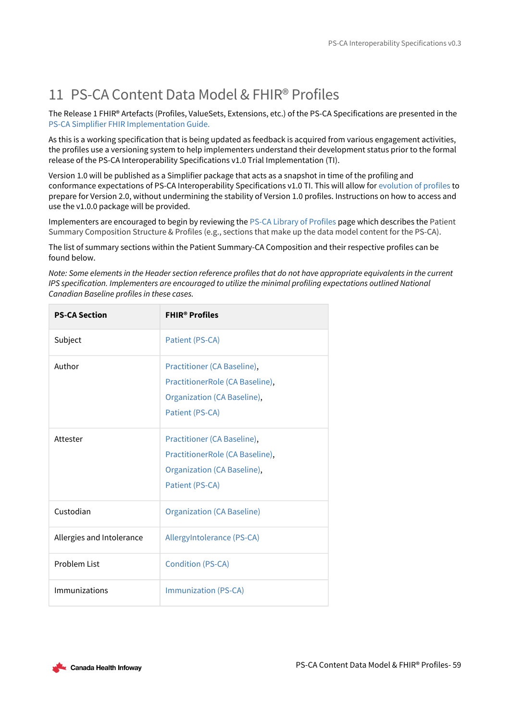# <span id="page-58-0"></span>11 PS-CA Content Data Model & FHIR® Profiles

The Release 1 FHIR® Artefacts (Profiles, ValueSets, Extensions, etc.) of the PS-CA Specifications are presented in the [PS-CA Simplifier FHIR Implementation Guide.](https://simplifier.net/guide/Pan-CanadianPatientSummary-FHIRImplementationGuide-v0.3/Home)

As this is a working specification that is being updated as feedback is acquired from various engagement activities, the profiles use a versioning system to help implementers understand their development status prior to the formal release of the PS-CA Interoperability Specifications v1.0 Trial Implementation (TI).

Version 1.0 will be published as a Simplifier package that acts as a snapshot in time of the profiling and conformance expectations of PS-CA Interoperability Specifications v1.0 TI. This will allow for [evolution of profiles](https://simplifier.net/guide/Pan-CanadianPatientSummary-FHIRImplementationGuide-v0.3/Home/FHIRArtefacts/PS-CALibraryofProfiles.guide.md) to prepare for Version 2.0, without undermining the stability of Version 1.0 profiles. Instructions on how to access and use the v1.0.0 package will be provided.

Implementers are encouraged to begin by reviewing the [PS-CA Library of Profiles](https://simplifier.net/guide/Pan-CanadianPatientSummary-FHIRImplementationGuide-v0.3/Home/FHIRArtefacts/PS-CALibraryofProfiles.guide.md) page which describes the Patient Summary Composition Structure & Profiles (e.g., sections that make up the data model content for the PS-CA).

The list of summary sections within the Patient Summary-CA Composition and their respective profiles can be found below.

*Note: Some elements in the Header section reference profiles that do not have appropriate equivalents in the current IPS specification. Implementers are encouraged to utilize the minimal profiling expectations outlined National Canadian Baseline profiles in these cases.*

| <b>PS-CA Section</b>      | <b>FHIR<sup>®</sup> Profiles</b>                                                                                 |
|---------------------------|------------------------------------------------------------------------------------------------------------------|
| Subject                   | Patient (PS-CA)                                                                                                  |
| Author                    | Practitioner (CA Baseline),<br>PractitionerRole (CA Baseline),<br>Organization (CA Baseline),<br>Patient (PS-CA) |
| Attester                  | Practitioner (CA Baseline),<br>PractitionerRole (CA Baseline),<br>Organization (CA Baseline),<br>Patient (PS-CA) |
| Custodian                 | <b>Organization (CA Baseline)</b>                                                                                |
| Allergies and Intolerance | AllergyIntolerance (PS-CA)                                                                                       |
| Problem List              | <b>Condition (PS-CA)</b>                                                                                         |
| Immunizations             | <b>Immunization (PS-CA)</b>                                                                                      |

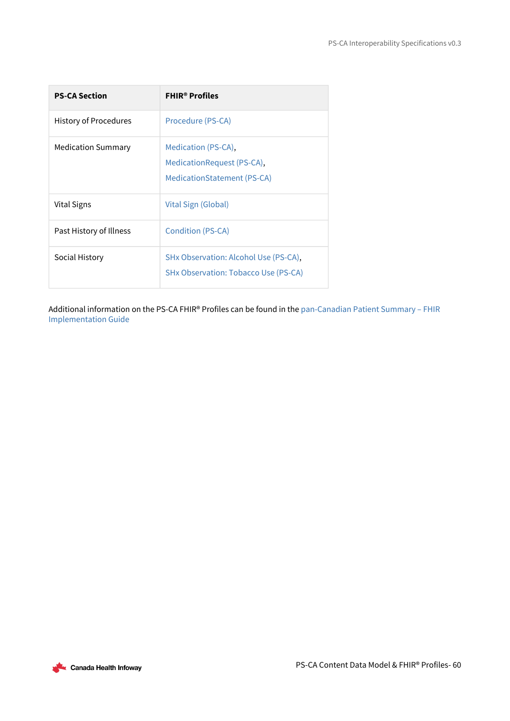| <b>PS-CA Section</b>         | <b>FHIR<sup>®</sup> Profiles</b>                                                 |
|------------------------------|----------------------------------------------------------------------------------|
| <b>History of Procedures</b> | Procedure (PS-CA)                                                                |
| <b>Medication Summary</b>    | Medication (PS-CA),<br>MedicationRequest (PS-CA),<br>MedicationStatement (PS-CA) |
| Vital Signs                  | Vital Sign (Global)                                                              |
| Past History of Illness      | Condition (PS-CA)                                                                |
| Social History               | SHx Observation: Alcohol Use (PS-CA),<br>SHx Observation: Tobacco Use (PS-CA)    |

[Additional information on the PS-CA FHIR® Profiles can be found in the](https://simplifier.net/guide/Pan-CanadianPatientSummary-FHIRImplementationGuide-v0.3/Home) pan-Canadian Patient Summary – FHIR Implementation Guide

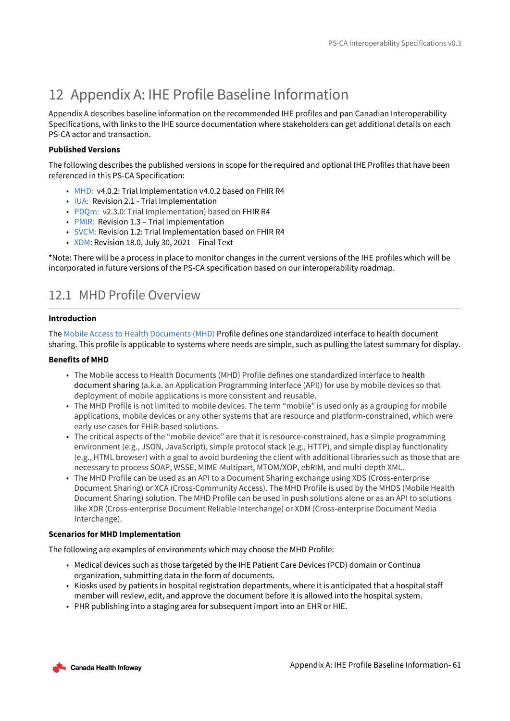# <span id="page-60-0"></span>12 Appendix A: IHE Profile Baseline Information

Appendix A describes baseline information on the recommended IHE profiles and pan Canadian Interoperability Specifications, with links to the IHE source documentation where stakeholders can get additional details on each PS-CA actor and transaction.

## **Published Versions**

The following describes the published versions in scope for the required and optional IHE Profiles that have been referenced in this PS-CA Specification:

- [MHD:](https://profiles.ihe.net/ITI/MHD/index.html) v4.0.2: Trial Implementation v4.0.2 based on FHIR R4
- [IUA:](https://profiles.ihe.net/ITI/IUA/index.html) Revision 2.1 Trial Implementation
- [PDQm:](https://profiles.ihe.net/ITI/PDQm/index.html) v2.3.0: Trial Implementation) based on FHIR R4
- [PMIR:](https://www.ihe.net/uploadedFiles/Documents/ITI/IHE_ITI_Suppl_PMIR.pdf) Revision 1.3 Trial Implementation
- [SVCM:](https://www.ihe.net/uploadedFiles/Documents/ITI/IHE_ITI_Suppl_SVCM.pdf) Revision 1.2: Trial Implementation based on FHIR R4
- [XDM](https://profiles.ihe.net/ITI/TF/Volume1/ch-16.html#16): Revision 18.0, July 30, 2021 Final Text

\*Note: There will be a process in place to monitor changes in the current versions of the IHE profiles which will be incorporated in future versions of the PS-CA specification based on our interoperability roadmap.

## <span id="page-60-1"></span>12.1 MHD Profile Overview

## **Introduction**

The [Mobile Access to Health Documents \(MHD\)](https://profiles.ihe.net/ITI/MHD/index.html) Profile defines one standardized interface to health document sharing. This profile is applicable to systems where needs are simple, such as pulling the latest summary for display.

## **Benefits of MHD**

- The Mobile access to Health Documents (MHD) Profile defines one standardized interface to health document sharing (a.k.a. an Application Programming Interface (API)) for use by mobile devices so that deployment of mobile applications is more consistent and reusable.
- The MHD Profile is not limited to mobile devices. The term "mobile" is used only as a grouping for mobile applications, mobile devices or any other systems that are resource and platform-constrained, which were early use cases for FHIR-based solutions.
- The critical aspects of the "mobile device" are that it is resource-constrained, has a simple programming environment (e.g., JSON, JavaScript), simple protocol stack (e.g., HTTP), and simple display functionality (e.g., HTML browser) with a goal to avoid burdening the client with additional libraries such as those that are necessary to process SOAP, WSSE, MIME-Multipart, MTOM/XOP, ebRIM, and multi-depth XML.
- The MHD Profile can be used as an API to a Document Sharing exchange using XDS (Cross-enterprise Document Sharing) or XCA (Cross-Community Access). The MHD Profile is used by the MHDS (Mobile Health Document Sharing) solution. The MHD Profile can be used in push solutions alone or as an API to solutions like XDR (Cross-enterprise Document Reliable Interchange) or XDM (Cross-enterprise Document Media Interchange).

## **Scenarios for MHD Implementation**

The following are examples of environments which may choose the MHD Profile:

- Medical devices such as those targeted by the IHE Patient Care Devices (PCD) domain or Continua organization, submitting data in the form of documents.
- Kiosks used by patients in hospital registration departments, where it is anticipated that a hospital staff member will review, edit, and approve the document before it is allowed into the hospital system.
- PHR publishing into a staging area for subsequent import into an EHR or HIE.

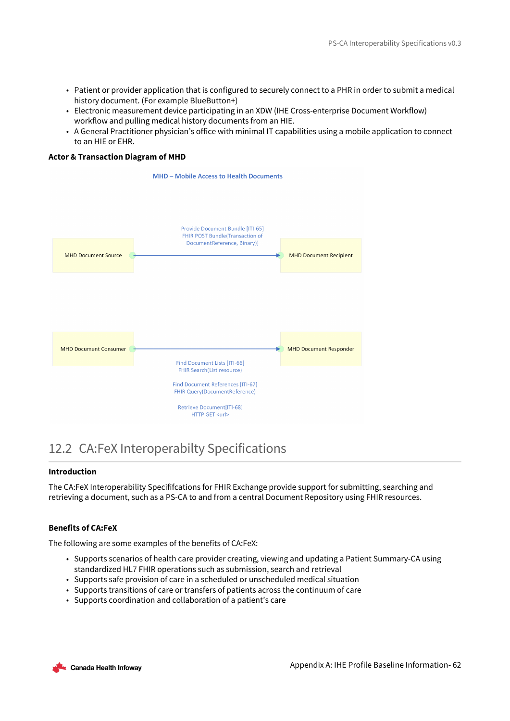- Patient or provider application that is configured to securely connect to a PHR in order to submit a medical history document. (For example BlueButton+)
- Electronic measurement device participating in an XDW (IHE Cross-enterprise Document Workflow) workflow and pulling medical history documents from an HIE.
- A General Practitioner physician's office with minimal IT capabilities using a mobile application to connect to an HIE or EHR.

## **Actor & Transaction Diagram of MHD**



## <span id="page-61-0"></span>12.2 CA:FeX Interoperabilty Specifications

### **Introduction**

The CA:FeX Interoperability Specififcations for FHIR Exchange provide support for submitting, searching and retrieving a document, such as a PS-CA to and from a central Document Repository using FHIR resources.

### **Benefits of CA:FeX**

The following are some examples of the benefits of CA:FeX:

- Supports scenarios of health care provider creating, viewing and updating a Patient Summary-CA using standardized HL7 FHIR operations such as submission, search and retrieval
- Supports safe provision of care in a scheduled or unscheduled medical situation
- Supports transitions of care or transfers of patients across the continuum of care
- Supports coordination and collaboration of a patient's care

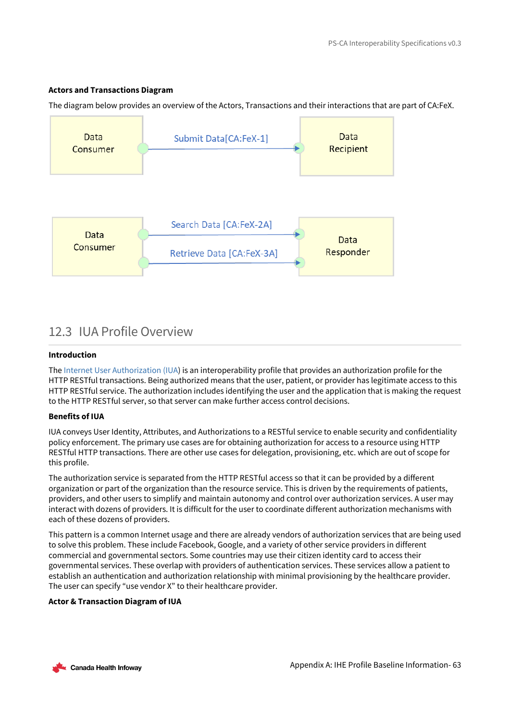### **Actors and Transactions Diagram**

The diagram below provides an overview of the Actors, Transactions and their interactions that are part of CA:FeX.



## <span id="page-62-0"></span>12.3 IUA Profile Overview

## **Introduction**

The [Internet User Authorization \(IUA\)](https://profiles.ihe.net/ITI/IUA/index.html) is an interoperability profile that provides an authorization profile for the HTTP RESTful transactions. Being authorized means that the user, patient, or provider has legitimate access to this HTTP RESTful service. The authorization includes identifying the user and the application that is making the request to the HTTP RESTful server, so that server can make further access control decisions.

### **Benefits of IUA**

IUA conveys User Identity, Attributes, and Authorizations to a RESTful service to enable security and confidentiality policy enforcement. The primary use cases are for obtaining authorization for access to a resource using HTTP RESTful HTTP transactions. There are other use cases for delegation, provisioning, etc. which are out of scope for this profile.

The authorization service is separated from the HTTP RESTful access so that it can be provided by a different organization or part of the organization than the resource service. This is driven by the requirements of patients, providers, and other users to simplify and maintain autonomy and control over authorization services. A user may interact with dozens of providers. It is difficult for the user to coordinate different authorization mechanisms with each of these dozens of providers.

This pattern is a common Internet usage and there are already vendors of authorization services that are being used to solve this problem. These include Facebook, Google, and a variety of other service providers in different commercial and governmental sectors. Some countries may use their citizen identity card to access their governmental services. These overlap with providers of authentication services. These services allow a patient to establish an authentication and authorization relationship with minimal provisioning by the healthcare provider. The user can specify "use vendor X" to their healthcare provider.

### **Actor & Transaction Diagram of IUA**

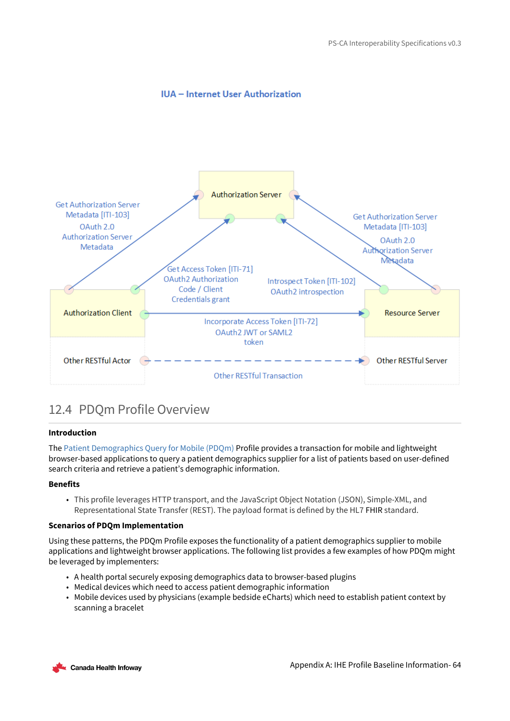## **IUA** - Internet User Authorization



## <span id="page-63-0"></span>12.4 PDQm Profile Overview

### **Introduction**

The [Patient Demographics Query for Mobile \(PDQm\)](https://www.ihe.net/uploadedFiles/Documents/ITI/IHE_ITI_Suppl_PDQm.pdf) Profile provides a transaction for mobile and lightweight browser-based applications to query a patient demographics supplier for a list of patients based on user-defined search criteria and retrieve a patient's demographic information.

### **Benefits**

• This profile leverages HTTP transport, and the JavaScript Object Notation (JSON), Simple-XML, and Representational State Transfer (REST). The payload format is defined by the HL7 FHIR standard.

### **Scenarios of PDQm Implementation**

Using these patterns, the PDQm Profile exposes the functionality of a patient demographics supplier to mobile applications and lightweight browser applications. The following list provides a few examples of how PDQm might be leveraged by implementers:

- A health portal securely exposing demographics data to browser-based plugins
- Medical devices which need to access patient demographic information
- Mobile devices used by physicians (example bedside eCharts) which need to establish patient context by scanning a bracelet

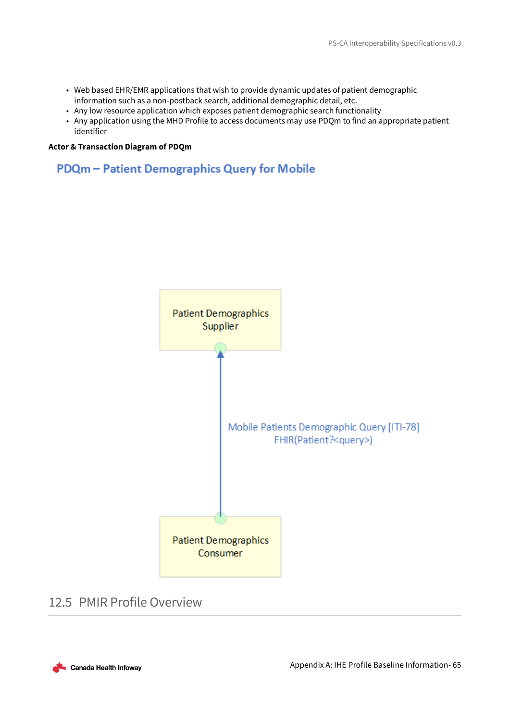- Web based EHR/EMR applications that wish to provide dynamic updates of patient demographic information such as a non-postback search, additional demographic detail, etc.
- Any low resource application which exposes patient demographic search functionality
- Any application using the MHD Profile to access documents may use PDQm to find an appropriate patient identifier

### **Actor & Transaction Diagram of PDQm**

## PDQm - Patient Demographics Query for Mobile



## <span id="page-64-0"></span>12.5 PMIR Profile Overview

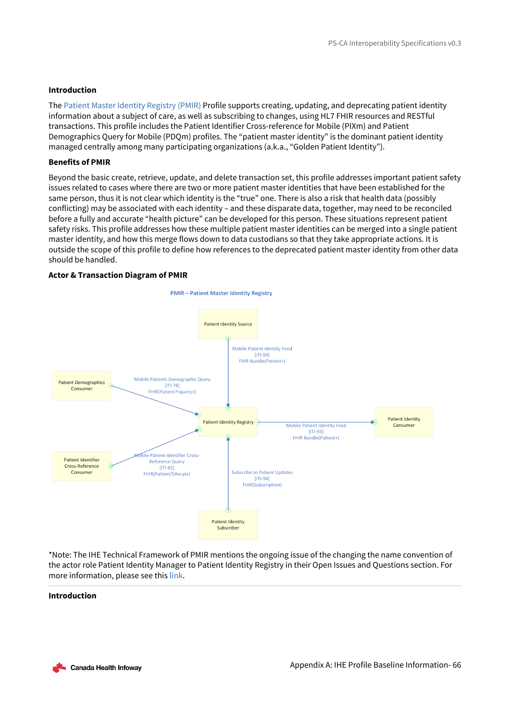### **Introduction**

The [Patient Master Identity Registry \(PMIR\)](https://www.ihe.net/uploadedFiles/Documents/ITI/IHE_ITI_Suppl_PMIR.pdf) Profile supports creating, updating, and deprecating patient identity information about a subject of care, as well as subscribing to changes, using HL7 FHIR resources and RESTful transactions. This profile includes the Patient Identifier Cross-reference for Mobile (PIXm) and Patient Demographics Query for Mobile (PDQm) profiles. The "patient master identity" is the dominant patient identity managed centrally among many participating organizations (a.k.a., "Golden Patient Identity").

### **Benefits of PMIR**

Beyond the basic create, retrieve, update, and delete transaction set, this profile addresses important patient safety issues related to cases where there are two or more patient master identities that have been established for the same person, thus it is not clear which identity is the "true" one. There is also a risk that health data (possibly conflicting) may be associated with each identity – and these disparate data, together, may need to be reconciled before a fully and accurate "health picture" can be developed for this person. These situations represent patient safety risks. This profile addresses how these multiple patient master identities can be merged into a single patient master identity, and how this merge flows down to data custodians so that they take appropriate actions. It is outside the scope of this profile to define how references to the deprecated patient master identity from other data should be handled.

### **Actor & Transaction Diagram of PMIR**



\*Note: The IHE Technical Framework of PMIR mentions the ongoing issue of the changing the name convention of the actor role Patient Identity Manager to Patient Identity Registry in their Open Issues and Questions section. For more information, please see this [link](https://www.ihe.net/uploadedFiles/Documents/ITI/IHE_ITI_Suppl_PMIR.pdf).

#### **Introduction**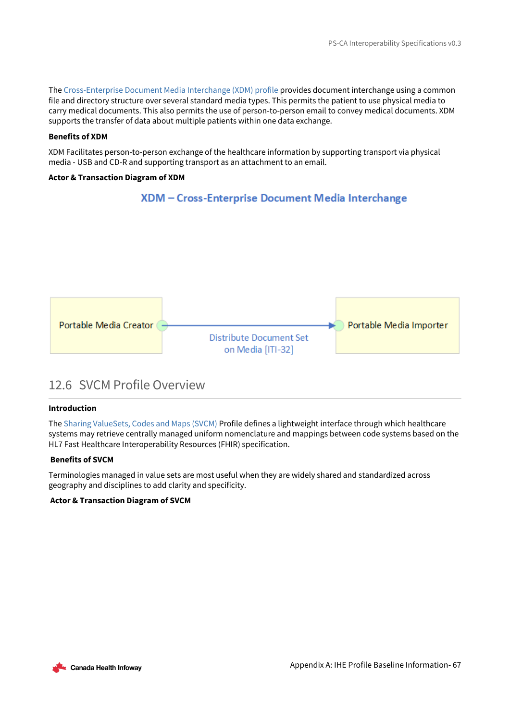The [Cross-Enterprise Document Media Interchange \(XDM\) profile](https://profiles.ihe.net/ITI/TF/Volume1/ch-16.html) provides document interchange using a common file and directory structure over several standard media types. This permits the patient to use physical media to carry medical documents. This also permits the use of person-to-person email to convey medical documents. XDM supports the transfer of data about multiple patients within one data exchange.

### **Benefits of XDM**

XDM Facilitates person-to-person exchange of the healthcare information by supporting transport via physical media - USB and CD-R and supporting transport as an attachment to an email.

### **Actor & Transaction Diagram of XDM**

## XDM - Cross-Enterprise Document Media Interchange



## <span id="page-66-0"></span>12.6 SVCM Profile Overview

### **Introduction**

The [Sharing ValueSets, Codes and Maps \(SVCM\)](https://www.ihe.net/uploadedFiles/Documents/ITI/IHE_ITI_Suppl_SVCM.pdf) Profile defines a lightweight interface through which healthcare systems may retrieve centrally managed uniform nomenclature and mappings between code systems based on the HL7 Fast Healthcare Interoperability Resources (FHIR) specification.

### **Benefits of SVCM**

Terminologies managed in value sets are most useful when they are widely shared and standardized across geography and disciplines to add clarity and specificity.

## **Actor & Transaction Diagram of SVCM**